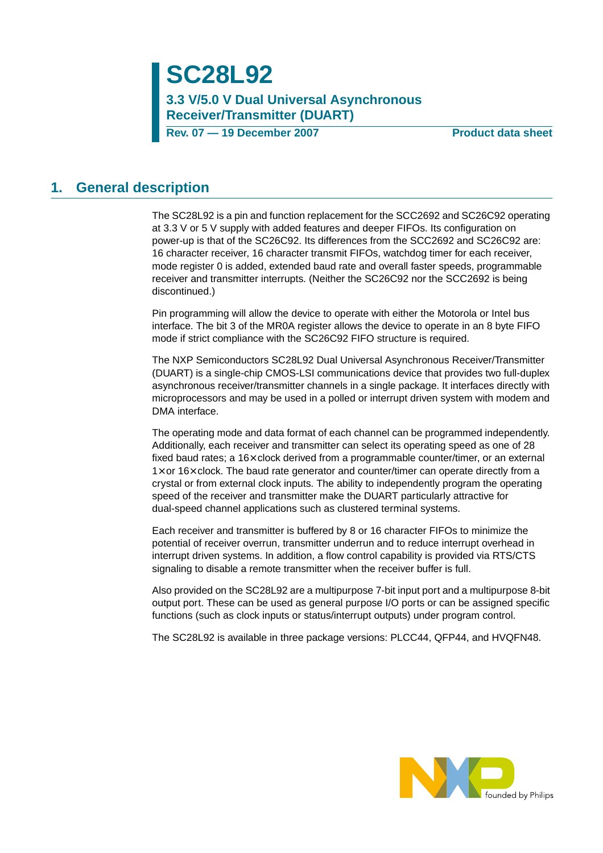# **SC28L92**

**3.3 V/5.0 V Dual Universal Asynchronous Receiver/Transmitter (DUART)**

**Rev. 07 – 19 December 2007** Product data sheet

#### **1. General description**

The SC28L92 is a pin and function replacement for the SCC2692 and SC26C92 operating at 3.3 V or 5 V supply with added features and deeper FIFOs. Its configuration on power-up is that of the SC26C92. Its differences from the SCC2692 and SC26C92 are: 16 character receiver, 16 character transmit FIFOs, watchdog timer for each receiver, mode register 0 is added, extended baud rate and overall faster speeds, programmable receiver and transmitter interrupts. (Neither the SC26C92 nor the SCC2692 is being discontinued.)

Pin programming will allow the device to operate with either the Motorola or Intel bus interface. The bit 3 of the MR0A register allows the device to operate in an 8 byte FIFO mode if strict compliance with the SC26C92 FIFO structure is required.

The NXP Semiconductors SC28L92 Dual Universal Asynchronous Receiver/Transmitter (DUART) is a single-chip CMOS-LSI communications device that provides two full-duplex asynchronous receiver/transmitter channels in a single package. It interfaces directly with microprocessors and may be used in a polled or interrupt driven system with modem and DMA interface.

The operating mode and data format of each channel can be programmed independently. Additionally, each receiver and transmitter can select its operating speed as one of 28 fixed baud rates; a 16× clock derived from a programmable counter/timer, or an external  $1\times$  or 16 $\times$  clock. The baud rate generator and counter/timer can operate directly from a crystal or from external clock inputs. The ability to independently program the operating speed of the receiver and transmitter make the DUART particularly attractive for dual-speed channel applications such as clustered terminal systems.

Each receiver and transmitter is buffered by 8 or 16 character FIFOs to minimize the potential of receiver overrun, transmitter underrun and to reduce interrupt overhead in interrupt driven systems. In addition, a flow control capability is provided via RTS/CTS signaling to disable a remote transmitter when the receiver buffer is full.

Also provided on the SC28L92 are a multipurpose 7-bit input port and a multipurpose 8-bit output port. These can be used as general purpose I/O ports or can be assigned specific functions (such as clock inputs or status/interrupt outputs) under program control.

The SC28L92 is available in three package versions: PLCC44, QFP44, and HVQFN48.

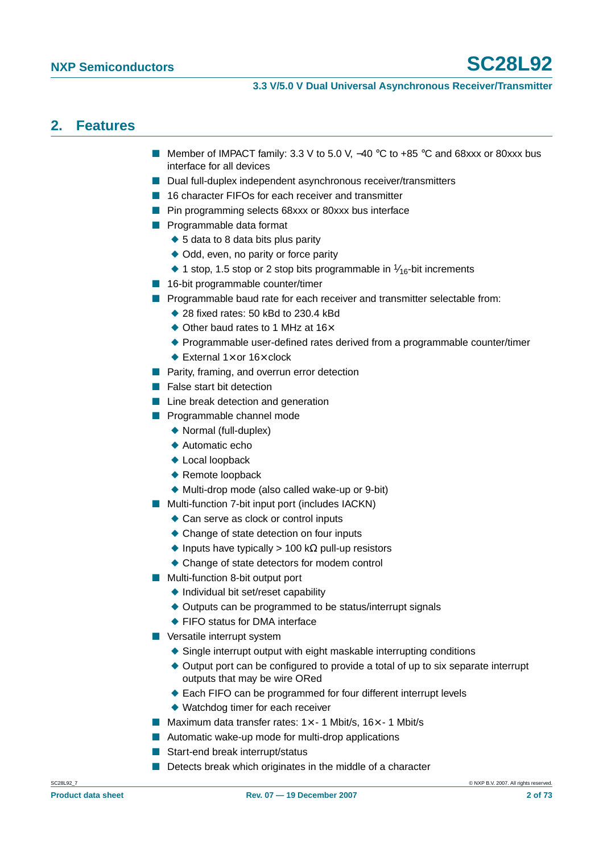## **2. Features**

- Member of IMPACT family: 3.3 V to 5.0 V, -40 °C to +85 °C and 68xxx or 80xxx bus interface for all devices
- Dual full-duplex independent asynchronous receiver/transmitters
- 16 character FIFOs for each receiver and transmitter
- Pin programming selects 68xxx or 80xxx bus interface
- Programmable data format
	- ◆ 5 data to 8 data bits plus parity
	- ◆ Odd, even, no parity or force parity
	- $\blacklozenge$  1 stop, 1.5 stop or 2 stop bits programmable in  $\frac{1}{16}$ -bit increments
- 16-bit programmable counter/timer
- Programmable baud rate for each receiver and transmitter selectable from:
	- $\triangle$  28 fixed rates: 50 kBd to 230.4 kBd
		- ◆ Other baud rates to 1 MHz at 16 $\times$
		- ◆ Programmable user-defined rates derived from a programmable counter/timer
	- $\blacklozenge$  External 1 $\times$  or 16 $\times$  clock
- Parity, framing, and overrun error detection
- False start bit detection
- Line break detection and generation
- Programmable channel mode
	- ◆ Normal (full-duplex)
	- ◆ Automatic echo
	- ◆ Local loopback
	- ◆ Remote loopback
	- ◆ Multi-drop mode (also called wake-up or 9-bit)
- Multi-function 7-bit input port (includes IACKN)
	- ◆ Can serve as clock or control inputs
	- ◆ Change of state detection on four inputs
	- $\triangle$  Inputs have typically > 100 k $\Omega$  pull-up resistors
	- ◆ Change of state detectors for modem control
- Multi-function 8-bit output port
	- ◆ Individual bit set/reset capability
	- ◆ Outputs can be programmed to be status/interrupt signals
	- ◆ FIFO status for DMA interface
- Versatile interrupt system
	- ◆ Single interrupt output with eight maskable interrupting conditions
	- ◆ Output port can be configured to provide a total of up to six separate interrupt outputs that may be wire ORed
	- ◆ Each FIFO can be programmed for four different interrupt levels
	- ◆ Watchdog timer for each receiver
- Maximum data transfer rates:  $1 \times -1$  Mbit/s,  $16 \times -1$  Mbit/s
- Automatic wake-up mode for multi-drop applications
- Start-end break interrupt/status
- Detects break which originates in the middle of a character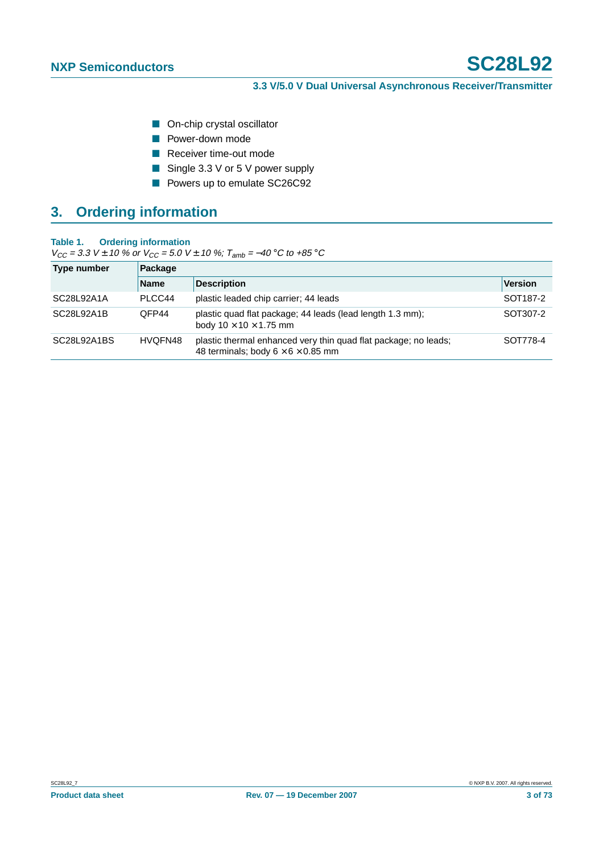- On-chip crystal oscillator
- Power-down mode
- Receiver time-out mode
- Single 3.3 V or 5 V power supply
- Powers up to emulate SC26C92

## **3. Ordering information**

#### **Table 1. Ordering information**

 $V_{CC}$  = 3.3 V ± 10 % or  $V_{CC}$  = 5.0 V ± 10 %;  $T_{amb}$  = -40 °C to +85 °C

| Type number | Package     |                                                                                                                   |                      |  |  |  |  |
|-------------|-------------|-------------------------------------------------------------------------------------------------------------------|----------------------|--|--|--|--|
|             | <b>Name</b> | <b>Description</b>                                                                                                | Version              |  |  |  |  |
| SC28L92A1A  | PLCC44      | plastic leaded chip carrier; 44 leads                                                                             | SOT <sub>187-2</sub> |  |  |  |  |
| SC28L92A1B  | OFP44       | plastic quad flat package; 44 leads (lead length 1.3 mm);<br>body $10 \times 10 \times 1.75$ mm                   | SOT307-2             |  |  |  |  |
| SC28L92A1BS | HVQFN48     | plastic thermal enhanced very thin quad flat package; no leads;<br>48 terminals; body $6 \times 6 \times 0.85$ mm | SOT778-4             |  |  |  |  |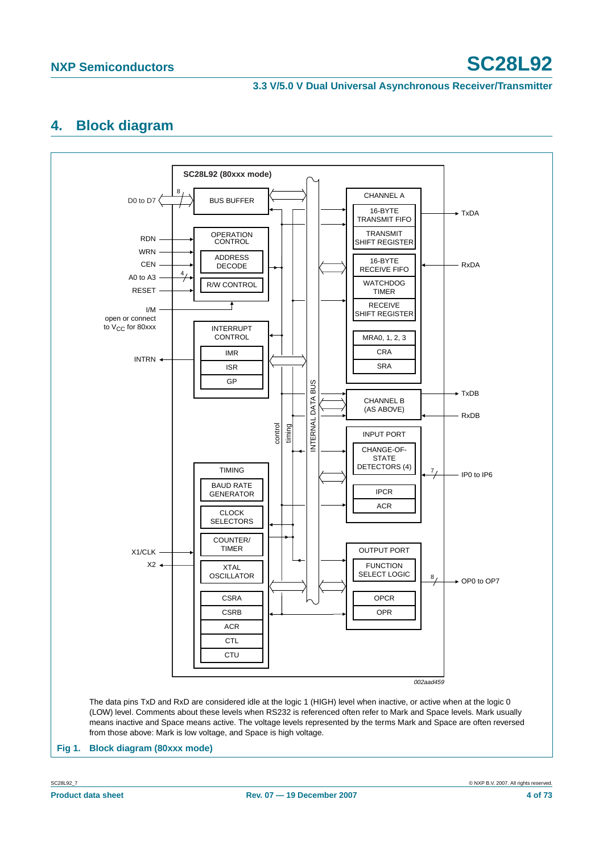# **NXP Semiconductors SC28L92**

#### **3.3 V/5.0 V Dual Universal Asynchronous Receiver/Transmitter**

## <span id="page-3-1"></span>**4. Block diagram**

<span id="page-3-0"></span>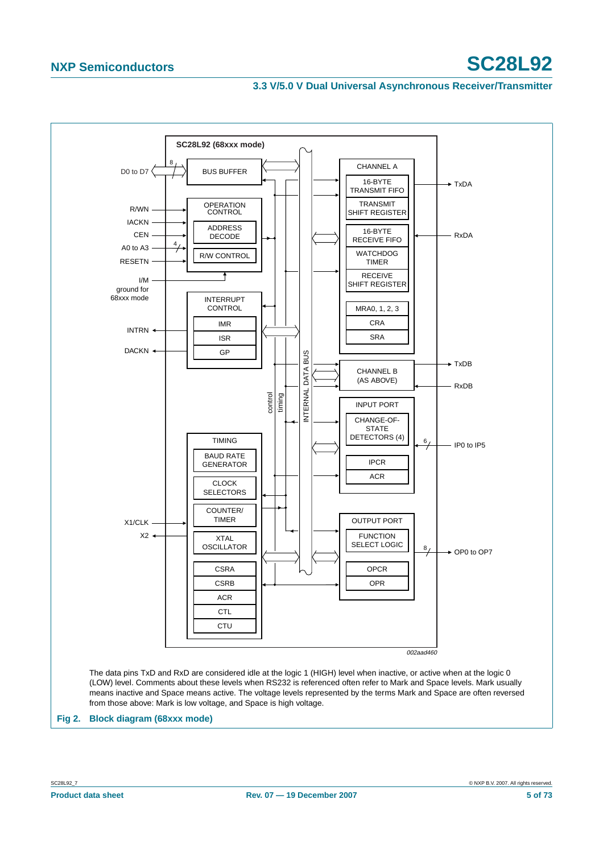## **NXP Semiconductors SC28L92**

#### **3.3 V/5.0 V Dual Universal Asynchronous Receiver/Transmitter**



<span id="page-4-0"></span>**Fig 2. Block diagram (68xxx mode)**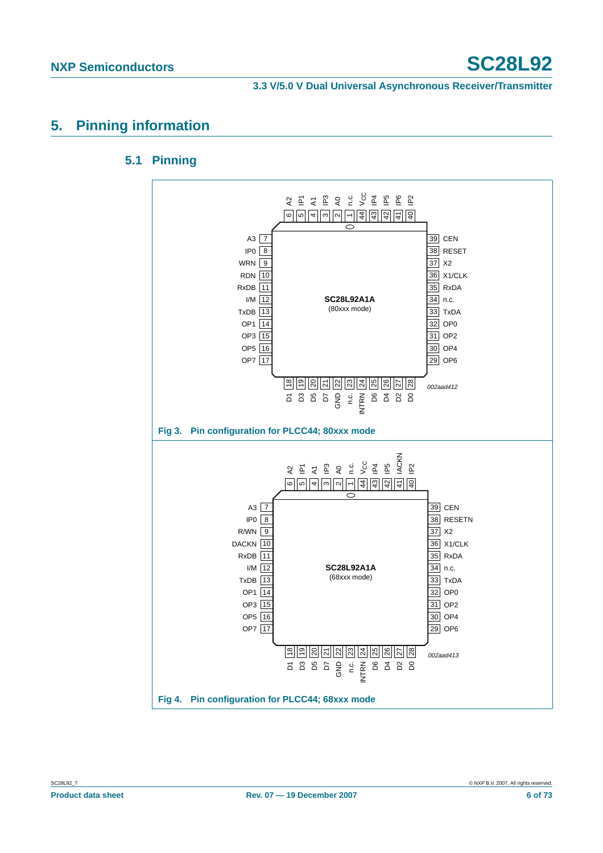## **5. Pinning information**

### **5.1 Pinning**

![](_page_5_Figure_5.jpeg)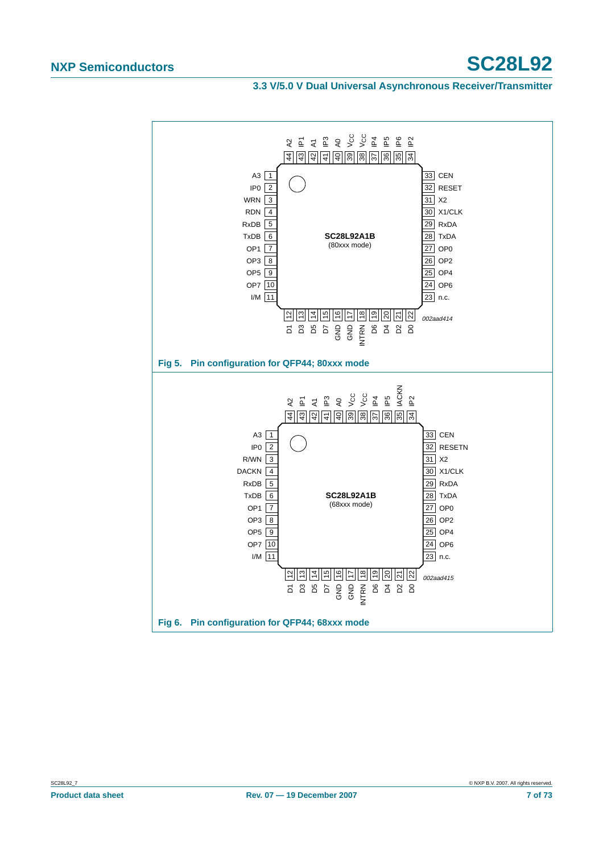# **NXP Semiconductors SC28L92**

**3.3 V/5.0 V Dual Universal Asynchronous Receiver/Transmitter**

![](_page_6_Figure_3.jpeg)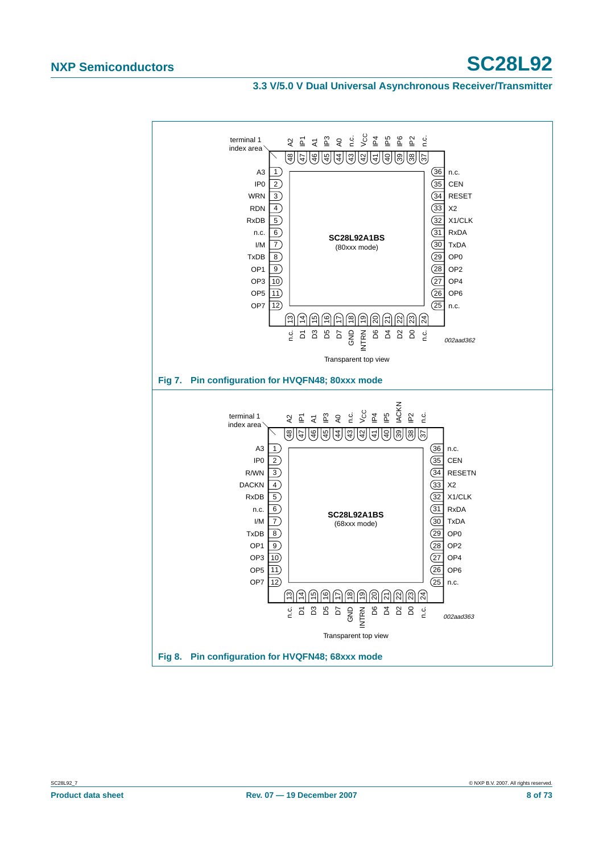# **NXP Semiconductors SC28L92**

#### **3.3 V/5.0 V Dual Universal Asynchronous Receiver/Transmitter**

![](_page_7_Figure_3.jpeg)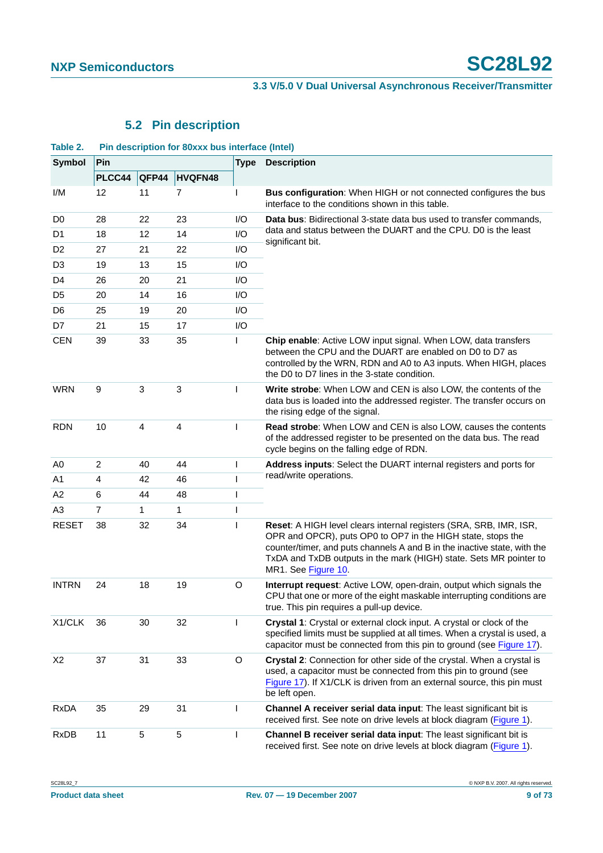## **5.2 Pin description**

| Table 2.       | Pin description for 80xxx bus interface (Intel) |       |         |              |                                                                                                                                                                                                                                                                                                            |  |  |  |  |
|----------------|-------------------------------------------------|-------|---------|--------------|------------------------------------------------------------------------------------------------------------------------------------------------------------------------------------------------------------------------------------------------------------------------------------------------------------|--|--|--|--|
| Symbol         | Pin                                             |       |         |              | <b>Description</b>                                                                                                                                                                                                                                                                                         |  |  |  |  |
|                | PLCC44                                          | QFP44 | HVQFN48 |              |                                                                                                                                                                                                                                                                                                            |  |  |  |  |
| I/M            | 12                                              | 11    | 7       | L            | Bus configuration: When HIGH or not connected configures the bus<br>interface to the conditions shown in this table.                                                                                                                                                                                       |  |  |  |  |
| D <sub>0</sub> | 28                                              | 22    | 23      | I/O          | Data bus: Bidirectional 3-state data bus used to transfer commands,                                                                                                                                                                                                                                        |  |  |  |  |
| D <sub>1</sub> | 18                                              | 12    | 14      | 1/O          | data and status between the DUART and the CPU. D0 is the least<br>significant bit.                                                                                                                                                                                                                         |  |  |  |  |
| D <sub>2</sub> | 27                                              | 21    | 22      | I/O          |                                                                                                                                                                                                                                                                                                            |  |  |  |  |
| D <sub>3</sub> | 19                                              | 13    | 15      | I/O          |                                                                                                                                                                                                                                                                                                            |  |  |  |  |
| D <sub>4</sub> | 26                                              | 20    | 21      | 1/O          |                                                                                                                                                                                                                                                                                                            |  |  |  |  |
| D <sub>5</sub> | 20                                              | 14    | 16      | I/O          |                                                                                                                                                                                                                                                                                                            |  |  |  |  |
| D <sub>6</sub> | 25                                              | 19    | 20      | I/O          |                                                                                                                                                                                                                                                                                                            |  |  |  |  |
| D7             | 21                                              | 15    | 17      | I/O          |                                                                                                                                                                                                                                                                                                            |  |  |  |  |
| <b>CEN</b>     | 39                                              | 33    | 35      | ı            | Chip enable: Active LOW input signal. When LOW, data transfers<br>between the CPU and the DUART are enabled on D0 to D7 as<br>controlled by the WRN, RDN and A0 to A3 inputs. When HIGH, places<br>the D0 to D7 lines in the 3-state condition.                                                            |  |  |  |  |
| <b>WRN</b>     | 9                                               | 3     | 3       |              | Write strobe: When LOW and CEN is also LOW, the contents of the<br>data bus is loaded into the addressed register. The transfer occurs on<br>the rising edge of the signal.                                                                                                                                |  |  |  |  |
| <b>RDN</b>     | 10                                              | 4     | 4       | $\mathbf{I}$ | Read strobe: When LOW and CEN is also LOW, causes the contents<br>of the addressed register to be presented on the data bus. The read<br>cycle begins on the falling edge of RDN.                                                                                                                          |  |  |  |  |
| A <sub>0</sub> | 2                                               | 40    | 44      | $\mathbf{I}$ | Address inputs: Select the DUART internal registers and ports for                                                                                                                                                                                                                                          |  |  |  |  |
| A1             | 4                                               | 42    | 46      | п            | read/write operations.                                                                                                                                                                                                                                                                                     |  |  |  |  |
| A <sub>2</sub> | 6                                               | 44    | 48      | $\mathsf{l}$ |                                                                                                                                                                                                                                                                                                            |  |  |  |  |
| A <sub>3</sub> | $\overline{7}$                                  | 1     | 1       | ı            |                                                                                                                                                                                                                                                                                                            |  |  |  |  |
| <b>RESET</b>   | 38                                              | 32    | 34      |              | Reset: A HIGH level clears internal registers (SRA, SRB, IMR, ISR,<br>OPR and OPCR), puts OP0 to OP7 in the HIGH state, stops the<br>counter/timer, and puts channels A and B in the inactive state, with the<br>TxDA and TxDB outputs in the mark (HIGH) state. Sets MR pointer to<br>MR1. See Figure 10. |  |  |  |  |
| <b>INTRN</b>   | 24                                              | 18    | 19      | O            | Interrupt request: Active LOW, open-drain, output which signals the<br>CPU that one or more of the eight maskable interrupting conditions are<br>true. This pin requires a pull-up device.                                                                                                                 |  |  |  |  |
| X1/CLK         | 36                                              | 30    | 32      | L            | Crystal 1: Crystal or external clock input. A crystal or clock of the<br>specified limits must be supplied at all times. When a crystal is used, a<br>capacitor must be connected from this pin to ground (see Figure 17).                                                                                 |  |  |  |  |
| X <sub>2</sub> | 37                                              | 31    | 33      | O            | Crystal 2: Connection for other side of the crystal. When a crystal is<br>used, a capacitor must be connected from this pin to ground (see<br>Figure 17). If X1/CLK is driven from an external source, this pin must<br>be left open.                                                                      |  |  |  |  |
| <b>RxDA</b>    | 35                                              | 29    | 31      | L            | Channel A receiver serial data input: The least significant bit is<br>received first. See note on drive levels at block diagram (Figure 1).                                                                                                                                                                |  |  |  |  |
| <b>RxDB</b>    | 11                                              | 5     | 5       | $\mathbf{I}$ | Channel B receiver serial data input: The least significant bit is<br>received first. See note on drive levels at block diagram (Figure 1).                                                                                                                                                                |  |  |  |  |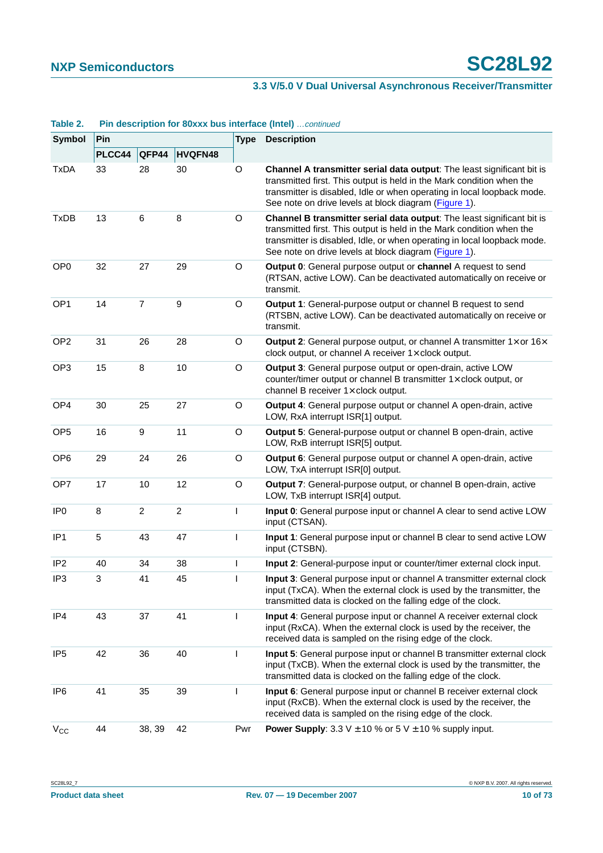| TANIC 4.        | <b>Fin description for obxxx bus interface (filter)</b> Commaed |                  |                |             |                                                                                                                                                                                                                                                                                      |  |  |
|-----------------|-----------------------------------------------------------------|------------------|----------------|-------------|--------------------------------------------------------------------------------------------------------------------------------------------------------------------------------------------------------------------------------------------------------------------------------------|--|--|
| Symbol          | Pin                                                             |                  |                | <b>Type</b> | <b>Description</b>                                                                                                                                                                                                                                                                   |  |  |
|                 | PLCC44                                                          | QFP44            | <b>HVQFN48</b> |             |                                                                                                                                                                                                                                                                                      |  |  |
| <b>TxDA</b>     | 33                                                              | 28               | 30             | O           | Channel A transmitter serial data output: The least significant bit is<br>transmitted first. This output is held in the Mark condition when the<br>transmitter is disabled, Idle or when operating in local loopback mode.<br>See note on drive levels at block diagram (Figure 1).  |  |  |
| <b>TxDB</b>     | 13                                                              | 6                | 8              | O           | Channel B transmitter serial data output: The least significant bit is<br>transmitted first. This output is held in the Mark condition when the<br>transmitter is disabled, Idle, or when operating in local loopback mode.<br>See note on drive levels at block diagram (Figure 1). |  |  |
| OP <sub>0</sub> | 32                                                              | 27               | 29             | O           | Output 0: General purpose output or channel A request to send<br>(RTSAN, active LOW). Can be deactivated automatically on receive or<br>transmit.                                                                                                                                    |  |  |
| OP <sub>1</sub> | 14                                                              | $\overline{7}$   | 9              | O           | Output 1: General-purpose output or channel B request to send<br>(RTSBN, active LOW). Can be deactivated automatically on receive or<br>transmit.                                                                                                                                    |  |  |
| OP <sub>2</sub> | 31                                                              | 26               | 28             | O           | <b>Output 2:</b> General purpose output, or channel A transmitter $1 \times$ or $16 \times$<br>clock output, or channel A receiver $1 \times$ clock output.                                                                                                                          |  |  |
| OP <sub>3</sub> | 15                                                              | $\,8\,$          | 10             | $\mathsf O$ | Output 3: General purpose output or open-drain, active LOW<br>counter/timer output or channel B transmitter $1 \times$ clock output, or<br>channel B receiver $1 \times$ clock output.                                                                                               |  |  |
| OP <sub>4</sub> | 30                                                              | 25               | 27             | O           | Output 4: General purpose output or channel A open-drain, active<br>LOW, RxA interrupt ISR[1] output.                                                                                                                                                                                |  |  |
| OP <sub>5</sub> | 16                                                              | $\boldsymbol{9}$ | 11             | O           | Output 5: General-purpose output or channel B open-drain, active<br>LOW, RxB interrupt ISR[5] output.                                                                                                                                                                                |  |  |
| OP <sub>6</sub> | 29                                                              | 24               | 26             | $\circ$     | Output 6: General purpose output or channel A open-drain, active<br>LOW, TxA interrupt ISR[0] output.                                                                                                                                                                                |  |  |
| OP7             | 17                                                              | 10               | 12             | O           | Output 7: General-purpose output, or channel B open-drain, active<br>LOW, TxB interrupt ISR[4] output.                                                                                                                                                                               |  |  |
| IP <sub>0</sub> | 8                                                               | $\overline{c}$   | $\overline{c}$ | L           | Input 0: General purpose input or channel A clear to send active LOW<br>input (CTSAN).                                                                                                                                                                                               |  |  |
| IP <sub>1</sub> | 5                                                               | 43               | 47             | L           | Input 1: General purpose input or channel B clear to send active LOW<br>input (CTSBN).                                                                                                                                                                                               |  |  |
| IP <sub>2</sub> | 40                                                              | 34               | 38             | L           | Input 2: General-purpose input or counter/timer external clock input.                                                                                                                                                                                                                |  |  |
| IP3             | 3                                                               | 41               | 45             |             | Input 3: General purpose input or channel A transmitter external clock<br>input (TxCA). When the external clock is used by the transmitter, the<br>transmitted data is clocked on the falling edge of the clock.                                                                     |  |  |
| IP4             | 43                                                              | 37               | 41             | L           | Input 4: General purpose input or channel A receiver external clock<br>input (RxCA). When the external clock is used by the receiver, the<br>received data is sampled on the rising edge of the clock.                                                                               |  |  |
| IP <sub>5</sub> | 42                                                              | 36               | 40             | L           | Input 5: General purpose input or channel B transmitter external clock<br>input (TxCB). When the external clock is used by the transmitter, the<br>transmitted data is clocked on the falling edge of the clock.                                                                     |  |  |
| IP <sub>6</sub> | 41                                                              | 35               | 39             | L           | Input 6: General purpose input or channel B receiver external clock<br>input (RxCB). When the external clock is used by the receiver, the<br>received data is sampled on the rising edge of the clock.                                                                               |  |  |
| $V_{CC}$        | 44                                                              | 38, 39           | 42             | Pwr         | <b>Power Supply:</b> 3.3 V $\pm$ 10 % or 5 V $\pm$ 10 % supply input.                                                                                                                                                                                                                |  |  |

#### **Table 2. Pin description for 80xxx bus interface (Intel)** continued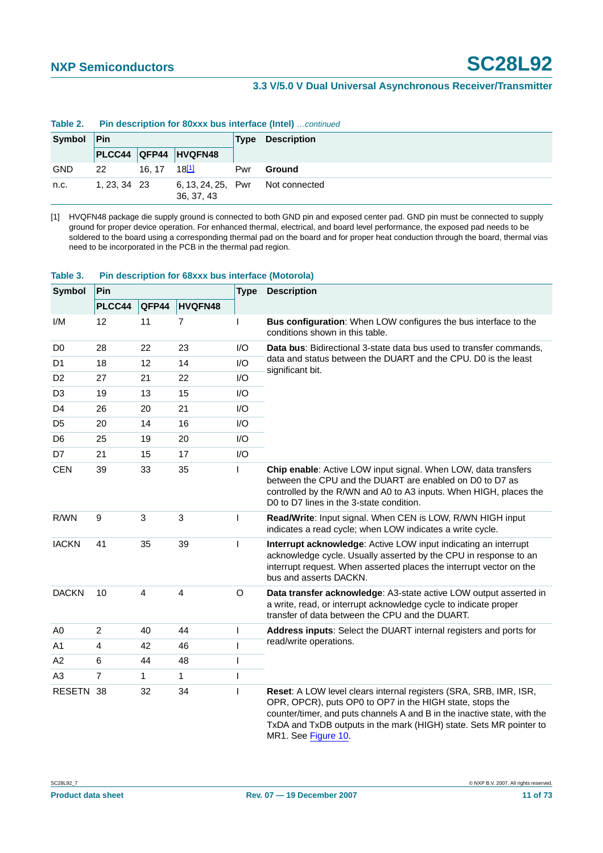|            |              | <b>TODIO 4.</b> THE QUODITION TOF OUAAA MUSTING HUGH (HIGH) COMMODU |                                  |             |                    |  |  |  |  |
|------------|--------------|---------------------------------------------------------------------|----------------------------------|-------------|--------------------|--|--|--|--|
| Symbol     | Pin          |                                                                     |                                  | <b>Type</b> | <b>Description</b> |  |  |  |  |
|            |              |                                                                     | PLCC44 QFP44 HVQFN48             |             |                    |  |  |  |  |
| <b>GND</b> | 22           | 16.17                                                               | $18^{[1]}$                       | Pwr         | Ground             |  |  |  |  |
| n.c.       | 1, 23, 34 23 |                                                                     | 6, 13, 24, 25, Pwr<br>36, 37, 43 |             | Not connected      |  |  |  |  |

## **Table 2. Pin description for 80xxx bus interface (Intel)** continued

<span id="page-10-0"></span>[1] HVQFN48 package die supply ground is connected to both GND pin and exposed center pad. GND pin must be connected to supply ground for proper device operation. For enhanced thermal, electrical, and board level performance, the exposed pad needs to be soldered to the board using a corresponding thermal pad on the board and for proper heat conduction through the board, thermal vias need to be incorporated in the PCB in the thermal pad region.

| <b>Symbol</b>  | Pin            |       |                         | <b>Type</b>  | <b>Description</b>                                                                                                                                                                                                                                                                                     |  |  |
|----------------|----------------|-------|-------------------------|--------------|--------------------------------------------------------------------------------------------------------------------------------------------------------------------------------------------------------------------------------------------------------------------------------------------------------|--|--|
|                | PLCC44         | QFP44 | HVQFN48                 |              |                                                                                                                                                                                                                                                                                                        |  |  |
| I/M            | 12             | 11    | $\overline{7}$          | $\mathbf{I}$ | Bus configuration: When LOW configures the bus interface to the<br>conditions shown in this table.                                                                                                                                                                                                     |  |  |
| D <sub>0</sub> | 28             | 22    | 23                      | 1/O          | Data bus: Bidirectional 3-state data bus used to transfer commands,                                                                                                                                                                                                                                    |  |  |
| D <sub>1</sub> | 18             | 12    | 14                      | I/O          | data and status between the DUART and the CPU. D0 is the least<br>significant bit.                                                                                                                                                                                                                     |  |  |
| D <sub>2</sub> | 27             | 21    | 22                      | I/O          |                                                                                                                                                                                                                                                                                                        |  |  |
| D <sub>3</sub> | 19             | 13    | 15                      | I/O          |                                                                                                                                                                                                                                                                                                        |  |  |
| D4             | 26             | 20    | 21                      | 1/O          |                                                                                                                                                                                                                                                                                                        |  |  |
| D <sub>5</sub> | 20             | 14    | 16                      | 1/O          |                                                                                                                                                                                                                                                                                                        |  |  |
| D <sub>6</sub> | 25             | 19    | 20                      | I/O          |                                                                                                                                                                                                                                                                                                        |  |  |
| D7             | 21             | 15    | 17                      | I/O          |                                                                                                                                                                                                                                                                                                        |  |  |
| <b>CEN</b>     | 39             | 33    | 35                      | L            | Chip enable: Active LOW input signal. When LOW, data transfers<br>between the CPU and the DUART are enabled on D0 to D7 as<br>controlled by the R/WN and A0 to A3 inputs. When HIGH, places the<br>D0 to D7 lines in the 3-state condition.                                                            |  |  |
| R/WN           | 9              | 3     | $\mathbf{3}$            | T            | Read/Write: Input signal. When CEN is LOW, R/WN HIGH input<br>indicates a read cycle; when LOW indicates a write cycle.                                                                                                                                                                                |  |  |
| <b>IACKN</b>   | 41             | 35    | 39                      | $\mathbf{I}$ | Interrupt acknowledge: Active LOW input indicating an interrupt<br>acknowledge cycle. Usually asserted by the CPU in response to an<br>interrupt request. When asserted places the interrupt vector on the<br>bus and asserts DACKN.                                                                   |  |  |
| <b>DACKN</b>   | 10             | 4     | $\overline{\mathbf{4}}$ | $\circ$      | Data transfer acknowledge: A3-state active LOW output asserted in<br>a write, read, or interrupt acknowledge cycle to indicate proper<br>transfer of data between the CPU and the DUART.                                                                                                               |  |  |
| A <sub>0</sub> | $\overline{c}$ | 40    | 44                      | $\mathbf{I}$ | Address inputs: Select the DUART internal registers and ports for                                                                                                                                                                                                                                      |  |  |
| A1             | $\overline{4}$ | 42    | 46                      |              | read/write operations.                                                                                                                                                                                                                                                                                 |  |  |
| A2             | 6              | 44    | 48                      |              |                                                                                                                                                                                                                                                                                                        |  |  |
| A <sub>3</sub> | $\overline{7}$ | 1     | $\mathbf{1}$            |              |                                                                                                                                                                                                                                                                                                        |  |  |
| RESETN 38      |                | 32    | 34                      | ı            | Reset: A LOW level clears internal registers (SRA, SRB, IMR, ISR,<br>OPR, OPCR), puts OP0 to OP7 in the HIGH state, stops the<br>counter/timer, and puts channels A and B in the inactive state, with the<br>TxDA and TxDB outputs in the mark (HIGH) state. Sets MR pointer to<br>MR1. See Figure 10. |  |  |

#### **Table 3. Pin description for 68xxx bus interface (Motorola)**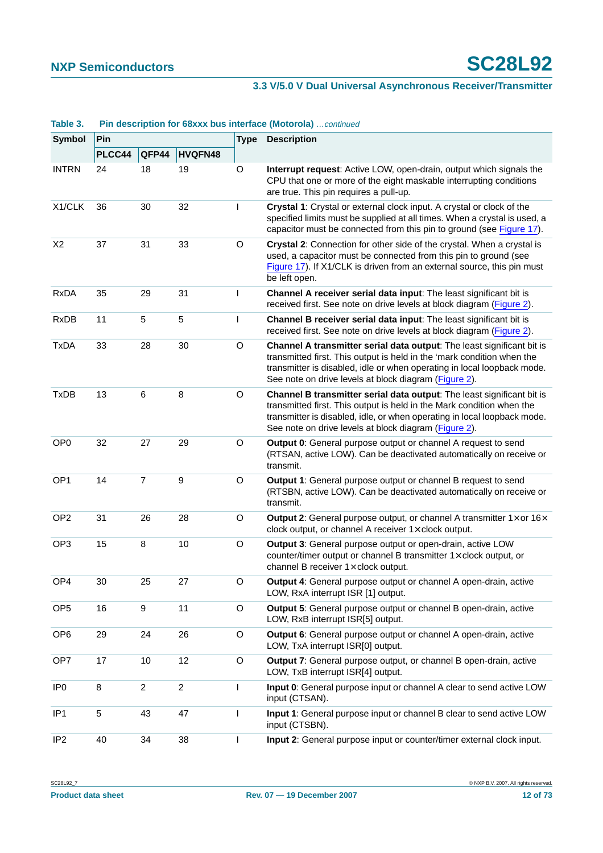| ianic J.        | <b>FIII GESCRIPTION TOF GOAAA DUS INTERNACE (MOTOROM)</b> COMMINED |                |                  |              |                                                                                                                                                                                                                                                                                      |  |
|-----------------|--------------------------------------------------------------------|----------------|------------------|--------------|--------------------------------------------------------------------------------------------------------------------------------------------------------------------------------------------------------------------------------------------------------------------------------------|--|
| Symbol          | <b>Pin</b>                                                         |                |                  | <b>Type</b>  | <b>Description</b>                                                                                                                                                                                                                                                                   |  |
|                 | PLCC44                                                             | QFP44          | <b>HVQFN48</b>   |              |                                                                                                                                                                                                                                                                                      |  |
| <b>INTRN</b>    | 24                                                                 | 18             | 19               | O            | Interrupt request: Active LOW, open-drain, output which signals the<br>CPU that one or more of the eight maskable interrupting conditions<br>are true. This pin requires a pull-up.                                                                                                  |  |
| X1/CLK          | 36                                                                 | 30             | 32               | L            | Crystal 1: Crystal or external clock input. A crystal or clock of the<br>specified limits must be supplied at all times. When a crystal is used, a<br>capacitor must be connected from this pin to ground (see Figure 17).                                                           |  |
| X <sub>2</sub>  | 37                                                                 | 31             | 33               | O            | Crystal 2: Connection for other side of the crystal. When a crystal is<br>used, a capacitor must be connected from this pin to ground (see<br>Figure 17). If X1/CLK is driven from an external source, this pin must<br>be left open.                                                |  |
| <b>RxDA</b>     | 35                                                                 | 29             | 31               | L            | Channel A receiver serial data input: The least significant bit is<br>received first. See note on drive levels at block diagram (Figure 2).                                                                                                                                          |  |
| <b>RxDB</b>     | 11                                                                 | 5              | $\sqrt{5}$       | $\mathsf{I}$ | Channel B receiver serial data input: The least significant bit is<br>received first. See note on drive levels at block diagram (Figure 2).                                                                                                                                          |  |
| <b>TxDA</b>     | 33                                                                 | 28             | 30               | $\circ$      | Channel A transmitter serial data output: The least significant bit is<br>transmitted first. This output is held in the 'mark condition when the<br>transmitter is disabled, idle or when operating in local loopback mode.<br>See note on drive levels at block diagram (Figure 2). |  |
| <b>TxDB</b>     | 13                                                                 | 6              | 8                | O            | Channel B transmitter serial data output: The least significant bit is<br>transmitted first. This output is held in the Mark condition when the<br>transmitter is disabled, idle, or when operating in local loopback mode.<br>See note on drive levels at block diagram (Figure 2). |  |
| OP <sub>0</sub> | 32                                                                 | 27             | 29               | O            | Output 0: General purpose output or channel A request to send<br>(RTSAN, active LOW). Can be deactivated automatically on receive or<br>transmit.                                                                                                                                    |  |
| OP <sub>1</sub> | 14                                                                 | $\overline{7}$ | $\boldsymbol{9}$ | $\circ$      | Output 1: General purpose output or channel B request to send<br>(RTSBN, active LOW). Can be deactivated automatically on receive or<br>transmit.                                                                                                                                    |  |
| OP <sub>2</sub> | 31                                                                 | 26             | 28               | O            | Output 2: General purpose output, or channel A transmitter $1 \times$ or $16 \times$<br>clock output, or channel A receiver $1 \times$ clock output.                                                                                                                                 |  |
| OP <sub>3</sub> | 15                                                                 | 8              | 10               | $\circ$      | Output 3: General purpose output or open-drain, active LOW<br>counter/timer output or channel B transmitter 1x clock output, or<br>channel B receiver 1x clock output.                                                                                                               |  |
| OP4             | 30                                                                 | 25             | 27               | $\circ$      | Output 4: General purpose output or channel A open-drain, active<br>LOW, RxA interrupt ISR [1] output.                                                                                                                                                                               |  |
| OP <sub>5</sub> | 16                                                                 | 9              | 11               | $\circ$      | Output 5: General purpose output or channel B open-drain, active<br>LOW, RxB interrupt ISR[5] output.                                                                                                                                                                                |  |
| OP <sub>6</sub> | 29                                                                 | 24             | 26               | $\circ$      | Output 6: General purpose output or channel A open-drain, active<br>LOW, TxA interrupt ISR[0] output.                                                                                                                                                                                |  |
| OP7             | 17                                                                 | 10             | 12               | $\circ$      | Output 7: General purpose output, or channel B open-drain, active<br>LOW, TxB interrupt ISR[4] output.                                                                                                                                                                               |  |
| IP <sub>0</sub> | 8                                                                  | $\overline{2}$ | $\overline{2}$   | L            | Input 0: General purpose input or channel A clear to send active LOW<br>input (CTSAN).                                                                                                                                                                                               |  |
| IP <sub>1</sub> | 5                                                                  | 43             | 47               | L            | Input 1: General purpose input or channel B clear to send active LOW<br>input (CTSBN).                                                                                                                                                                                               |  |
| IP <sub>2</sub> | 40                                                                 | 34             | 38               | $\mathbf{I}$ | Input 2: General purpose input or counter/timer external clock input.                                                                                                                                                                                                                |  |

#### **Table 3.** Pin description for 68xxx bus interface (Motorola) continued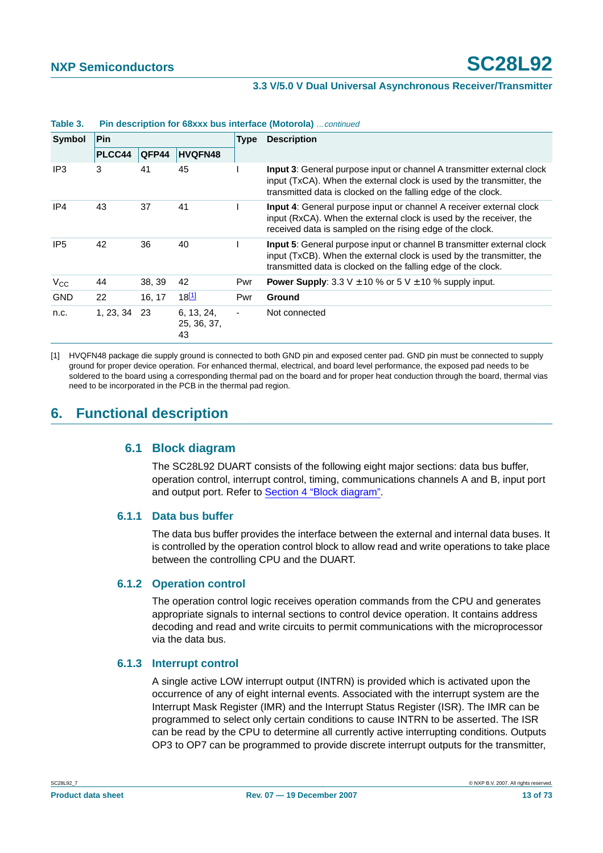| <b>Symbol</b>   | Pin       |        |                                 | <b>Type</b> | <b>Description</b>                                                                                                                                                                                                      |
|-----------------|-----------|--------|---------------------------------|-------------|-------------------------------------------------------------------------------------------------------------------------------------------------------------------------------------------------------------------------|
|                 | PLCC44    | QFP44  | <b>HVQFN48</b>                  |             |                                                                                                                                                                                                                         |
| IP3             | 3         | 41     | 45                              |             | <b>Input 3:</b> General purpose input or channel A transmitter external clock<br>input (TxCA). When the external clock is used by the transmitter, the<br>transmitted data is clocked on the falling edge of the clock. |
| IP4             | 43        | 37     | 41                              |             | <b>Input 4:</b> General purpose input or channel A receiver external clock<br>input (RxCA). When the external clock is used by the receiver, the<br>received data is sampled on the rising edge of the clock.           |
| IP <sub>5</sub> | 42        | 36     | 40                              |             | <b>Input 5:</b> General purpose input or channel B transmitter external clock<br>input (TxCB). When the external clock is used by the transmitter, the<br>transmitted data is clocked on the falling edge of the clock. |
| $V_{\rm CC}$    | 44        | 38, 39 | 42                              | Pwr         | <b>Power Supply</b> : 3.3 V $\pm$ 10 % or 5 V $\pm$ 10 % supply input.                                                                                                                                                  |
| <b>GND</b>      | 22        | 16, 17 | $18^{[1]}$                      | Pwr         | <b>Ground</b>                                                                                                                                                                                                           |
| n.c.            | 1, 23, 34 | 23     | 6, 13, 24,<br>25, 36, 37,<br>43 |             | Not connected                                                                                                                                                                                                           |

#### **Table 3. Pin description for 68xxx bus interface (Motorola)** …continued

<span id="page-12-0"></span>[1] HVQFN48 package die supply ground is connected to both GND pin and exposed center pad. GND pin must be connected to supply ground for proper device operation. For enhanced thermal, electrical, and board level performance, the exposed pad needs to be soldered to the board using a corresponding thermal pad on the board and for proper heat conduction through the board, thermal vias need to be incorporated in the PCB in the thermal pad region.

## **6. Functional description**

#### **6.1 Block diagram**

The SC28L92 DUART consists of the following eight major sections: data bus buffer, operation control, interrupt control, timing, communications channels A and B, input port and output port. Refer to [Section 4 "Block diagram"](#page-3-1).

#### **6.1.1 Data bus buffer**

The data bus buffer provides the interface between the external and internal data buses. It is controlled by the operation control block to allow read and write operations to take place between the controlling CPU and the DUART.

#### **6.1.2 Operation control**

The operation control logic receives operation commands from the CPU and generates appropriate signals to internal sections to control device operation. It contains address decoding and read and write circuits to permit communications with the microprocessor via the data bus.

#### **6.1.3 Interrupt control**

A single active LOW interrupt output (INTRN) is provided which is activated upon the occurrence of any of eight internal events. Associated with the interrupt system are the Interrupt Mask Register (IMR) and the Interrupt Status Register (ISR). The IMR can be programmed to select only certain conditions to cause INTRN to be asserted. The ISR can be read by the CPU to determine all currently active interrupting conditions. Outputs OP3 to OP7 can be programmed to provide discrete interrupt outputs for the transmitter,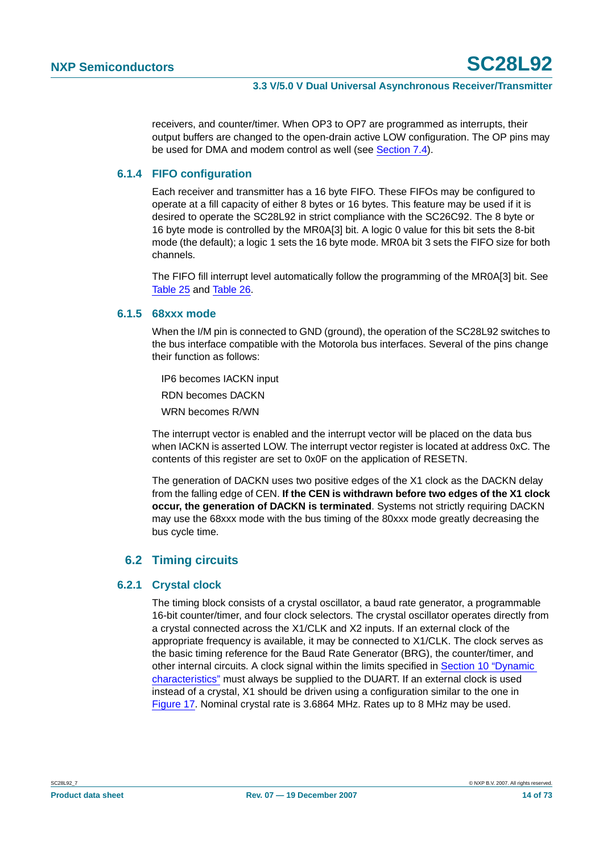receivers, and counter/timer. When OP3 to OP7 are programmed as interrupts, their output buffers are changed to the open-drain active LOW configuration. The OP pins may be used for DMA and modem control as well (see [Section](#page-48-0) 7.4).

#### **6.1.4 FIFO configuration**

Each receiver and transmitter has a 16 byte FIFO. These FIFOs may be configured to operate at a fill capacity of either 8 bytes or 16 bytes. This feature may be used if it is desired to operate the SC28L92 in strict compliance with the SC26C92. The 8 byte or 16 byte mode is controlled by the MR0A[3] bit. A logic 0 value for this bit sets the 8-bit mode (the default); a logic 1 sets the 16 byte mode. MR0A bit 3 sets the FIFO size for both channels.

The FIFO fill interrupt level automatically follow the programming of the MR0A[3] bit. See [Table](#page-26-0) 25 and [Table](#page-26-1) 26.

#### **6.1.5 68xxx mode**

When the I/M pin is connected to GND (ground), the operation of the SC28L92 switches to the bus interface compatible with the Motorola bus interfaces. Several of the pins change their function as follows:

- IP6 becomes IACKN input
- RDN becomes DACKN
- WRN becomes R/WN

The interrupt vector is enabled and the interrupt vector will be placed on the data bus when IACKN is asserted LOW. The interrupt vector register is located at address 0xC. The contents of this register are set to 0x0F on the application of RESETN.

The generation of DACKN uses two positive edges of the X1 clock as the DACKN delay from the falling edge of CEN. **If the CEN is withdrawn before two edges of the X1 clock occur, the generation of DACKN is terminated**. Systems not strictly requiring DACKN may use the 68xxx mode with the bus timing of the 80xxx mode greatly decreasing the bus cycle time.

#### **6.2 Timing circuits**

#### **6.2.1 Crystal clock**

The timing block consists of a crystal oscillator, a baud rate generator, a programmable 16-bit counter/timer, and four clock selectors. The crystal oscillator operates directly from a crystal connected across the X1/CLK and X2 inputs. If an external clock of the appropriate frequency is available, it may be connected to X1/CLK. The clock serves as the basic timing reference for the Baud Rate Generator (BRG), the counter/timer, and other internal circuits. A clock signal within the limits specified in [Section 10 "Dynamic](#page-53-0) [characteristics"](#page-53-0) must always be supplied to the DUART. If an external clock is used instead of a crystal, X1 should be driven using a configuration similar to the one in [Figure](#page-61-0) 17. Nominal crystal rate is 3.6864 MHz. Rates up to 8 MHz may be used.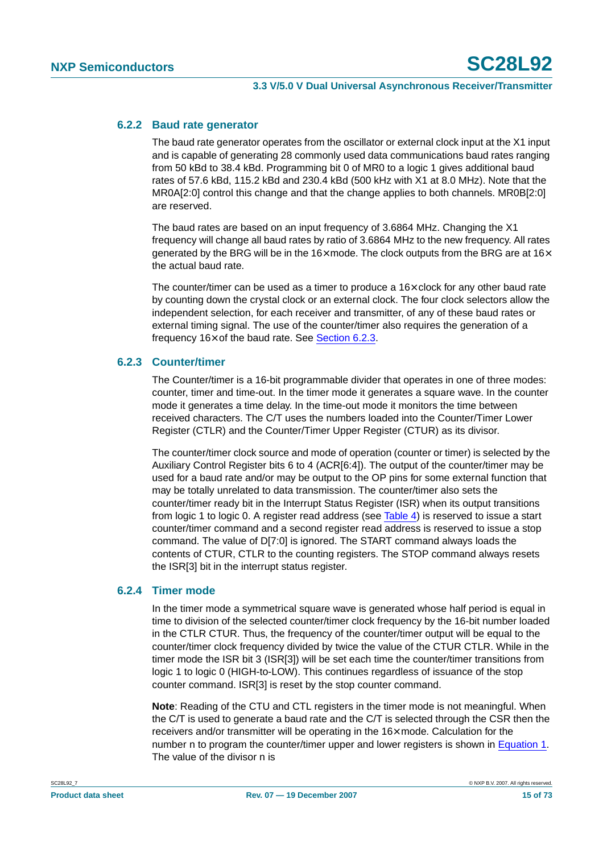#### **6.2.2 Baud rate generator**

The baud rate generator operates from the oscillator or external clock input at the X1 input and is capable of generating 28 commonly used data communications baud rates ranging from 50 kBd to 38.4 kBd. Programming bit 0 of MR0 to a logic 1 gives additional baud rates of 57.6 kBd, 115.2 kBd and 230.4 kBd (500 kHz with X1 at 8.0 MHz). Note that the MR0A[2:0] control this change and that the change applies to both channels. MR0B[2:0] are reserved.

The baud rates are based on an input frequency of 3.6864 MHz. Changing the X1 frequency will change all baud rates by ratio of 3.6864 MHz to the new frequency. All rates generated by the BRG will be in the  $16\times$  mode. The clock outputs from the BRG are at  $16\times$ the actual baud rate.

The counter/timer can be used as a timer to produce a  $16\times$  clock for any other baud rate by counting down the crystal clock or an external clock. The four clock selectors allow the independent selection, for each receiver and transmitter, of any of these baud rates or external timing signal. The use of the counter/timer also requires the generation of a frequency  $16\times$  of the baud rate. See [Section](#page-14-0) 6.2.3.

#### <span id="page-14-0"></span>**6.2.3 Counter/timer**

The Counter/timer is a 16-bit programmable divider that operates in one of three modes: counter, timer and time-out. In the timer mode it generates a square wave. In the counter mode it generates a time delay. In the time-out mode it monitors the time between received characters. The C/T uses the numbers loaded into the Counter/Timer Lower Register (CTLR) and the Counter/Timer Upper Register (CTUR) as its divisor.

The counter/timer clock source and mode of operation (counter or timer) is selected by the Auxiliary Control Register bits 6 to 4 (ACR[6:4]). The output of the counter/timer may be used for a baud rate and/or may be output to the OP pins for some external function that may be totally unrelated to data transmission. The counter/timer also sets the counter/timer ready bit in the Interrupt Status Register (ISR) when its output transitions from logic 1 to logic 0. A register read address (see [Table](#page-22-0) 4) is reserved to issue a start counter/timer command and a second register read address is reserved to issue a stop command. The value of D[7:0] is ignored. The START command always loads the contents of CTUR, CTLR to the counting registers. The STOP command always resets the ISR[3] bit in the interrupt status register.

#### **6.2.4 Timer mode**

In the timer mode a symmetrical square wave is generated whose half period is equal in time to division of the selected counter/timer clock frequency by the 16-bit number loaded in the CTLR CTUR. Thus, the frequency of the counter/timer output will be equal to the counter/timer clock frequency divided by twice the value of the CTUR CTLR. While in the timer mode the ISR bit 3 (ISR[3]) will be set each time the counter/timer transitions from logic 1 to logic 0 (HIGH-to-LOW). This continues regardless of issuance of the stop counter command. ISR[3] is reset by the stop counter command.

**Note**: Reading of the CTU and CTL registers in the timer mode is not meaningful. When the C/T is used to generate a baud rate and the C/T is selected through the CSR then the receivers and/or transmitter will be operating in the 16× mode. Calculation for the number n to program the counter/timer upper and lower registers is shown in [Equation](#page-15-0) 1. The value of the divisor n is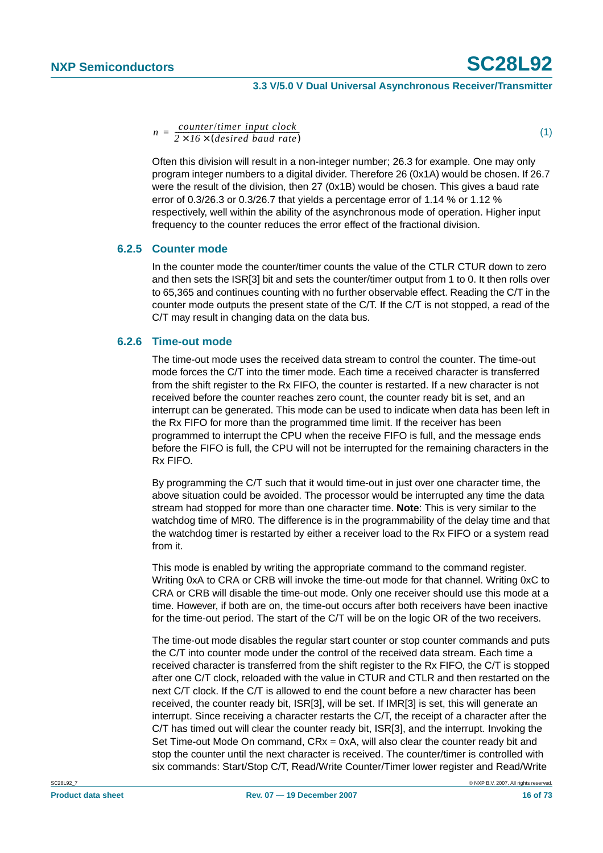<span id="page-15-0"></span>*<sup>n</sup> counter*/*timer input clock*  $\overline{2 \times 16 \times (desired\; baud\; rate)}$ 

Often this division will result in a non-integer number; 26.3 for example. One may only program integer numbers to a digital divider. Therefore 26 (0x1A) would be chosen. If 26.7 were the result of the division, then 27 (0x1B) would be chosen. This gives a baud rate error of 0.3/26.3 or 0.3/26.7 that yields a percentage error of 1.14 % or 1.12 % respectively, well within the ability of the asynchronous mode of operation. Higher input frequency to the counter reduces the error effect of the fractional division.

#### **6.2.5 Counter mode**

In the counter mode the counter/timer counts the value of the CTLR CTUR down to zero and then sets the ISR[3] bit and sets the counter/timer output from 1 to 0. It then rolls over to 65,365 and continues counting with no further observable effect. Reading the C/T in the counter mode outputs the present state of the C/T. If the C/T is not stopped, a read of the C/T may result in changing data on the data bus.

#### **6.2.6 Time-out mode**

The time-out mode uses the received data stream to control the counter. The time-out mode forces the C/T into the timer mode. Each time a received character is transferred from the shift register to the Rx FIFO, the counter is restarted. If a new character is not received before the counter reaches zero count, the counter ready bit is set, and an interrupt can be generated. This mode can be used to indicate when data has been left in the Rx FIFO for more than the programmed time limit. If the receiver has been programmed to interrupt the CPU when the receive FIFO is full, and the message ends before the FIFO is full, the CPU will not be interrupted for the remaining characters in the Rx FIFO.

By programming the C/T such that it would time-out in just over one character time, the above situation could be avoided. The processor would be interrupted any time the data stream had stopped for more than one character time. **Note**: This is very similar to the watchdog time of MR0. The difference is in the programmability of the delay time and that the watchdog timer is restarted by either a receiver load to the Rx FIFO or a system read from it.

This mode is enabled by writing the appropriate command to the command register. Writing 0xA to CRA or CRB will invoke the time-out mode for that channel. Writing 0xC to CRA or CRB will disable the time-out mode. Only one receiver should use this mode at a time. However, if both are on, the time-out occurs after both receivers have been inactive for the time-out period. The start of the C/T will be on the logic OR of the two receivers.

The time-out mode disables the regular start counter or stop counter commands and puts the C/T into counter mode under the control of the received data stream. Each time a received character is transferred from the shift register to the Rx FIFO, the C/T is stopped after one C/T clock, reloaded with the value in CTUR and CTLR and then restarted on the next C/T clock. If the C/T is allowed to end the count before a new character has been received, the counter ready bit, ISR[3], will be set. If IMR[3] is set, this will generate an interrupt. Since receiving a character restarts the C/T, the receipt of a character after the C/T has timed out will clear the counter ready bit, ISR[3], and the interrupt. Invoking the Set Time-out Mode On command,  $CRx = 0xA$ , will also clear the counter ready bit and stop the counter until the next character is received. The counter/timer is controlled with six commands: Start/Stop C/T, Read/Write Counter/Timer lower register and Read/Write

(1)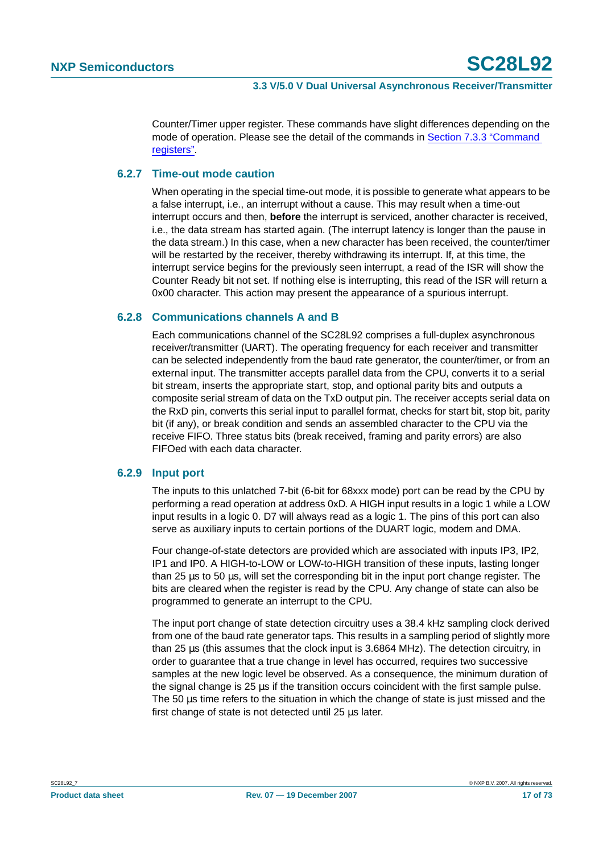Counter/Timer upper register. These commands have slight differences depending on the mode of operation. Please see the detail of the commands in [Section 7.3.3 "Command](#page-34-0) [registers".](#page-34-0)

#### **6.2.7 Time-out mode caution**

When operating in the special time-out mode, it is possible to generate what appears to be a false interrupt, i.e., an interrupt without a cause. This may result when a time-out interrupt occurs and then, **before** the interrupt is serviced, another character is received, i.e., the data stream has started again. (The interrupt latency is longer than the pause in the data stream.) In this case, when a new character has been received, the counter/timer will be restarted by the receiver, thereby withdrawing its interrupt. If, at this time, the interrupt service begins for the previously seen interrupt, a read of the ISR will show the Counter Ready bit not set. If nothing else is interrupting, this read of the ISR will return a 0x00 character. This action may present the appearance of a spurious interrupt.

#### **6.2.8 Communications channels A and B**

Each communications channel of the SC28L92 comprises a full-duplex asynchronous receiver/transmitter (UART). The operating frequency for each receiver and transmitter can be selected independently from the baud rate generator, the counter/timer, or from an external input. The transmitter accepts parallel data from the CPU, converts it to a serial bit stream, inserts the appropriate start, stop, and optional parity bits and outputs a composite serial stream of data on the TxD output pin. The receiver accepts serial data on the RxD pin, converts this serial input to parallel format, checks for start bit, stop bit, parity bit (if any), or break condition and sends an assembled character to the CPU via the receive FIFO. Three status bits (break received, framing and parity errors) are also FIFOed with each data character.

#### **6.2.9 Input port**

The inputs to this unlatched 7-bit (6-bit for 68xxx mode) port can be read by the CPU by performing a read operation at address 0xD. A HIGH input results in a logic 1 while a LOW input results in a logic 0. D7 will always read as a logic 1. The pins of this port can also serve as auxiliary inputs to certain portions of the DUART logic, modem and DMA.

Four change-of-state detectors are provided which are associated with inputs IP3, IP2, IP1 and IP0. A HIGH-to-LOW or LOW-to-HIGH transition of these inputs, lasting longer than 25 µs to 50 µs, will set the corresponding bit in the input port change register. The bits are cleared when the register is read by the CPU. Any change of state can also be programmed to generate an interrupt to the CPU.

The input port change of state detection circuitry uses a 38.4 kHz sampling clock derived from one of the baud rate generator taps. This results in a sampling period of slightly more than 25 µs (this assumes that the clock input is 3.6864 MHz). The detection circuitry, in order to guarantee that a true change in level has occurred, requires two successive samples at the new logic level be observed. As a consequence, the minimum duration of the signal change is 25 µs if the transition occurs coincident with the first sample pulse. The 50 µs time refers to the situation in which the change of state is just missed and the first change of state is not detected until 25 µs later.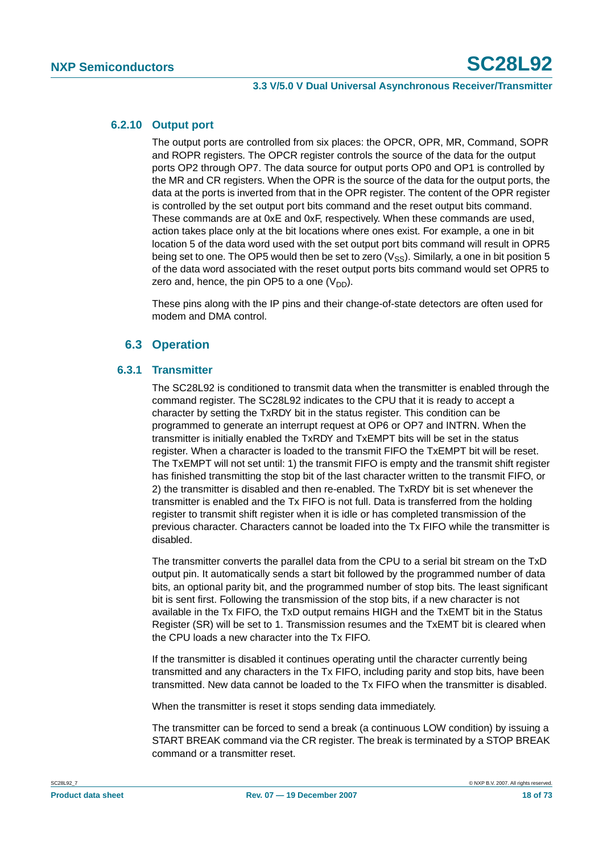#### **6.2.10 Output port**

The output ports are controlled from six places: the OPCR, OPR, MR, Command, SOPR and ROPR registers. The OPCR register controls the source of the data for the output ports OP2 through OP7. The data source for output ports OP0 and OP1 is controlled by the MR and CR registers. When the OPR is the source of the data for the output ports, the data at the ports is inverted from that in the OPR register. The content of the OPR register is controlled by the set output port bits command and the reset output bits command. These commands are at 0xE and 0xF, respectively. When these commands are used, action takes place only at the bit locations where ones exist. For example, a one in bit location 5 of the data word used with the set output port bits command will result in OPR5 being set to one. The OP5 would then be set to zero ( $V_{SS}$ ). Similarly, a one in bit position 5 of the data word associated with the reset output ports bits command would set OPR5 to zero and, hence, the pin OP5 to a one  $(V_{DD})$ .

These pins along with the IP pins and their change-of-state detectors are often used for modem and DMA control.

#### **6.3 Operation**

#### **6.3.1 Transmitter**

The SC28L92 is conditioned to transmit data when the transmitter is enabled through the command register. The SC28L92 indicates to the CPU that it is ready to accept a character by setting the TxRDY bit in the status register. This condition can be programmed to generate an interrupt request at OP6 or OP7 and INTRN. When the transmitter is initially enabled the TxRDY and TxEMPT bits will be set in the status register. When a character is loaded to the transmit FIFO the TxEMPT bit will be reset. The TxEMPT will not set until: 1) the transmit FIFO is empty and the transmit shift register has finished transmitting the stop bit of the last character written to the transmit FIFO, or 2) the transmitter is disabled and then re-enabled. The TxRDY bit is set whenever the transmitter is enabled and the Tx FIFO is not full. Data is transferred from the holding register to transmit shift register when it is idle or has completed transmission of the previous character. Characters cannot be loaded into the Tx FIFO while the transmitter is disabled.

The transmitter converts the parallel data from the CPU to a serial bit stream on the TxD output pin. It automatically sends a start bit followed by the programmed number of data bits, an optional parity bit, and the programmed number of stop bits. The least significant bit is sent first. Following the transmission of the stop bits, if a new character is not available in the Tx FIFO, the TxD output remains HIGH and the TxEMT bit in the Status Register (SR) will be set to 1. Transmission resumes and the TxEMT bit is cleared when the CPU loads a new character into the Tx FIFO.

If the transmitter is disabled it continues operating until the character currently being transmitted and any characters in the Tx FIFO, including parity and stop bits, have been transmitted. New data cannot be loaded to the Tx FIFO when the transmitter is disabled.

When the transmitter is reset it stops sending data immediately.

The transmitter can be forced to send a break (a continuous LOW condition) by issuing a START BREAK command via the CR register. The break is terminated by a STOP BREAK command or a transmitter reset.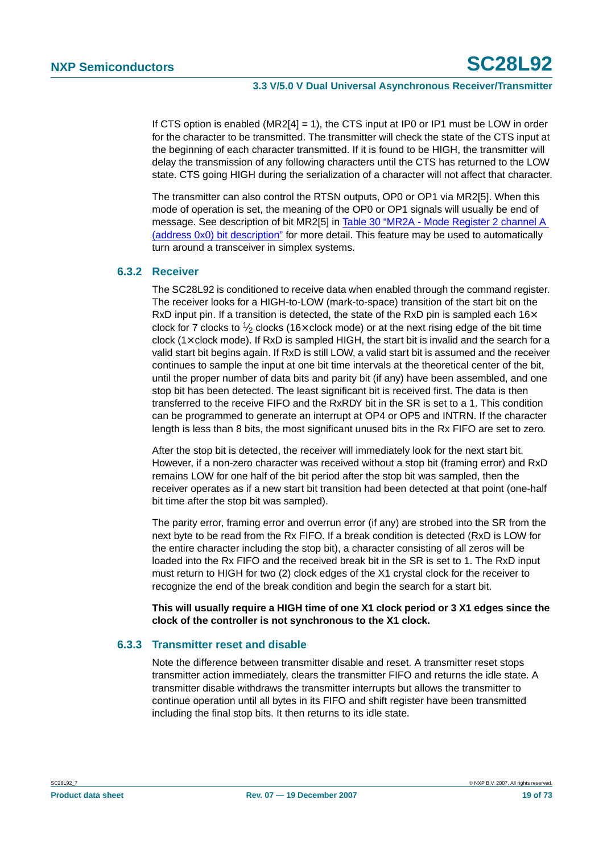If CTS option is enabled ( $MR2[4] = 1$ ), the CTS input at IP0 or IP1 must be LOW in order for the character to be transmitted. The transmitter will check the state of the CTS input at the beginning of each character transmitted. If it is found to be HIGH, the transmitter will delay the transmission of any following characters until the CTS has returned to the LOW state. CTS going HIGH during the serialization of a character will not affect that character.

The transmitter can also control the RTSN outputs, OP0 or OP1 via MR2[5]. When this mode of operation is set, the meaning of the OP0 or OP1 signals will usually be end of message. See description of bit MR2[5] in [Table 30 "MR2A - Mode Register 2 channel A](#page-28-0) [\(address 0x0\) bit description"](#page-28-0) for more detail. This feature may be used to automatically turn around a transceiver in simplex systems.

#### **6.3.2 Receiver**

The SC28L92 is conditioned to receive data when enabled through the command register. The receiver looks for a HIGH-to-LOW (mark-to-space) transition of the start bit on the RxD input pin. If a transition is detected, the state of the RxD pin is sampled each  $16\times$ clock for 7 clocks to  $\frac{1}{2}$  clocks (16 $\times$  clock mode) or at the next rising edge of the bit time clock (1× clock mode). If RxD is sampled HIGH, the start bit is invalid and the search for a valid start bit begins again. If RxD is still LOW, a valid start bit is assumed and the receiver continues to sample the input at one bit time intervals at the theoretical center of the bit, until the proper number of data bits and parity bit (if any) have been assembled, and one stop bit has been detected. The least significant bit is received first. The data is then transferred to the receive FIFO and the RxRDY bit in the SR is set to a 1. This condition can be programmed to generate an interrupt at OP4 or OP5 and INTRN. If the character length is less than 8 bits, the most significant unused bits in the Rx FIFO are set to zero.

After the stop bit is detected, the receiver will immediately look for the next start bit. However, if a non-zero character was received without a stop bit (framing error) and RxD remains LOW for one half of the bit period after the stop bit was sampled, then the receiver operates as if a new start bit transition had been detected at that point (one-half bit time after the stop bit was sampled).

The parity error, framing error and overrun error (if any) are strobed into the SR from the next byte to be read from the Rx FIFO. If a break condition is detected (RxD is LOW for the entire character including the stop bit), a character consisting of all zeros will be loaded into the Rx FIFO and the received break bit in the SR is set to 1. The RxD input must return to HIGH for two (2) clock edges of the X1 crystal clock for the receiver to recognize the end of the break condition and begin the search for a start bit.

**This will usually require a HIGH time of one X1 clock period or 3 X1 edges since the clock of the controller is not synchronous to the X1 clock.**

#### **6.3.3 Transmitter reset and disable**

Note the difference between transmitter disable and reset. A transmitter reset stops transmitter action immediately, clears the transmitter FIFO and returns the idle state. A transmitter disable withdraws the transmitter interrupts but allows the transmitter to continue operation until all bytes in its FIFO and shift register have been transmitted including the final stop bits. It then returns to its idle state.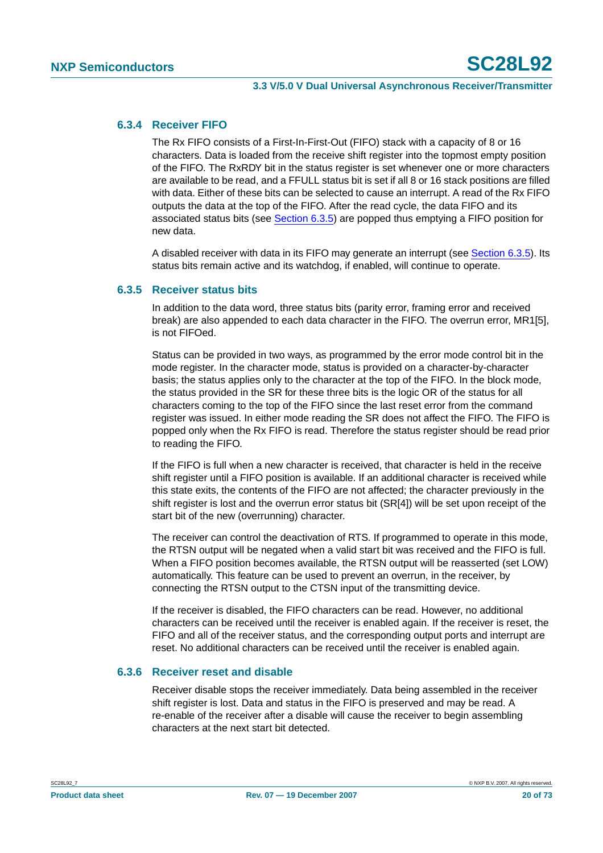#### **6.3.4 Receiver FIFO**

The Rx FIFO consists of a First-In-First-Out (FIFO) stack with a capacity of 8 or 16 characters. Data is loaded from the receive shift register into the topmost empty position of the FIFO. The RxRDY bit in the status register is set whenever one or more characters are available to be read, and a FFULL status bit is set if all 8 or 16 stack positions are filled with data. Either of these bits can be selected to cause an interrupt. A read of the Rx FIFO outputs the data at the top of the FIFO. After the read cycle, the data FIFO and its associated status bits (see [Section](#page-19-0) 6.3.5) are popped thus emptying a FIFO position for new data.

A disabled receiver with data in its FIFO may generate an interrupt (see [Section](#page-19-0) 6.3.5). Its status bits remain active and its watchdog, if enabled, will continue to operate.

#### <span id="page-19-0"></span>**6.3.5 Receiver status bits**

In addition to the data word, three status bits (parity error, framing error and received break) are also appended to each data character in the FIFO. The overrun error, MR1[5], is not FIFOed.

Status can be provided in two ways, as programmed by the error mode control bit in the mode register. In the character mode, status is provided on a character-by-character basis; the status applies only to the character at the top of the FIFO. In the block mode, the status provided in the SR for these three bits is the logic OR of the status for all characters coming to the top of the FIFO since the last reset error from the command register was issued. In either mode reading the SR does not affect the FIFO. The FIFO is popped only when the Rx FIFO is read. Therefore the status register should be read prior to reading the FIFO.

If the FIFO is full when a new character is received, that character is held in the receive shift register until a FIFO position is available. If an additional character is received while this state exits, the contents of the FIFO are not affected; the character previously in the shift register is lost and the overrun error status bit (SR[4]) will be set upon receipt of the start bit of the new (overrunning) character.

The receiver can control the deactivation of RTS. If programmed to operate in this mode, the RTSN output will be negated when a valid start bit was received and the FIFO is full. When a FIFO position becomes available, the RTSN output will be reasserted (set LOW) automatically. This feature can be used to prevent an overrun, in the receiver, by connecting the RTSN output to the CTSN input of the transmitting device.

If the receiver is disabled, the FIFO characters can be read. However, no additional characters can be received until the receiver is enabled again. If the receiver is reset, the FIFO and all of the receiver status, and the corresponding output ports and interrupt are reset. No additional characters can be received until the receiver is enabled again.

#### **6.3.6 Receiver reset and disable**

Receiver disable stops the receiver immediately. Data being assembled in the receiver shift register is lost. Data and status in the FIFO is preserved and may be read. A re-enable of the receiver after a disable will cause the receiver to begin assembling characters at the next start bit detected.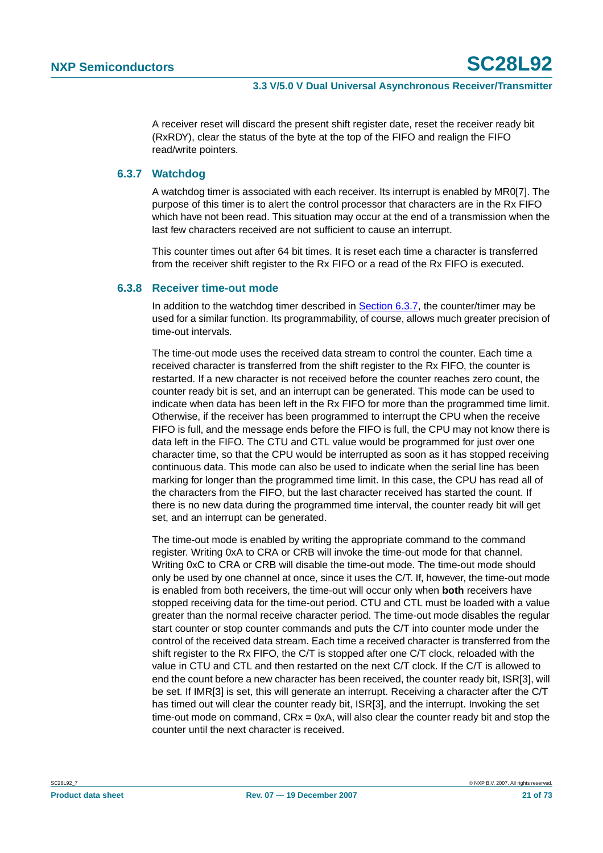A receiver reset will discard the present shift register date, reset the receiver ready bit (RxRDY), clear the status of the byte at the top of the FIFO and realign the FIFO read/write pointers.

#### <span id="page-20-0"></span>**6.3.7 Watchdog**

A watchdog timer is associated with each receiver. Its interrupt is enabled by MR0[7]. The purpose of this timer is to alert the control processor that characters are in the Rx FIFO which have not been read. This situation may occur at the end of a transmission when the last few characters received are not sufficient to cause an interrupt.

This counter times out after 64 bit times. It is reset each time a character is transferred from the receiver shift register to the Rx FIFO or a read of the Rx FIFO is executed.

#### **6.3.8 Receiver time-out mode**

In addition to the watchdog timer described in [Section](#page-20-0) 6.3.7, the counter/timer may be used for a similar function. Its programmability, of course, allows much greater precision of time-out intervals.

The time-out mode uses the received data stream to control the counter. Each time a received character is transferred from the shift register to the Rx FIFO, the counter is restarted. If a new character is not received before the counter reaches zero count, the counter ready bit is set, and an interrupt can be generated. This mode can be used to indicate when data has been left in the Rx FIFO for more than the programmed time limit. Otherwise, if the receiver has been programmed to interrupt the CPU when the receive FIFO is full, and the message ends before the FIFO is full, the CPU may not know there is data left in the FIFO. The CTU and CTL value would be programmed for just over one character time, so that the CPU would be interrupted as soon as it has stopped receiving continuous data. This mode can also be used to indicate when the serial line has been marking for longer than the programmed time limit. In this case, the CPU has read all of the characters from the FIFO, but the last character received has started the count. If there is no new data during the programmed time interval, the counter ready bit will get set, and an interrupt can be generated.

The time-out mode is enabled by writing the appropriate command to the command register. Writing 0xA to CRA or CRB will invoke the time-out mode for that channel. Writing 0xC to CRA or CRB will disable the time-out mode. The time-out mode should only be used by one channel at once, since it uses the C/T. If, however, the time-out mode is enabled from both receivers, the time-out will occur only when **both** receivers have stopped receiving data for the time-out period. CTU and CTL must be loaded with a value greater than the normal receive character period. The time-out mode disables the regular start counter or stop counter commands and puts the C/T into counter mode under the control of the received data stream. Each time a received character is transferred from the shift register to the Rx FIFO, the C/T is stopped after one C/T clock, reloaded with the value in CTU and CTL and then restarted on the next C/T clock. If the C/T is allowed to end the count before a new character has been received, the counter ready bit, ISR[3], will be set. If IMR[3] is set, this will generate an interrupt. Receiving a character after the C/T has timed out will clear the counter ready bit, ISR[3], and the interrupt. Invoking the set time-out mode on command, CRx = 0xA, will also clear the counter ready bit and stop the counter until the next character is received.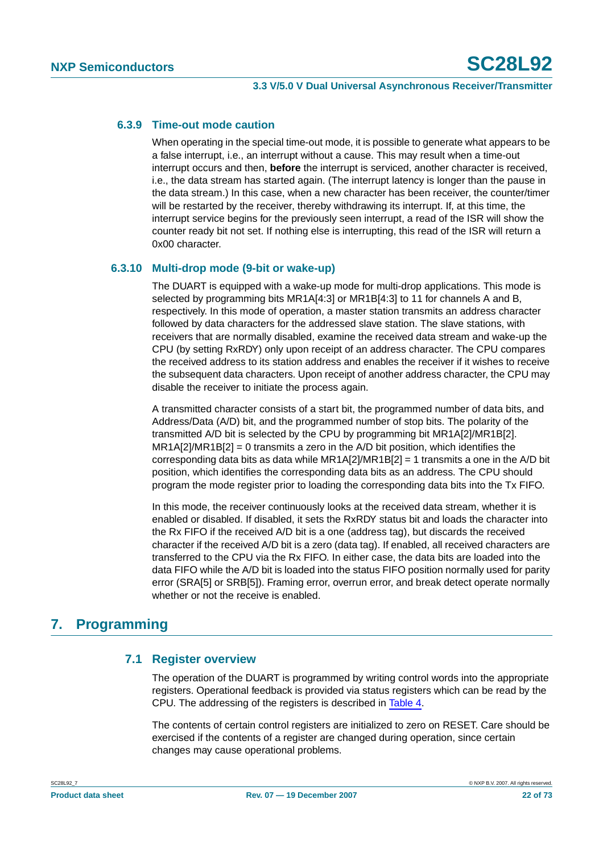### **6.3.9 Time-out mode caution**

When operating in the special time-out mode, it is possible to generate what appears to be a false interrupt, i.e., an interrupt without a cause. This may result when a time-out interrupt occurs and then, **before** the interrupt is serviced, another character is received, i.e., the data stream has started again. (The interrupt latency is longer than the pause in the data stream.) In this case, when a new character has been receiver, the counter/timer will be restarted by the receiver, thereby withdrawing its interrupt. If, at this time, the interrupt service begins for the previously seen interrupt, a read of the ISR will show the counter ready bit not set. If nothing else is interrupting, this read of the ISR will return a 0x00 character.

## <span id="page-21-0"></span>**6.3.10 Multi-drop mode (9-bit or wake-up)**

The DUART is equipped with a wake-up mode for multi-drop applications. This mode is selected by programming bits MR1A[4:3] or MR1B[4:3] to 11 for channels A and B, respectively. In this mode of operation, a master station transmits an address character followed by data characters for the addressed slave station. The slave stations, with receivers that are normally disabled, examine the received data stream and wake-up the CPU (by setting RxRDY) only upon receipt of an address character. The CPU compares the received address to its station address and enables the receiver if it wishes to receive the subsequent data characters. Upon receipt of another address character, the CPU may disable the receiver to initiate the process again.

A transmitted character consists of a start bit, the programmed number of data bits, and Address/Data (A/D) bit, and the programmed number of stop bits. The polarity of the transmitted A/D bit is selected by the CPU by programming bit MR1A[2]/MR1B[2].  $MR1A[2]/MR1B[2] = 0$  transmits a zero in the A/D bit position, which identifies the corresponding data bits as data while MR1A[2]/MR1B[2] = 1 transmits a one in the A/D bit position, which identifies the corresponding data bits as an address. The CPU should program the mode register prior to loading the corresponding data bits into the Tx FIFO.

In this mode, the receiver continuously looks at the received data stream, whether it is enabled or disabled. If disabled, it sets the RxRDY status bit and loads the character into the Rx FIFO if the received A/D bit is a one (address tag), but discards the received character if the received A/D bit is a zero (data tag). If enabled, all received characters are transferred to the CPU via the Rx FIFO. In either case, the data bits are loaded into the data FIFO while the A/D bit is loaded into the status FIFO position normally used for parity error (SRA[5] or SRB[5]). Framing error, overrun error, and break detect operate normally whether or not the receive is enabled.

## **7. Programming**

## **7.1 Register overview**

The operation of the DUART is programmed by writing control words into the appropriate registers. Operational feedback is provided via status registers which can be read by the CPU. The addressing of the registers is described in [Table](#page-22-0) 4.

The contents of certain control registers are initialized to zero on RESET. Care should be exercised if the contents of a register are changed during operation, since certain changes may cause operational problems.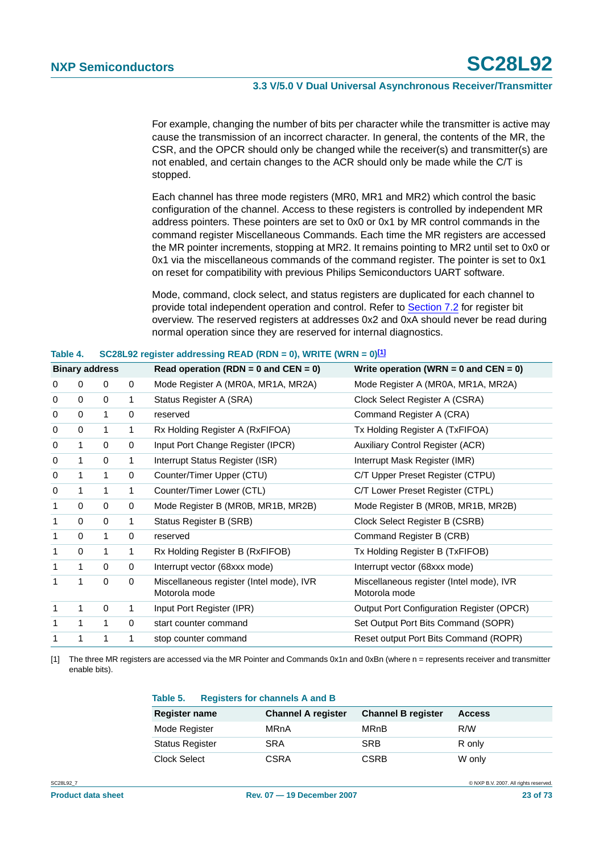For example, changing the number of bits per character while the transmitter is active may cause the transmission of an incorrect character. In general, the contents of the MR, the CSR, and the OPCR should only be changed while the receiver(s) and transmitter(s) are not enabled, and certain changes to the ACR should only be made while the C/T is stopped.

Each channel has three mode registers (MR0, MR1 and MR2) which control the basic configuration of the channel. Access to these registers is controlled by independent MR address pointers. These pointers are set to 0x0 or 0x1 by MR control commands in the command register Miscellaneous Commands. Each time the MR registers are accessed the MR pointer increments, stopping at MR2. It remains pointing to MR2 until set to 0x0 or 0x1 via the miscellaneous commands of the command register. The pointer is set to 0x1 on reset for compatibility with previous Philips Semiconductors UART software.

Mode, command, clock select, and status registers are duplicated for each channel to provide total independent operation and control. Refer to [Section](#page-23-0) 7.2 for register bit overview. The reserved registers at addresses 0x2 and 0xA should never be read during normal operation since they are reserved for internal diagnostics.

| Table 4.              |              |              |             | $SOZoL9Z$ register addressing READ (RDN = 0), WRITE (WRN = 0) $\Omega$ |                                                           |  |  |  |  |  |
|-----------------------|--------------|--------------|-------------|------------------------------------------------------------------------|-----------------------------------------------------------|--|--|--|--|--|
| <b>Binary address</b> |              |              |             | Read operation (RDN = $0$ and CEN = $0$ )                              | Write operation (WRN = $0$ and CEN = $0$ )                |  |  |  |  |  |
| 0                     | 0            | $\mathbf 0$  | 0           | Mode Register A (MR0A, MR1A, MR2A)                                     | Mode Register A (MR0A, MR1A, MR2A)                        |  |  |  |  |  |
| 0                     | 0            | $\Omega$     | 1           | Status Register A (SRA)                                                | Clock Select Register A (CSRA)                            |  |  |  |  |  |
| 0                     | 0            | 1            | 0           | reserved                                                               | Command Register A (CRA)                                  |  |  |  |  |  |
| 0                     | 0            | 1            | 1           | Rx Holding Register A (RxFIFOA)                                        | Tx Holding Register A (TxFIFOA)                           |  |  |  |  |  |
| 0                     | 1            | $\mathbf 0$  | 0           | Input Port Change Register (IPCR)                                      | <b>Auxiliary Control Register (ACR)</b>                   |  |  |  |  |  |
| 0                     | 1            | $\Omega$     | 1           | Interrupt Status Register (ISR)                                        | Interrupt Mask Register (IMR)                             |  |  |  |  |  |
| 0                     | 1            | 1            | 0           | Counter/Timer Upper (CTU)                                              | C/T Upper Preset Register (CTPU)                          |  |  |  |  |  |
| 0                     | 1            | 1            | 1           | Counter/Timer Lower (CTL)                                              | C/T Lower Preset Register (CTPL)                          |  |  |  |  |  |
| $\mathbf{1}$          | $\Omega$     | $\Omega$     | 0           | Mode Register B (MR0B, MR1B, MR2B)                                     | Mode Register B (MR0B, MR1B, MR2B)                        |  |  |  |  |  |
| $\mathbf{1}$          | $\Omega$     | $\Omega$     | 1           | Status Register B (SRB)                                                | Clock Select Register B (CSRB)                            |  |  |  |  |  |
| 1                     | $\Omega$     | $\mathbf{1}$ | 0           | reserved                                                               | Command Register B (CRB)                                  |  |  |  |  |  |
| 1                     | $\Omega$     | 1            | 1           | Rx Holding Register B (RxFIFOB)                                        | Tx Holding Register B (TxFIFOB)                           |  |  |  |  |  |
| $\mathbf{1}$          | $\mathbf 1$  | $\mathbf{0}$ | 0           | Interrupt vector (68xxx mode)                                          | Interrupt vector (68xxx mode)                             |  |  |  |  |  |
| $\mathbf{1}$          | 1            | $\Omega$     | 0           | Miscellaneous register (Intel mode), IVR<br>Motorola mode              | Miscellaneous register (Intel mode), IVR<br>Motorola mode |  |  |  |  |  |
| $\mathbf{1}$          | 1            | $\mathbf 0$  | 1           | Input Port Register (IPR)                                              | <b>Output Port Configuration Register (OPCR)</b>          |  |  |  |  |  |
| $\mathbf{1}$          | $\mathbf{1}$ | 1            | $\mathbf 0$ | start counter command                                                  | Set Output Port Bits Command (SOPR)                       |  |  |  |  |  |
| 1                     | 1            | 1            | 1           | stop counter command                                                   | Reset output Port Bits Command (ROPR)                     |  |  |  |  |  |

#### <span id="page-22-0"></span>**Table 4. SC28L92 register addressing READ (RDN = 0), WRITE (WRN = 0)[\[1\]](#page-22-1)**

<span id="page-22-1"></span>[1] The three MR registers are accessed via the MR Pointer and Commands 0x1n and 0xBn (where n = represents receiver and transmitter enable bits).

#### **Table 5. Registers for channels A and B**

| <b>Register name</b>   | <b>Channel A register</b> | <b>Channel B register</b> | <b>Access</b> |
|------------------------|---------------------------|---------------------------|---------------|
| Mode Register          | MRnA                      | MRnB                      | R/W           |
| <b>Status Register</b> | <b>SRA</b>                | <b>SRB</b>                | R only        |
| Clock Select           | CSRA                      | <b>CSRB</b>               | W only        |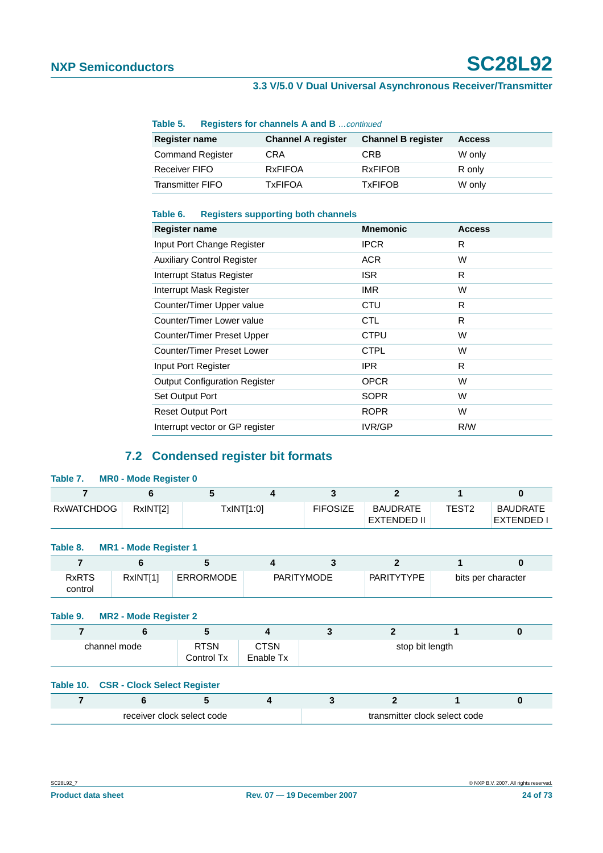| Table J.                | Registers for channels A and BCommed |                           |               |
|-------------------------|--------------------------------------|---------------------------|---------------|
| <b>Register name</b>    | <b>Channel A register</b>            | <b>Channel B register</b> | <b>Access</b> |
| <b>Command Register</b> | <b>CRA</b>                           | CRB                       | W only        |
| <b>Receiver FIFO</b>    | <b>RxFIFOA</b>                       | <b>RxFIFOB</b>            | R only        |
| <b>Transmitter FIFO</b> | <b>TxFIFOA</b>                       | <b>TxFIFOB</b>            | W only        |

#### **Table 5. Registers for channels A and B** continued

#### **Table 6. Registers supporting both channels**

| Register name                        | <b>Mnemonic</b> | <b>Access</b> |
|--------------------------------------|-----------------|---------------|
| Input Port Change Register           | <b>IPCR</b>     | R             |
| <b>Auxiliary Control Register</b>    | ACR.            | W             |
| <b>Interrupt Status Register</b>     | ISR.            | R             |
| Interrupt Mask Register              | <b>IMR</b>      | W             |
| Counter/Timer Upper value            | CTU             | R             |
| Counter/Timer Lower value            | <b>CTL</b>      | R             |
| Counter/Timer Preset Upper           | <b>CTPU</b>     | W             |
| Counter/Timer Preset Lower           | <b>CTPL</b>     | W             |
| Input Port Register                  | <b>IPR</b>      | R             |
| <b>Output Configuration Register</b> | <b>OPCR</b>     | W             |
| Set Output Port                      | <b>SOPR</b>     | W             |
| <b>Reset Output Port</b>             | <b>ROPR</b>     | W             |
| Interrupt vector or GP register      | IVR/GP          | R/W           |

## **7.2 Condensed register bit formats**

<span id="page-23-0"></span>

| Table 7.                                  | <b>MR0 - Mode Register 0</b>       |                  |                          |                   |                                         |                   |                                      |  |  |  |
|-------------------------------------------|------------------------------------|------------------|--------------------------|-------------------|-----------------------------------------|-------------------|--------------------------------------|--|--|--|
| 7                                         | 6                                  | 5                | 4                        | 3                 | $\overline{2}$                          | 1                 | $\bf{0}$                             |  |  |  |
| <b>RxWATCHDOG</b>                         | RxINT[2]                           |                  | TxINT[1:0]               | <b>FIFOSIZE</b>   | <b>BAUDRATE</b><br><b>EXTENDED II</b>   | TEST <sub>2</sub> | <b>BAUDRATE</b><br><b>EXTENDED I</b> |  |  |  |
| <b>MR1 - Mode Register 1</b><br>Table 8.  |                                    |                  |                          |                   |                                         |                   |                                      |  |  |  |
| 7                                         | 6                                  | 5                | $\overline{\mathbf{4}}$  | 3                 | $\overline{2}$                          | 1                 | $\bf{0}$                             |  |  |  |
| <b>RxRTS</b><br>control                   | RxINT[1]                           | <b>ERRORMODE</b> |                          | <b>PARITYMODE</b> | <b>PARITYTYPE</b><br>bits per character |                   |                                      |  |  |  |
| Table 9.                                  | <b>MR2 - Mode Register 2</b>       |                  |                          |                   |                                         |                   |                                      |  |  |  |
| $\overline{7}$                            | 6                                  | 5                | 4                        | 3                 | $\overline{2}$                          | 1                 | $\bf{0}$                             |  |  |  |
| <b>RTSN</b><br>channel mode<br>Control Tx |                                    |                  | <b>CTSN</b><br>Enable Tx | stop bit length   |                                         |                   |                                      |  |  |  |
| Table 10.                                 | <b>CSR - Clock Select Register</b> |                  |                          |                   |                                         |                   |                                      |  |  |  |
| $\overline{7}$                            | 6                                  | 5                | 4                        | 3                 | $\overline{2}$                          | 1                 | $\bf{0}$                             |  |  |  |
|                                           | receiver clock select code         |                  |                          |                   | transmitter clock select code           |                   |                                      |  |  |  |
|                                           |                                    |                  |                          |                   |                                         |                   |                                      |  |  |  |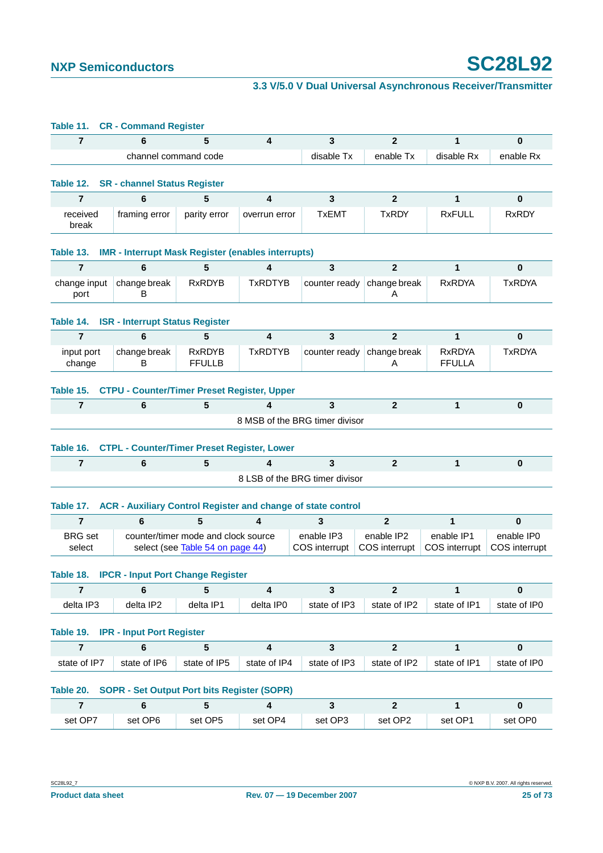| Table 11.                   | <b>CR - Command Register</b>                                        |                                                                         |                         |                                |                             |                                |                              |
|-----------------------------|---------------------------------------------------------------------|-------------------------------------------------------------------------|-------------------------|--------------------------------|-----------------------------|--------------------------------|------------------------------|
| $\overline{7}$              | 6                                                                   | 5                                                                       | 4                       | 3                              | $\mathbf{2}$                | 1                              | 0                            |
|                             | channel command code                                                |                                                                         |                         | disable Tx                     | enable Tx                   | disable Rx                     | enable Rx                    |
| Table 12.                   | <b>SR</b> - channel Status Register                                 |                                                                         |                         |                                |                             |                                |                              |
| $\overline{7}$              | 6                                                                   | 5                                                                       | 4                       | $\mathbf{3}$                   | $\overline{2}$              | 1                              | $\pmb{0}$                    |
| received<br>break           | framing error                                                       | parity error                                                            | overrun error           | <b>TxEMT</b>                   | <b>TxRDY</b>                | <b>RxFULL</b>                  | <b>RxRDY</b>                 |
| Table 13.                   | <b>IMR - Interrupt Mask Register (enables interrupts)</b>           |                                                                         |                         |                                |                             |                                |                              |
| $\overline{7}$              | 6                                                                   | 5                                                                       | 4                       | 3                              | $\overline{2}$              | 1                              | 0                            |
| change input<br>port        | change break<br>в                                                   | <b>RxRDYB</b>                                                           | <b>TxRDTYB</b>          | counter ready                  | change break<br>Α           | <b>RxRDYA</b>                  | <b>TxRDYA</b>                |
| Table 14.                   | <b>ISR - Interrupt Status Register</b>                              |                                                                         |                         |                                |                             |                                |                              |
| $\overline{7}$              | 6                                                                   | 5                                                                       | 4                       | 3                              | $\mathbf{2}$                | 1                              | 0                            |
| input port<br>change        | change break<br>В                                                   | <b>RxRDYB</b><br><b>FFULLB</b>                                          | <b>TxRDTYB</b>          | counter ready                  | change break<br>A           | <b>RxRDYA</b><br><b>FFULLA</b> | <b>TxRDYA</b>                |
| Table 15.                   | <b>CTPU - Counter/Timer Preset Register, Upper</b>                  |                                                                         |                         |                                |                             |                                |                              |
|                             |                                                                     |                                                                         |                         |                                |                             |                                |                              |
| $\overline{7}$              | 6                                                                   | 5                                                                       | 4                       | 3                              | $\overline{2}$              | 1                              | $\bf{0}$                     |
|                             |                                                                     |                                                                         |                         | 8 MSB of the BRG timer divisor |                             |                                |                              |
| Table 16.                   | <b>CTPL - Counter/Timer Preset Register, Lower</b>                  |                                                                         |                         |                                |                             |                                |                              |
| $\overline{7}$              | 6                                                                   | 5                                                                       | 4                       | $\mathbf{3}$                   | $\overline{2}$              | 1                              | $\mathbf 0$                  |
|                             |                                                                     |                                                                         |                         | 8 LSB of the BRG timer divisor |                             |                                |                              |
|                             | <b>ACR - Auxiliary Control Register and change of state control</b> |                                                                         |                         |                                |                             |                                |                              |
| Table 17.<br>$\overline{7}$ | 6                                                                   | 5                                                                       | 4                       | 3                              | $\mathbf{2}$                | 1                              | 0                            |
| <b>BRG</b> set<br>select    |                                                                     | counter/timer mode and clock source<br>select (see Table 54 on page 44) |                         | enable IP3<br>COS interrupt    | enable IP2<br>COS interrupt | enable IP1<br>COS interrupt    | enable IP0                   |
|                             | Table 18. IPCR - Input Port Change Register                         |                                                                         |                         |                                |                             |                                | COS interrupt                |
| $\overline{7}$              | 6                                                                   | 5                                                                       | $\overline{\mathbf{4}}$ | 3                              | $\overline{2}$              | $\mathbf{1}$                   | 0                            |
| delta IP3                   | delta IP2                                                           | delta IP1                                                               | delta IP0               | state of IP3                   | state of IP2                | state of IP1                   |                              |
|                             | Table 19. IPR - Input Port Register                                 |                                                                         |                         |                                |                             |                                |                              |
| $\overline{7}$              | 6                                                                   | 5                                                                       | 4                       | $\mathbf{3}$                   | $\overline{2}$              | 1                              | state of IP0<br>$\mathbf{0}$ |
| state of IP7                | state of IP6                                                        | state of IP5                                                            | state of IP4            | state of IP3                   | state of IP2                | state of IP1                   |                              |
|                             | <b>SOPR - Set Output Port bits Register (SOPR)</b>                  |                                                                         |                         |                                |                             |                                |                              |
| Table 20.<br>$\overline{7}$ | 6                                                                   | 5                                                                       | $\overline{\mathbf{4}}$ | $\overline{\mathbf{3}}$        | $\overline{2}$              | $\mathbf{1}$                   | state of IP0<br>$\pmb{0}$    |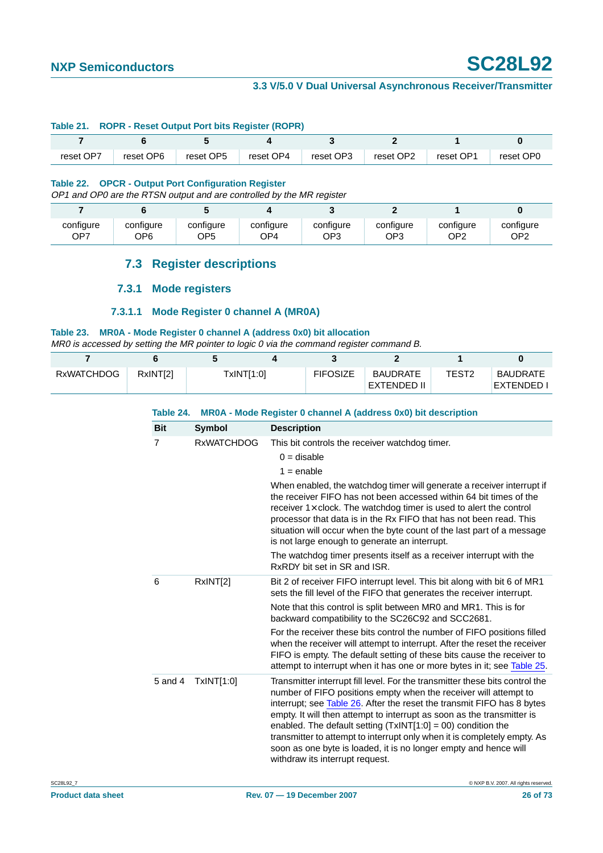#### **Table 21. ROPR - Reset Output Port bits Register (ROPR)**

| reset OP7 | reset OP6 | reset OP5 | reset OP4 | reset OP3 | reset OP2 | reset OP1 | reset OP0 |
|-----------|-----------|-----------|-----------|-----------|-----------|-----------|-----------|

#### **Table 22. OPCR - Output Port Configuration Register**

OP1 and OP0 are the RTSN output and are controlled by the MR register

| configure | configure | configure | configure | configure | configure | configure | configure |
|-----------|-----------|-----------|-----------|-----------|-----------|-----------|-----------|
| OP7       | OP6       | OP5       | OP4       | OP3       | OP3       | OP2       | OP2       |

### **7.3 Register descriptions**

#### **7.3.1 Mode registers**

#### **7.3.1.1 Mode Register 0 channel A (MR0A)**

#### **Table 23. MR0A - Mode Register 0 channel A (address 0x0) bit allocation**

MR0 is accessed by setting the MR pointer to logic 0 via the command register command B.

| <b>RXWATCHDOG</b> | RxINT[2] | TxINT[1:0] | <b>FIFOSIZE</b> | <b>BAUDRATE</b><br>EXTENDED II | TEST2 | <b>BAUDRATE</b><br>EXTENDED I |
|-------------------|----------|------------|-----------------|--------------------------------|-------|-------------------------------|

| Table 24.  |                   | MR0A - Mode Register 0 channel A (address 0x0) bit description                                                                                                                                                                                                                                                                                                                                                                                                                                                                                            |
|------------|-------------------|-----------------------------------------------------------------------------------------------------------------------------------------------------------------------------------------------------------------------------------------------------------------------------------------------------------------------------------------------------------------------------------------------------------------------------------------------------------------------------------------------------------------------------------------------------------|
| <b>Bit</b> | <b>Symbol</b>     | <b>Description</b>                                                                                                                                                                                                                                                                                                                                                                                                                                                                                                                                        |
| 7          | <b>RxWATCHDOG</b> | This bit controls the receiver watchdog timer.                                                                                                                                                                                                                                                                                                                                                                                                                                                                                                            |
|            |                   | $0 =$ disable                                                                                                                                                                                                                                                                                                                                                                                                                                                                                                                                             |
|            |                   | $1 =$ enable                                                                                                                                                                                                                                                                                                                                                                                                                                                                                                                                              |
|            |                   | When enabled, the watchdog timer will generate a receiver interrupt if<br>the receiver FIFO has not been accessed within 64 bit times of the<br>receiver $1 \times$ clock. The watchdog timer is used to alert the control<br>processor that data is in the Rx FIFO that has not been read. This<br>situation will occur when the byte count of the last part of a message<br>is not large enough to generate an interrupt.                                                                                                                               |
|            |                   | The watchdog timer presents itself as a receiver interrupt with the<br>RxRDY bit set in SR and ISR.                                                                                                                                                                                                                                                                                                                                                                                                                                                       |
| 6          | RxINT[2]          | Bit 2 of receiver FIFO interrupt level. This bit along with bit 6 of MR1<br>sets the fill level of the FIFO that generates the receiver interrupt.                                                                                                                                                                                                                                                                                                                                                                                                        |
|            |                   | Note that this control is split between MR0 and MR1. This is for<br>backward compatibility to the SC26C92 and SCC2681.                                                                                                                                                                                                                                                                                                                                                                                                                                    |
|            |                   | For the receiver these bits control the number of FIFO positions filled<br>when the receiver will attempt to interrupt. After the reset the receiver<br>FIFO is empty. The default setting of these bits cause the receiver to<br>attempt to interrupt when it has one or more bytes in it; see Table 25.                                                                                                                                                                                                                                                 |
| 5 and 4    | TxINT[1:0]        | Transmitter interrupt fill level. For the transmitter these bits control the<br>number of FIFO positions empty when the receiver will attempt to<br>interrupt; see Table 26. After the reset the transmit FIFO has 8 bytes<br>empty. It will then attempt to interrupt as soon as the transmitter is<br>enabled. The default setting $(TxINT[1:0] = 00)$ condition the<br>transmitter to attempt to interrupt only when it is completely empty. As<br>soon as one byte is loaded, it is no longer empty and hence will<br>withdraw its interrupt request. |
|            |                   | C NXP B.V. 2007. All rights reserved.                                                                                                                                                                                                                                                                                                                                                                                                                                                                                                                     |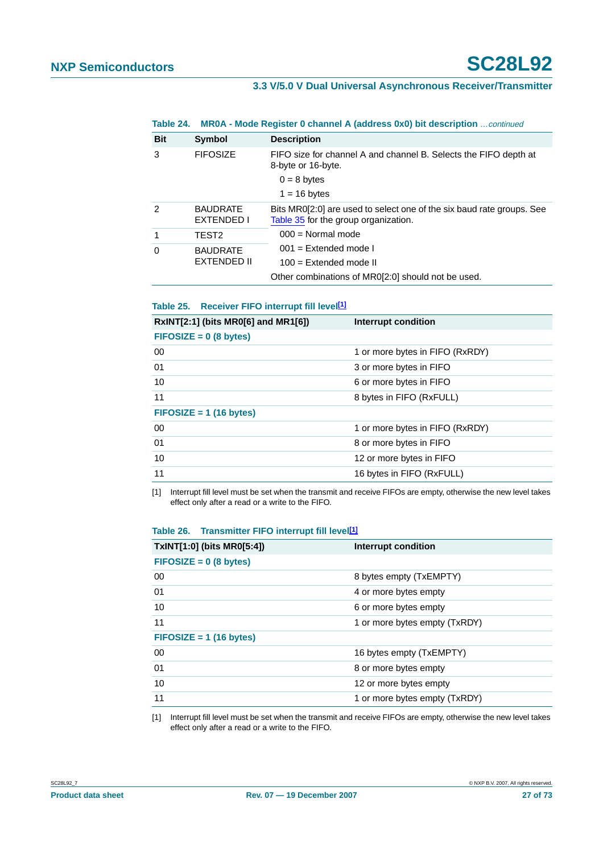| Table 24.     |                               | MR0A - Mode Register 0 channel A (address 0x0) bit description continued                                      |
|---------------|-------------------------------|---------------------------------------------------------------------------------------------------------------|
| <b>Bit</b>    | Symbol                        | <b>Description</b>                                                                                            |
| 3             | <b>FIFOSIZE</b>               | FIFO size for channel A and channel B. Selects the FIFO depth at<br>8-byte or 16-byte.                        |
|               |                               | $0 = 8$ bytes                                                                                                 |
|               |                               | $1 = 16$ bytes                                                                                                |
| $\mathcal{P}$ | <b>BAUDRATE</b><br>EXTENDED I | Bits MR0[2:0] are used to select one of the six baud rate groups. See<br>Table 35 for the group organization. |
| 1             | TEST2                         | $000 = \text{Normal mode}$                                                                                    |
| $\Omega$      | <b>BAUDRATE</b>               | $001 =$ Extended mode I                                                                                       |
|               | <b>EXTENDED II</b>            | $100 =$ Extended mode II                                                                                      |
|               |                               | Other combinations of MR0[2:0] should not be used.                                                            |

#### <span id="page-26-0"></span>**Table 25. Receiver FIFO interrupt fill level[\[1\]](#page-26-2)**

| RxINT[2:1] (bits MR0[6] and MR1[6]) | <b>Interrupt condition</b>      |
|-------------------------------------|---------------------------------|
| $FIFOSIZE = 0 (8 bytes)$            |                                 |
| 00                                  | 1 or more bytes in FIFO (RxRDY) |
| 01                                  | 3 or more bytes in FIFO         |
| 10                                  | 6 or more bytes in FIFO         |
| 11                                  | 8 bytes in FIFO (RxFULL)        |
| $FIFOSIZE = 1 (16 bytes)$           |                                 |
| 00                                  | 1 or more bytes in FIFO (RxRDY) |
| 01                                  | 8 or more bytes in FIFO         |
| 10                                  | 12 or more bytes in FIFO        |
| 11                                  | 16 bytes in FIFO (RxFULL)       |

<span id="page-26-2"></span>[1] Interrupt fill level must be set when the transmit and receive FIFOs are empty, otherwise the new level takes effect only after a read or a write to the FIFO.

#### <span id="page-26-1"></span>**Table 26. Transmitter FIFO interrupt fill level[\[1\]](#page-26-3)**

| TxINT[1:0] (bits MR0[5:4]) | Interrupt condition           |
|----------------------------|-------------------------------|
| $FIFOSIZE = 0 (8 bytes)$   |                               |
| 00                         | 8 bytes empty (TxEMPTY)       |
| 01                         | 4 or more bytes empty         |
| 10                         | 6 or more bytes empty         |
| 11                         | 1 or more bytes empty (TxRDY) |
| $FIFOSIZE = 1 (16 bytes)$  |                               |
| 00                         | 16 bytes empty (TxEMPTY)      |
| 01                         | 8 or more bytes empty         |
| 10                         | 12 or more bytes empty        |
| 11                         | 1 or more bytes empty (TxRDY) |

<span id="page-26-3"></span>[1] Interrupt fill level must be set when the transmit and receive FIFOs are empty, otherwise the new level takes effect only after a read or a write to the FIFO.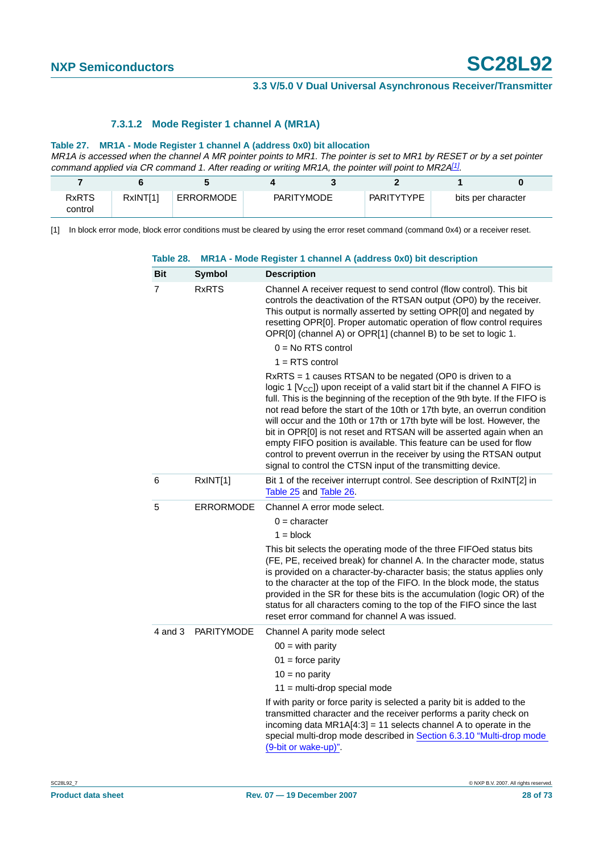#### **7.3.1.2 Mode Register 1 channel A (MR1A)**

#### **Table 27. MR1A - Mode Register 1 channel A (address 0x0) bit allocation**

MR1A is accessed when the channel A MR pointer points to MR1. The pointer is set to MR1 by RESET or by a set pointer command applied via CR command 1. After reading or writing MR1A, the pointer will point to MR2A<sup>[\[1\]](#page-27-0)</sup>.

| <b>RxRTS</b><br>control | RxINT[1] | <b>ERRORMODE</b> | PARITYMODE | PARITYTYPE | bits per character |
|-------------------------|----------|------------------|------------|------------|--------------------|

<span id="page-27-0"></span>[1] In block error mode, block error conditions must be cleared by using the error reset command (command 0x4) or a receiver reset.

| <b>Bit</b>  | Symbol            | <b>Description</b>                                                                                                                                                                                                                                                                                                                                                                                                                                                                                                                                                                                                                                                    |
|-------------|-------------------|-----------------------------------------------------------------------------------------------------------------------------------------------------------------------------------------------------------------------------------------------------------------------------------------------------------------------------------------------------------------------------------------------------------------------------------------------------------------------------------------------------------------------------------------------------------------------------------------------------------------------------------------------------------------------|
| 7           | <b>RxRTS</b>      | Channel A receiver request to send control (flow control). This bit<br>controls the deactivation of the RTSAN output (OP0) by the receiver.<br>This output is normally asserted by setting OPR[0] and negated by<br>resetting OPR[0]. Proper automatic operation of flow control requires<br>OPR[0] (channel A) or OPR[1] (channel B) to be set to logic 1.                                                                                                                                                                                                                                                                                                           |
|             |                   | $0 = No RTS control$                                                                                                                                                                                                                                                                                                                                                                                                                                                                                                                                                                                                                                                  |
|             |                   | $1 = RTS control$                                                                                                                                                                                                                                                                                                                                                                                                                                                                                                                                                                                                                                                     |
|             |                   | RxRTS = 1 causes RTSAN to be negated (OP0 is driven to a<br>logic 1 $[Vcc]$ ) upon receipt of a valid start bit if the channel A FIFO is<br>full. This is the beginning of the reception of the 9th byte. If the FIFO is<br>not read before the start of the 10th or 17th byte, an overrun condition<br>will occur and the 10th or 17th or 17th byte will be lost. However, the<br>bit in OPR[0] is not reset and RTSAN will be asserted again when an<br>empty FIFO position is available. This feature can be used for flow<br>control to prevent overrun in the receiver by using the RTSAN output<br>signal to control the CTSN input of the transmitting device. |
| 6           | RxINT[1]          | Bit 1 of the receiver interrupt control. See description of RxINT[2] in<br>Table 25 and Table 26.                                                                                                                                                                                                                                                                                                                                                                                                                                                                                                                                                                     |
| 5           | <b>ERRORMODE</b>  | Channel A error mode select.                                                                                                                                                                                                                                                                                                                                                                                                                                                                                                                                                                                                                                          |
|             |                   | $0 =$ character                                                                                                                                                                                                                                                                                                                                                                                                                                                                                                                                                                                                                                                       |
|             |                   | $1 = block$                                                                                                                                                                                                                                                                                                                                                                                                                                                                                                                                                                                                                                                           |
|             |                   | This bit selects the operating mode of the three FIFOed status bits<br>(FE, PE, received break) for channel A. In the character mode, status<br>is provided on a character-by-character basis; the status applies only<br>to the character at the top of the FIFO. In the block mode, the status<br>provided in the SR for these bits is the accumulation (logic OR) of the<br>status for all characters coming to the top of the FIFO since the last<br>reset error command for channel A was issued.                                                                                                                                                                |
| $4$ and $3$ | <b>PARITYMODE</b> | Channel A parity mode select                                                                                                                                                                                                                                                                                                                                                                                                                                                                                                                                                                                                                                          |
|             |                   | $00 =$ with parity                                                                                                                                                                                                                                                                                                                                                                                                                                                                                                                                                                                                                                                    |
|             |                   | $01 =$ force parity                                                                                                                                                                                                                                                                                                                                                                                                                                                                                                                                                                                                                                                   |
|             |                   | $10 = no$ parity                                                                                                                                                                                                                                                                                                                                                                                                                                                                                                                                                                                                                                                      |
|             |                   | $11 =$ multi-drop special mode                                                                                                                                                                                                                                                                                                                                                                                                                                                                                                                                                                                                                                        |
|             |                   | If with parity or force parity is selected a parity bit is added to the<br>transmitted character and the receiver performs a parity check on<br>incoming data $MR1A[4:3] = 11$ selects channel A to operate in the<br>special multi-drop mode described in Section 6.3.10 "Multi-drop mode<br>(9-bit or wake-up)".                                                                                                                                                                                                                                                                                                                                                    |

#### **Table 28. MR1A - Mode Register 1 channel A (address 0x0) bit description**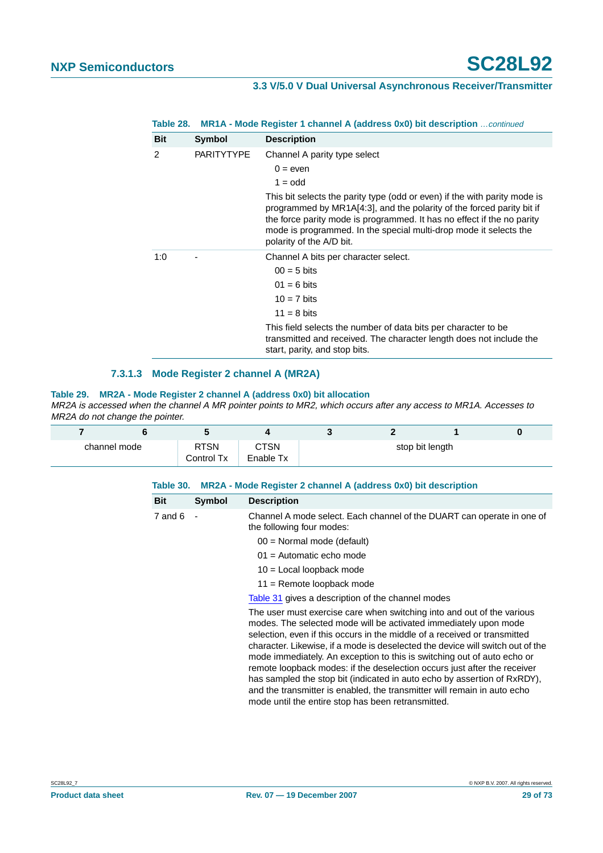|  | <b>Table 28. MR1A - Mode Register 1 channel A (address 0x0) bit description</b> continued |  |  |  |  |
|--|-------------------------------------------------------------------------------------------|--|--|--|--|
|--|-------------------------------------------------------------------------------------------|--|--|--|--|

| <b>Bit</b> | Symbol            | <b>Description</b>                                                                                                                                                                                                                                                                                                            |
|------------|-------------------|-------------------------------------------------------------------------------------------------------------------------------------------------------------------------------------------------------------------------------------------------------------------------------------------------------------------------------|
| 2          | <b>PARITYTYPE</b> | Channel A parity type select                                                                                                                                                                                                                                                                                                  |
|            |                   | $0 = e$ ven                                                                                                                                                                                                                                                                                                                   |
|            |                   | $1 =$ odd                                                                                                                                                                                                                                                                                                                     |
|            |                   | This bit selects the parity type (odd or even) if the with parity mode is<br>programmed by MR1A[4:3], and the polarity of the forced parity bit if<br>the force parity mode is programmed. It has no effect if the no parity<br>mode is programmed. In the special multi-drop mode it selects the<br>polarity of the A/D bit. |
| 1:0        |                   | Channel A bits per character select.                                                                                                                                                                                                                                                                                          |
|            |                   | $00 = 5$ bits                                                                                                                                                                                                                                                                                                                 |
|            |                   | $01 = 6 \text{ bits}$                                                                                                                                                                                                                                                                                                         |
|            |                   | $10 = 7$ bits                                                                                                                                                                                                                                                                                                                 |
|            |                   | $11 = 8 \text{ bits}$                                                                                                                                                                                                                                                                                                         |
|            |                   | This field selects the number of data bits per character to be<br>transmitted and received. The character length does not include the<br>start, parity, and stop bits.                                                                                                                                                        |

#### **7.3.1.3 Mode Register 2 channel A (MR2A)**

#### **Table 29. MR2A - Mode Register 2 channel A (address 0x0) bit allocation**

MR2A is accessed when the channel A MR pointer points to MR2, which occurs after any access to MR1A. Accesses to MR2A do not change the pointer.

| channel mode |  | CTSN<br>Enable Tx |  | stop bit length |  |
|--------------|--|-------------------|--|-----------------|--|

<span id="page-28-0"></span>

| Table 30.   | MR2A - Mode Register 2 channel A (address 0x0) bit description |                                                                                                                                                                                                                                                                                                                                                                                                                                                                                                                                                                                                                                                                                |  |  |  |
|-------------|----------------------------------------------------------------|--------------------------------------------------------------------------------------------------------------------------------------------------------------------------------------------------------------------------------------------------------------------------------------------------------------------------------------------------------------------------------------------------------------------------------------------------------------------------------------------------------------------------------------------------------------------------------------------------------------------------------------------------------------------------------|--|--|--|
| <b>Bit</b>  | <b>Symbol</b>                                                  | <b>Description</b>                                                                                                                                                                                                                                                                                                                                                                                                                                                                                                                                                                                                                                                             |  |  |  |
| $7$ and $6$ |                                                                | Channel A mode select. Each channel of the DUART can operate in one of<br>the following four modes:                                                                                                                                                                                                                                                                                                                                                                                                                                                                                                                                                                            |  |  |  |
|             |                                                                | $00 =$ Normal mode (default)                                                                                                                                                                                                                                                                                                                                                                                                                                                                                                                                                                                                                                                   |  |  |  |
|             |                                                                | $01$ = Automatic echo mode                                                                                                                                                                                                                                                                                                                                                                                                                                                                                                                                                                                                                                                     |  |  |  |
|             |                                                                | $10 =$ Local loopback mode                                                                                                                                                                                                                                                                                                                                                                                                                                                                                                                                                                                                                                                     |  |  |  |
|             |                                                                | 11 = Remote loopback mode                                                                                                                                                                                                                                                                                                                                                                                                                                                                                                                                                                                                                                                      |  |  |  |
|             |                                                                | Table 31 gives a description of the channel modes                                                                                                                                                                                                                                                                                                                                                                                                                                                                                                                                                                                                                              |  |  |  |
|             |                                                                | The user must exercise care when switching into and out of the various<br>modes. The selected mode will be activated immediately upon mode<br>selection, even if this occurs in the middle of a received or transmitted<br>character. Likewise, if a mode is deselected the device will switch out of the<br>mode immediately. An exception to this is switching out of auto echo or<br>remote loopback modes: if the deselection occurs just after the receiver<br>has sampled the stop bit (indicated in auto echo by assertion of RxRDY),<br>and the transmitter is enabled, the transmitter will remain in auto echo<br>mode until the entire stop has been retransmitted. |  |  |  |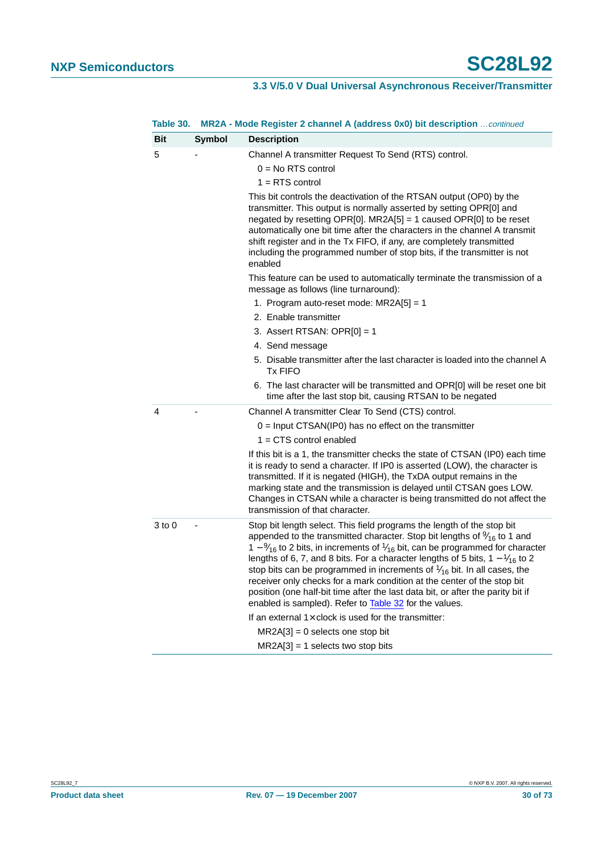| Table 30.  |               | <b>MR2A - Mode Register 2 channel A (address 0x0) bit description</b> continued                                                                                                                                                                                                                                                                                                                                                                                                                                                                                                                                                                                                                                                             |
|------------|---------------|---------------------------------------------------------------------------------------------------------------------------------------------------------------------------------------------------------------------------------------------------------------------------------------------------------------------------------------------------------------------------------------------------------------------------------------------------------------------------------------------------------------------------------------------------------------------------------------------------------------------------------------------------------------------------------------------------------------------------------------------|
| <b>Bit</b> | <b>Symbol</b> | <b>Description</b>                                                                                                                                                                                                                                                                                                                                                                                                                                                                                                                                                                                                                                                                                                                          |
| 5          |               | Channel A transmitter Request To Send (RTS) control.<br>$0 = No RTS control$<br>$1 = RTS control$                                                                                                                                                                                                                                                                                                                                                                                                                                                                                                                                                                                                                                           |
|            |               | This bit controls the deactivation of the RTSAN output (OP0) by the<br>transmitter. This output is normally asserted by setting OPR[0] and<br>negated by resetting OPR[0]. MR2A[5] = 1 caused OPR[0] to be reset<br>automatically one bit time after the characters in the channel A transmit<br>shift register and in the Tx FIFO, if any, are completely transmitted<br>including the programmed number of stop bits, if the transmitter is not<br>enabled                                                                                                                                                                                                                                                                                |
|            |               | This feature can be used to automatically terminate the transmission of a<br>message as follows (line turnaround):                                                                                                                                                                                                                                                                                                                                                                                                                                                                                                                                                                                                                          |
|            |               | 1. Program auto-reset mode: MR2A[5] = 1                                                                                                                                                                                                                                                                                                                                                                                                                                                                                                                                                                                                                                                                                                     |
|            |               | 2. Enable transmitter                                                                                                                                                                                                                                                                                                                                                                                                                                                                                                                                                                                                                                                                                                                       |
|            |               | 3. Assert RTSAN: OPR $[0] = 1$                                                                                                                                                                                                                                                                                                                                                                                                                                                                                                                                                                                                                                                                                                              |
|            |               | 4. Send message                                                                                                                                                                                                                                                                                                                                                                                                                                                                                                                                                                                                                                                                                                                             |
|            |               | 5. Disable transmitter after the last character is loaded into the channel A<br><b>Tx FIFO</b>                                                                                                                                                                                                                                                                                                                                                                                                                                                                                                                                                                                                                                              |
|            |               | 6. The last character will be transmitted and OPR[0] will be reset one bit<br>time after the last stop bit, causing RTSAN to be negated                                                                                                                                                                                                                                                                                                                                                                                                                                                                                                                                                                                                     |
| 4          |               | Channel A transmitter Clear To Send (CTS) control.                                                                                                                                                                                                                                                                                                                                                                                                                                                                                                                                                                                                                                                                                          |
|            |               | $0 =$ Input CTSAN(IP0) has no effect on the transmitter                                                                                                                                                                                                                                                                                                                                                                                                                                                                                                                                                                                                                                                                                     |
|            |               | $1 = CTS$ control enabled                                                                                                                                                                                                                                                                                                                                                                                                                                                                                                                                                                                                                                                                                                                   |
|            |               | If this bit is a 1, the transmitter checks the state of CTSAN (IP0) each time<br>it is ready to send a character. If IP0 is asserted (LOW), the character is<br>transmitted. If it is negated (HIGH), the TxDA output remains in the<br>marking state and the transmission is delayed until CTSAN goes LOW.<br>Changes in CTSAN while a character is being transmitted do not affect the<br>transmission of that character.                                                                                                                                                                                                                                                                                                                 |
| $3$ to $0$ |               | Stop bit length select. This field programs the length of the stop bit<br>appended to the transmitted character. Stop bit lengths of $\frac{9}{16}$ to 1 and<br>1 – $\frac{9}{16}$ to 2 bits, in increments of $\frac{1}{16}$ bit, can be programmed for character<br>lengths of 6, 7, and 8 bits. For a character lengths of 5 bits, $1 - \frac{1}{16}$ to 2<br>stop bits can be programmed in increments of $\frac{1}{16}$ bit. In all cases, the<br>receiver only checks for a mark condition at the center of the stop bit<br>position (one half-bit time after the last data bit, or after the parity bit if<br>enabled is sampled). Refer to Table 32 for the values.<br>If an external $1 \times$ clock is used for the transmitter: |
|            |               | $MR2A[3] = 0$ selects one stop bit                                                                                                                                                                                                                                                                                                                                                                                                                                                                                                                                                                                                                                                                                                          |
|            |               | $MR2A[3] = 1$ selects two stop bits                                                                                                                                                                                                                                                                                                                                                                                                                                                                                                                                                                                                                                                                                                         |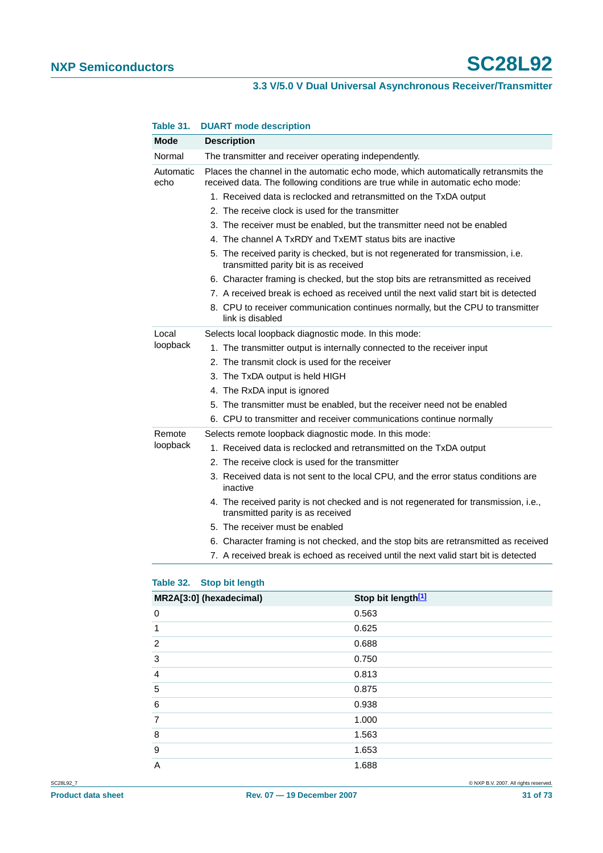|                   | 5011111111040400011011011                                                                                                                                            |  |  |  |  |  |
|-------------------|----------------------------------------------------------------------------------------------------------------------------------------------------------------------|--|--|--|--|--|
| Mode              | <b>Description</b>                                                                                                                                                   |  |  |  |  |  |
| Normal            | The transmitter and receiver operating independently.                                                                                                                |  |  |  |  |  |
| Automatic<br>echo | Places the channel in the automatic echo mode, which automatically retransmits the<br>received data. The following conditions are true while in automatic echo mode: |  |  |  |  |  |
|                   | 1. Received data is reclocked and retransmitted on the TxDA output                                                                                                   |  |  |  |  |  |
|                   | 2. The receive clock is used for the transmitter                                                                                                                     |  |  |  |  |  |
|                   | 3. The receiver must be enabled, but the transmitter need not be enabled                                                                                             |  |  |  |  |  |
|                   | 4. The channel A TxRDY and TxEMT status bits are inactive                                                                                                            |  |  |  |  |  |
|                   | 5. The received parity is checked, but is not regenerated for transmission, i.e.<br>transmitted parity bit is as received                                            |  |  |  |  |  |
|                   | 6. Character framing is checked, but the stop bits are retransmitted as received                                                                                     |  |  |  |  |  |
|                   | 7. A received break is echoed as received until the next valid start bit is detected                                                                                 |  |  |  |  |  |
|                   | 8. CPU to receiver communication continues normally, but the CPU to transmitter<br>link is disabled                                                                  |  |  |  |  |  |
| Local             | Selects local loopback diagnostic mode. In this mode:                                                                                                                |  |  |  |  |  |
| loopback          | 1. The transmitter output is internally connected to the receiver input                                                                                              |  |  |  |  |  |
|                   | 2. The transmit clock is used for the receiver                                                                                                                       |  |  |  |  |  |
|                   | 3. The TxDA output is held HIGH                                                                                                                                      |  |  |  |  |  |
|                   | 4. The RxDA input is ignored                                                                                                                                         |  |  |  |  |  |
|                   | 5. The transmitter must be enabled, but the receiver need not be enabled                                                                                             |  |  |  |  |  |
|                   | 6. CPU to transmitter and receiver communications continue normally                                                                                                  |  |  |  |  |  |
| Remote            | Selects remote loopback diagnostic mode. In this mode:                                                                                                               |  |  |  |  |  |
| loopback          | 1. Received data is reclocked and retransmitted on the TxDA output                                                                                                   |  |  |  |  |  |
|                   | 2. The receive clock is used for the transmitter                                                                                                                     |  |  |  |  |  |
|                   | 3. Received data is not sent to the local CPU, and the error status conditions are<br>inactive                                                                       |  |  |  |  |  |
|                   | 4. The received parity is not checked and is not regenerated for transmission, i.e.,<br>transmitted parity is as received                                            |  |  |  |  |  |
|                   | 5. The receiver must be enabled                                                                                                                                      |  |  |  |  |  |
|                   | 6. Character framing is not checked, and the stop bits are retransmitted as received                                                                                 |  |  |  |  |  |
|                   | 7. A received break is echoed as received until the next valid start bit is detected                                                                                 |  |  |  |  |  |

#### <span id="page-30-0"></span>**Table 31. DUART mode description**

#### <span id="page-30-1"></span>**Table 32. Stop bit length**

| MR2A[3:0] (hexadecimal) | Stop bit length <sup>[1]</sup> |
|-------------------------|--------------------------------|
| 0                       | 0.563                          |
| 1                       | 0.625                          |
| $\overline{2}$          | 0.688                          |
| 3                       | 0.750                          |
| 4                       | 0.813                          |
| 5                       | 0.875                          |
| 6                       | 0.938                          |
| 7                       | 1.000                          |
| 8                       | 1.563                          |
| 9                       | 1.653                          |
| A                       | 1.688                          |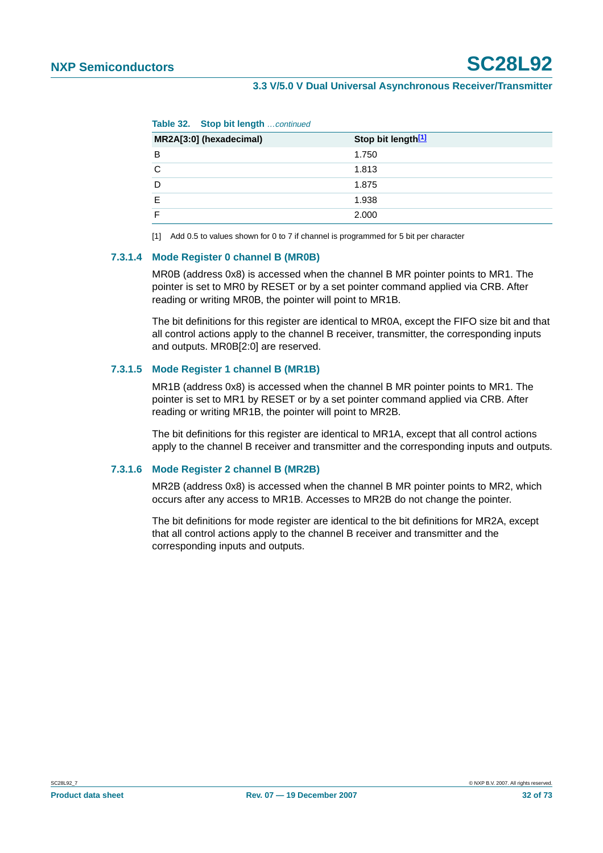**Table 32. Stop bit length** …continued

| $\sim$                  |                                |
|-------------------------|--------------------------------|
| MR2A[3:0] (hexadecimal) | Stop bit length <sup>[1]</sup> |
| В                       | 1.750                          |
| C                       | 1.813                          |
| D                       | 1.875                          |
| F                       | 1.938                          |
|                         | 2.000                          |

<span id="page-31-0"></span>[1] Add 0.5 to values shown for 0 to 7 if channel is programmed for 5 bit per character

#### **7.3.1.4 Mode Register 0 channel B (MR0B)**

MR0B (address 0x8) is accessed when the channel B MR pointer points to MR1. The pointer is set to MR0 by RESET or by a set pointer command applied via CRB. After reading or writing MR0B, the pointer will point to MR1B.

The bit definitions for this register are identical to MR0A, except the FIFO size bit and that all control actions apply to the channel B receiver, transmitter, the corresponding inputs and outputs. MR0B[2:0] are reserved.

#### **7.3.1.5 Mode Register 1 channel B (MR1B)**

MR1B (address 0x8) is accessed when the channel B MR pointer points to MR1. The pointer is set to MR1 by RESET or by a set pointer command applied via CRB. After reading or writing MR1B, the pointer will point to MR2B.

The bit definitions for this register are identical to MR1A, except that all control actions apply to the channel B receiver and transmitter and the corresponding inputs and outputs.

#### **7.3.1.6 Mode Register 2 channel B (MR2B)**

MR2B (address 0x8) is accessed when the channel B MR pointer points to MR2, which occurs after any access to MR1B. Accesses to MR2B do not change the pointer.

The bit definitions for mode register are identical to the bit definitions for MR2A, except that all control actions apply to the channel B receiver and transmitter and the corresponding inputs and outputs.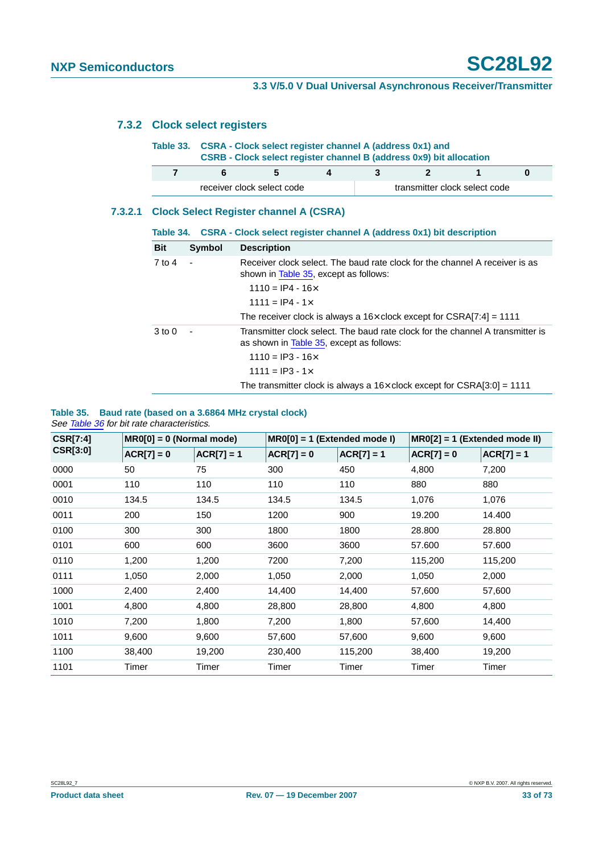## **7.3.2 Clock select registers**

|         | Table 33.                                     |                | CSRA - Clock select register channel A (address 0x1) and<br>CSRB - Clock select register channel B (address 0x9) bit allocation |   |                               |              |   |          |  |  |
|---------|-----------------------------------------------|----------------|---------------------------------------------------------------------------------------------------------------------------------|---|-------------------------------|--------------|---|----------|--|--|
|         | 7                                             | 6              | 5                                                                                                                               | 4 | 3                             | $\mathbf{2}$ | 1 | $\bf{0}$ |  |  |
|         |                                               |                | receiver clock select code                                                                                                      |   | transmitter clock select code |              |   |          |  |  |
| 7.3.2.1 | <b>Clock Select Register channel A (CSRA)</b> |                |                                                                                                                                 |   |                               |              |   |          |  |  |
|         |                                               |                | Table 34. CSRA - Clock select register channel A (address 0x1) bit description                                                  |   |                               |              |   |          |  |  |
|         | <b>Bit</b>                                    | Symbol         | <b>Description</b>                                                                                                              |   |                               |              |   |          |  |  |
|         | $7$ to $4$                                    | $\sim$         | Receiver clock select. The baud rate clock for the channel A receiver is as<br>shown in Table 35, except as follows:            |   |                               |              |   |          |  |  |
|         |                                               |                | $1110 = IP4 - 16 \times$                                                                                                        |   |                               |              |   |          |  |  |
|         |                                               |                | $1111 = IP4 - 1x$                                                                                                               |   |                               |              |   |          |  |  |
|         |                                               |                | The receiver clock is always a $16\times$ clock except for CSRA[7:4] = 1111                                                     |   |                               |              |   |          |  |  |
|         | $3 \text{ to } 0$                             | $\blacksquare$ | Transmitter clock select. The baud rate clock for the channel A transmitter is<br>as shown in Table 35, except as follows:      |   |                               |              |   |          |  |  |
|         |                                               |                | $1110 = IP3 - 16 \times$                                                                                                        |   |                               |              |   |          |  |  |
|         |                                               |                | $1111 = IP3 - 1 \times$                                                                                                         |   |                               |              |   |          |  |  |
|         |                                               |                | The transmitter clock is always a $16\times$ clock except for CSRA[3:0] = 1111                                                  |   |                               |              |   |          |  |  |

#### <span id="page-32-0"></span>**Table 35. Baud rate (based on a 3.6864 MHz crystal clock)** See [Table](#page-33-0) 36 for bit rate characteristics.

| <b>CSR[7:4]</b> | $MR0[0] = 0$ (Normal mode) |              | $MR0[0] = 1$ (Extended mode I) |              | $MR0[2] = 1$ (Extended mode II) |              |
|-----------------|----------------------------|--------------|--------------------------------|--------------|---------------------------------|--------------|
| <b>CSR[3:0]</b> | $ACR[7] = 0$               | $ACR[7] = 1$ | $ACR[7] = 0$                   | $ACR[7] = 1$ | $ACR[7] = 0$                    | $ACR[7] = 1$ |
| 0000            | 50                         | 75           | 300                            | 450          | 4,800                           | 7,200        |
| 0001            | 110                        | 110          | 110                            | 110          | 880                             | 880          |
| 0010            | 134.5                      | 134.5        | 134.5                          | 134.5        | 1,076                           | 1,076        |
| 0011            | 200                        | 150          | 1200                           | 900          | 19.200                          | 14.400       |
| 0100            | 300                        | 300          | 1800                           | 1800         | 28.800                          | 28.800       |
| 0101            | 600                        | 600          | 3600                           | 3600         | 57.600                          | 57.600       |
| 0110            | 1,200                      | 1,200        | 7200                           | 7,200        | 115,200                         | 115,200      |
| 0111            | 1,050                      | 2,000        | 1,050                          | 2,000        | 1,050                           | 2,000        |
| 1000            | 2,400                      | 2,400        | 14,400                         | 14,400       | 57,600                          | 57,600       |
| 1001            | 4,800                      | 4,800        | 28,800                         | 28,800       | 4,800                           | 4,800        |
| 1010            | 7,200                      | 1,800        | 7,200                          | 1,800        | 57,600                          | 14,400       |
| 1011            | 9,600                      | 9,600        | 57,600                         | 57,600       | 9,600                           | 9,600        |
| 1100            | 38,400                     | 19,200       | 230,400                        | 115,200      | 38,400                          | 19,200       |
| 1101            | Timer                      | Timer        | Timer                          | Timer        | Timer                           | Timer        |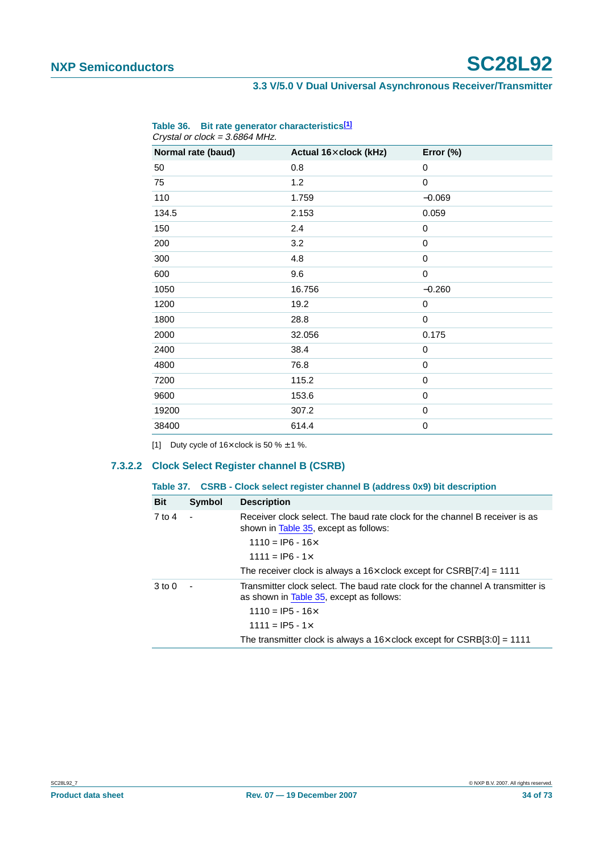| Normal rate (baud) | Actual 16x clock (kHz) | Error (%) |
|--------------------|------------------------|-----------|
| 50                 | 0.8                    | 0         |
| 75                 | 1.2                    | 0         |
| 110                | 1.759                  | $-0.069$  |
| 134.5              | 2.153                  | 0.059     |
| 150                | 2.4                    | 0         |
| 200                | 3.2                    | 0         |
| 300                | 4.8                    | 0         |
| 600                | 9.6                    | 0         |
| 1050               | 16.756                 | $-0.260$  |
| 1200               | 19.2                   | 0         |
| 1800               | 28.8                   | 0         |
| 2000               | 32.056                 | 0.175     |
| 2400               | 38.4                   | 0         |
| 4800               | 76.8                   | 0         |
| 7200               | 115.2                  | 0         |
| 9600               | 153.6                  | 0         |
| 19200              | 307.2                  | 0         |
| 38400              | 614.4                  | 0         |

#### <span id="page-33-0"></span>**Table 36. Bit rate generator characteristic[s\[1\]](#page-33-1)** Crystal or clock = 3.6864 MHz.

<span id="page-33-1"></span>[1] Duty cycle of  $16 \times$  clock is 50 %  $\pm$  1 %.

#### **7.3.2.2 Clock Select Register channel B (CSRB)**

| Table 37. CSRB - Clock select register channel B (address 0x9) bit description |
|--------------------------------------------------------------------------------|
|                                                                                |

| <b>Bit</b> | Symbol | <b>Description</b>                                                                                                         |
|------------|--------|----------------------------------------------------------------------------------------------------------------------------|
| 7 to 4     |        | Receiver clock select. The baud rate clock for the channel B receiver is as<br>shown in Table 35, except as follows:       |
|            |        | $1110 =$ IP6 - 16 $\times$                                                                                                 |
|            |        | $1111 =$ IP6 - 1 $\times$                                                                                                  |
|            |        | The receiver clock is always a $16\times$ clock except for CSRB[7:4] = 1111                                                |
| $3$ to $0$ |        | Transmitter clock select. The baud rate clock for the channel A transmitter is<br>as shown in Table 35, except as follows: |
|            |        | $1110 =$ IP5 - 16 $\times$                                                                                                 |
|            |        | 1111 = IP5 - 1 $\times$                                                                                                    |
|            |        | The transmitter clock is always a $16\times$ clock except for CSRB[3:0] = 1111                                             |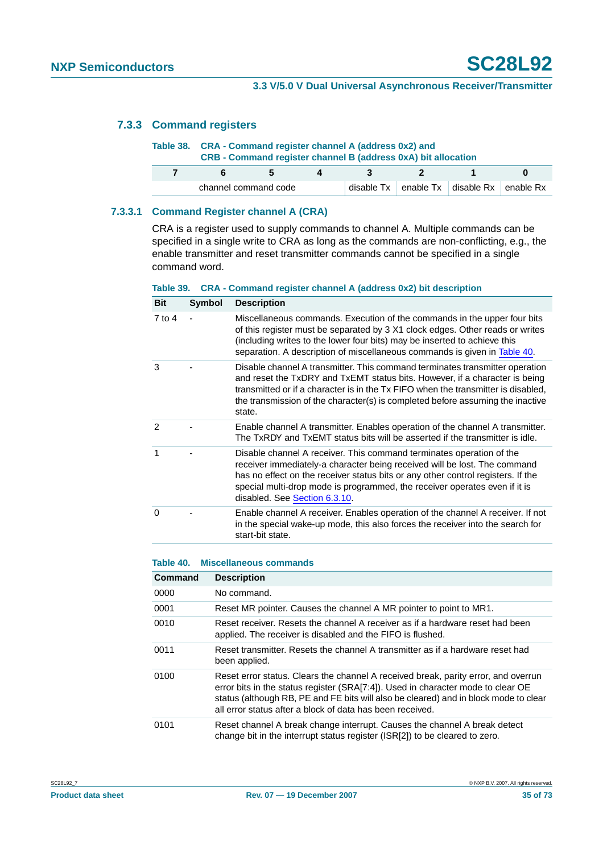#### <span id="page-34-0"></span>**7.3.3 Command registers**

| Table 38. CRA - Command register channel A (address 0x2) and<br>CRB - Command register channel B (address 0xA) bit allocation |  |              |     |  |                                                                  |   |  |
|-------------------------------------------------------------------------------------------------------------------------------|--|--------------|-----|--|------------------------------------------------------------------|---|--|
| ĥ                                                                                                                             |  | $\mathbf{A}$ | - 2 |  |                                                                  | n |  |
| channel command code                                                                                                          |  |              |     |  | disable $Tx \mid$ enable $Tx \mid$ disable $Rx \mid$ enable $Rx$ |   |  |

#### **7.3.3.1 Command Register channel A (CRA)**

CRA is a register used to supply commands to channel A. Multiple commands can be specified in a single write to CRA as long as the commands are non-conflicting, e.g., the enable transmitter and reset transmitter commands cannot be specified in a single command word.

#### **Table 39. CRA - Command register channel A (address 0x2) bit description**

| Bit           | <b>Symbol</b> | <b>Description</b>                                                                                                                                                                                                                                                                                                                                   |
|---------------|---------------|------------------------------------------------------------------------------------------------------------------------------------------------------------------------------------------------------------------------------------------------------------------------------------------------------------------------------------------------------|
| 7 to 4        |               | Miscellaneous commands. Execution of the commands in the upper four bits<br>of this register must be separated by 3 X1 clock edges. Other reads or writes<br>(including writes to the lower four bits) may be inserted to achieve this<br>separation. A description of miscellaneous commands is given in Table 40.                                  |
| 3             |               | Disable channel A transmitter. This command terminates transmitter operation<br>and reset the TxDRY and TxEMT status bits. However, if a character is being<br>transmitted or if a character is in the Tx FIFO when the transmitter is disabled.<br>the transmission of the character(s) is completed before assuming the inactive<br>state.         |
| $\mathcal{P}$ |               | Enable channel A transmitter. Enables operation of the channel A transmitter.<br>The TxRDY and TxEMT status bits will be asserted if the transmitter is idle.                                                                                                                                                                                        |
| 1             |               | Disable channel A receiver. This command terminates operation of the<br>receiver immediately-a character being received will be lost. The command<br>has no effect on the receiver status bits or any other control registers. If the<br>special multi-drop mode is programmed, the receiver operates even if it is<br>disabled. See Section 6.3.10. |
| $\Omega$      |               | Enable channel A receiver. Enables operation of the channel A receiver. If not<br>in the special wake-up mode, this also forces the receiver into the search for<br>start-bit state.                                                                                                                                                                 |

#### <span id="page-34-1"></span>**Table 40. Miscellaneous commands**

| Command | <b>Description</b>                                                                                                                                                                                                                                                                                                          |
|---------|-----------------------------------------------------------------------------------------------------------------------------------------------------------------------------------------------------------------------------------------------------------------------------------------------------------------------------|
| 0000    | No command.                                                                                                                                                                                                                                                                                                                 |
| 0001    | Reset MR pointer. Causes the channel A MR pointer to point to MR1.                                                                                                                                                                                                                                                          |
| 0010    | Reset receiver. Resets the channel A receiver as if a hardware reset had been<br>applied. The receiver is disabled and the FIFO is flushed.                                                                                                                                                                                 |
| 0011    | Reset transmitter. Resets the channel A transmitter as if a hardware reset had<br>been applied.                                                                                                                                                                                                                             |
| 0100    | Reset error status. Clears the channel A received break, parity error, and overrun<br>error bits in the status register (SRA[7:4]). Used in character mode to clear OE<br>status (although RB, PE and FE bits will also be cleared) and in block mode to clear<br>all error status after a block of data has been received. |
| 0101    | Reset channel A break change interrupt. Causes the channel A break detect<br>change bit in the interrupt status register (ISR[2]) to be cleared to zero.                                                                                                                                                                    |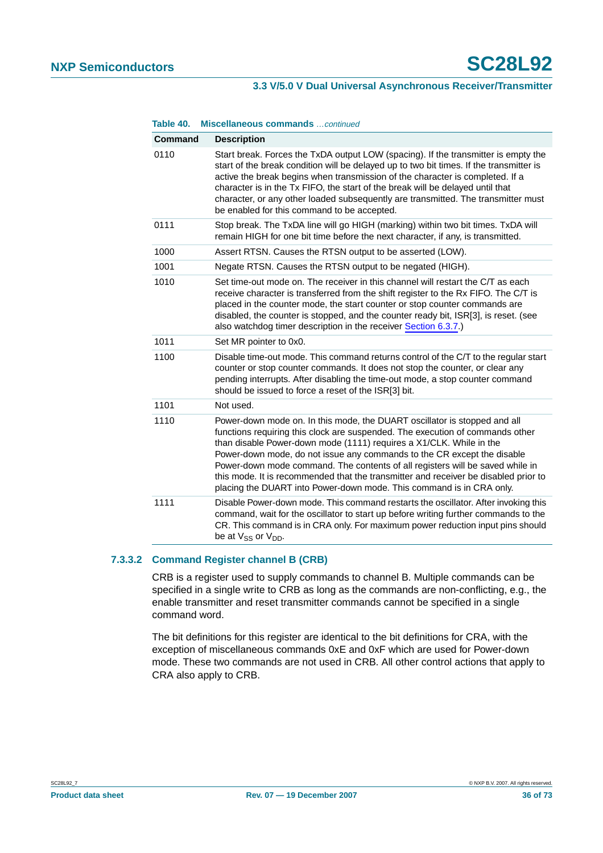#### **Table 40. Miscellaneous commands** …continued

| <b>Command</b> | <b>Description</b>                                                                                                                                                                                                                                                                                                                                                                                                                                                                                                                                           |
|----------------|--------------------------------------------------------------------------------------------------------------------------------------------------------------------------------------------------------------------------------------------------------------------------------------------------------------------------------------------------------------------------------------------------------------------------------------------------------------------------------------------------------------------------------------------------------------|
| 0110           | Start break. Forces the TxDA output LOW (spacing). If the transmitter is empty the<br>start of the break condition will be delayed up to two bit times. If the transmitter is<br>active the break begins when transmission of the character is completed. If a<br>character is in the Tx FIFO, the start of the break will be delayed until that<br>character, or any other loaded subsequently are transmitted. The transmitter must<br>be enabled for this command to be accepted.                                                                         |
| 0111           | Stop break. The TxDA line will go HIGH (marking) within two bit times. TxDA will<br>remain HIGH for one bit time before the next character, if any, is transmitted.                                                                                                                                                                                                                                                                                                                                                                                          |
| 1000           | Assert RTSN. Causes the RTSN output to be asserted (LOW).                                                                                                                                                                                                                                                                                                                                                                                                                                                                                                    |
| 1001           | Negate RTSN. Causes the RTSN output to be negated (HIGH).                                                                                                                                                                                                                                                                                                                                                                                                                                                                                                    |
| 1010           | Set time-out mode on. The receiver in this channel will restart the C/T as each<br>receive character is transferred from the shift register to the Rx FIFO. The C/T is<br>placed in the counter mode, the start counter or stop counter commands are<br>disabled, the counter is stopped, and the counter ready bit, ISR[3], is reset. (see<br>also watchdog timer description in the receiver Section 6.3.7.)                                                                                                                                               |
| 1011           | Set MR pointer to 0x0.                                                                                                                                                                                                                                                                                                                                                                                                                                                                                                                                       |
| 1100           | Disable time-out mode. This command returns control of the C/T to the regular start<br>counter or stop counter commands. It does not stop the counter, or clear any<br>pending interrupts. After disabling the time-out mode, a stop counter command<br>should be issued to force a reset of the ISR[3] bit.                                                                                                                                                                                                                                                 |
| 1101           | Not used.                                                                                                                                                                                                                                                                                                                                                                                                                                                                                                                                                    |
| 1110           | Power-down mode on. In this mode, the DUART oscillator is stopped and all<br>functions requiring this clock are suspended. The execution of commands other<br>than disable Power-down mode (1111) requires a X1/CLK. While in the<br>Power-down mode, do not issue any commands to the CR except the disable<br>Power-down mode command. The contents of all registers will be saved while in<br>this mode. It is recommended that the transmitter and receiver be disabled prior to<br>placing the DUART into Power-down mode. This command is in CRA only. |
| 1111           | Disable Power-down mode. This command restarts the oscillator. After invoking this<br>command, wait for the oscillator to start up before writing further commands to the<br>CR. This command is in CRA only. For maximum power reduction input pins should<br>be at V <sub>SS</sub> or V <sub>DD</sub> .                                                                                                                                                                                                                                                    |

#### **7.3.3.2 Command Register channel B (CRB)**

CRB is a register used to supply commands to channel B. Multiple commands can be specified in a single write to CRB as long as the commands are non-conflicting, e.g., the enable transmitter and reset transmitter commands cannot be specified in a single command word.

The bit definitions for this register are identical to the bit definitions for CRA, with the exception of miscellaneous commands 0xE and 0xF which are used for Power-down mode. These two commands are not used in CRB. All other control actions that apply to CRA also apply to CRB.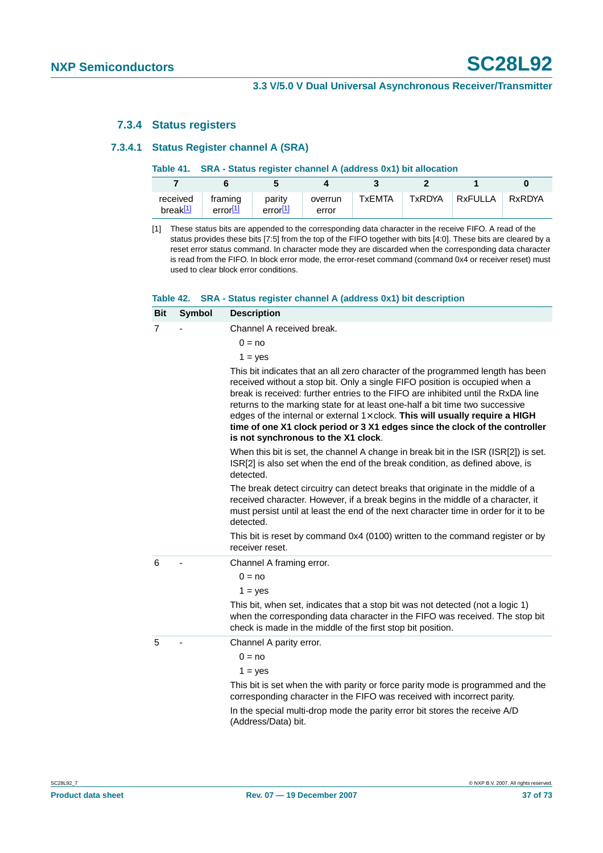#### **7.3.4 Status registers**

#### **7.3.4.1 Status Register channel A (SRA)**

|                         | Table 41. SRA - Status register channel A (address 0x1) bit allocation |                      |                  |        |        |         |        |  |
|-------------------------|------------------------------------------------------------------------|----------------------|------------------|--------|--------|---------|--------|--|
|                         |                                                                        |                      |                  |        |        |         |        |  |
| received<br>break $[1]$ | framing<br>error $[1]$                                                 | parity<br>error $11$ | overrun<br>error | TxEMTA | TxRDYA | RxFULLA | RxRDYA |  |

<span id="page-36-0"></span>[1] These status bits are appended to the corresponding data character in the receive FIFO. A read of the status provides these bits [7:5] from the top of the FIFO together with bits [4:0]. These bits are cleared by a reset error status command. In character mode they are discarded when the corresponding data character is read from the FIFO. In block error mode, the error-reset command (command 0x4 or receiver reset) must used to clear block error conditions.

#### **Table 42. SRA - Status register channel A (address 0x1) bit description**

| <b>Bit</b> | Symbol | <b>Description</b>                                                                                                                                                                                                                                                                                                                                                                                                                                                                                                                               |
|------------|--------|--------------------------------------------------------------------------------------------------------------------------------------------------------------------------------------------------------------------------------------------------------------------------------------------------------------------------------------------------------------------------------------------------------------------------------------------------------------------------------------------------------------------------------------------------|
| 7          |        | Channel A received break.                                                                                                                                                                                                                                                                                                                                                                                                                                                                                                                        |
|            |        | $0 = no$                                                                                                                                                                                                                                                                                                                                                                                                                                                                                                                                         |
|            |        | $1 = yes$                                                                                                                                                                                                                                                                                                                                                                                                                                                                                                                                        |
|            |        | This bit indicates that an all zero character of the programmed length has been<br>received without a stop bit. Only a single FIFO position is occupied when a<br>break is received: further entries to the FIFO are inhibited until the RxDA line<br>returns to the marking state for at least one-half a bit time two successive<br>edges of the internal or external $1 \times$ clock. This will usually require a HIGH<br>time of one X1 clock period or 3 X1 edges since the clock of the controller<br>is not synchronous to the X1 clock. |
|            |        | When this bit is set, the channel A change in break bit in the ISR (ISR[2]) is set.<br>ISR[2] is also set when the end of the break condition, as defined above, is<br>detected.                                                                                                                                                                                                                                                                                                                                                                 |
|            |        | The break detect circuitry can detect breaks that originate in the middle of a<br>received character. However, if a break begins in the middle of a character, it<br>must persist until at least the end of the next character time in order for it to be<br>detected.                                                                                                                                                                                                                                                                           |
|            |        | This bit is reset by command 0x4 (0100) written to the command register or by<br>receiver reset.                                                                                                                                                                                                                                                                                                                                                                                                                                                 |
| 6          |        | Channel A framing error.                                                                                                                                                                                                                                                                                                                                                                                                                                                                                                                         |
|            |        | $0 = no$                                                                                                                                                                                                                                                                                                                                                                                                                                                                                                                                         |
|            |        | $1 = yes$                                                                                                                                                                                                                                                                                                                                                                                                                                                                                                                                        |
|            |        | This bit, when set, indicates that a stop bit was not detected (not a logic 1)<br>when the corresponding data character in the FIFO was received. The stop bit<br>check is made in the middle of the first stop bit position.                                                                                                                                                                                                                                                                                                                    |
| 5          |        | Channel A parity error.                                                                                                                                                                                                                                                                                                                                                                                                                                                                                                                          |
|            |        | $0 = no$                                                                                                                                                                                                                                                                                                                                                                                                                                                                                                                                         |
|            |        | $1 = yes$                                                                                                                                                                                                                                                                                                                                                                                                                                                                                                                                        |
|            |        | This bit is set when the with parity or force parity mode is programmed and the<br>corresponding character in the FIFO was received with incorrect parity.                                                                                                                                                                                                                                                                                                                                                                                       |
|            |        | In the special multi-drop mode the parity error bit stores the receive A/D<br>(Address/Data) bit.                                                                                                                                                                                                                                                                                                                                                                                                                                                |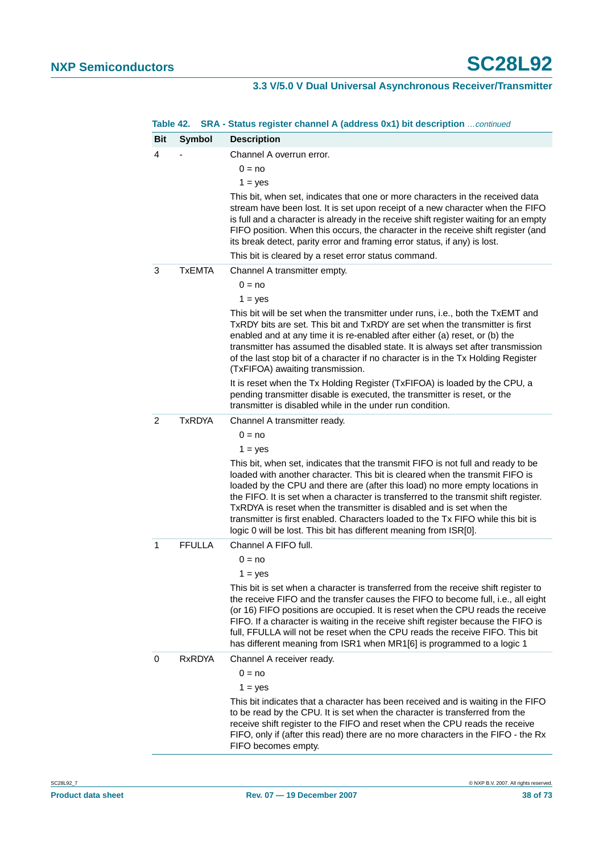|            | Table 42.     | SRA - Status register channel A (address 0x1) bit description  continued                                                                                                                                                                                                                                                                                                                                                                                                                                                                                                 |
|------------|---------------|--------------------------------------------------------------------------------------------------------------------------------------------------------------------------------------------------------------------------------------------------------------------------------------------------------------------------------------------------------------------------------------------------------------------------------------------------------------------------------------------------------------------------------------------------------------------------|
| <b>Bit</b> | <b>Symbol</b> | <b>Description</b>                                                                                                                                                                                                                                                                                                                                                                                                                                                                                                                                                       |
| 4          |               | Channel A overrun error.                                                                                                                                                                                                                                                                                                                                                                                                                                                                                                                                                 |
|            |               | $0 = no$                                                                                                                                                                                                                                                                                                                                                                                                                                                                                                                                                                 |
|            |               | $1 = yes$                                                                                                                                                                                                                                                                                                                                                                                                                                                                                                                                                                |
|            |               | This bit, when set, indicates that one or more characters in the received data<br>stream have been lost. It is set upon receipt of a new character when the FIFO<br>is full and a character is already in the receive shift register waiting for an empty<br>FIFO position. When this occurs, the character in the receive shift register (and<br>its break detect, parity error and framing error status, if any) is lost.                                                                                                                                              |
|            |               | This bit is cleared by a reset error status command.                                                                                                                                                                                                                                                                                                                                                                                                                                                                                                                     |
| 3          | <b>TxEMTA</b> | Channel A transmitter empty.                                                                                                                                                                                                                                                                                                                                                                                                                                                                                                                                             |
|            |               | $0 = no$                                                                                                                                                                                                                                                                                                                                                                                                                                                                                                                                                                 |
|            |               | $1 = yes$                                                                                                                                                                                                                                                                                                                                                                                                                                                                                                                                                                |
|            |               | This bit will be set when the transmitter under runs, i.e., both the TxEMT and<br>TxRDY bits are set. This bit and TxRDY are set when the transmitter is first<br>enabled and at any time it is re-enabled after either (a) reset, or (b) the<br>transmitter has assumed the disabled state. It is always set after transmission<br>of the last stop bit of a character if no character is in the Tx Holding Register<br>(TxFIFOA) awaiting transmission.                                                                                                                |
|            |               | It is reset when the Tx Holding Register (TxFIFOA) is loaded by the CPU, a<br>pending transmitter disable is executed, the transmitter is reset, or the<br>transmitter is disabled while in the under run condition.                                                                                                                                                                                                                                                                                                                                                     |
| 2          | <b>TxRDYA</b> | Channel A transmitter ready.                                                                                                                                                                                                                                                                                                                                                                                                                                                                                                                                             |
|            |               | $0 = no$                                                                                                                                                                                                                                                                                                                                                                                                                                                                                                                                                                 |
|            |               | $1 = yes$                                                                                                                                                                                                                                                                                                                                                                                                                                                                                                                                                                |
|            |               | This bit, when set, indicates that the transmit FIFO is not full and ready to be<br>loaded with another character. This bit is cleared when the transmit FIFO is<br>loaded by the CPU and there are (after this load) no more empty locations in<br>the FIFO. It is set when a character is transferred to the transmit shift register.<br>TxRDYA is reset when the transmitter is disabled and is set when the<br>transmitter is first enabled. Characters loaded to the Tx FIFO while this bit is<br>logic 0 will be lost. This bit has different meaning from ISR[0]. |
| 1          | <b>FFULLA</b> | Channel A FIFO full.                                                                                                                                                                                                                                                                                                                                                                                                                                                                                                                                                     |
|            |               | $0 = no$                                                                                                                                                                                                                                                                                                                                                                                                                                                                                                                                                                 |
|            |               | $1 = yes$                                                                                                                                                                                                                                                                                                                                                                                                                                                                                                                                                                |
|            |               | This bit is set when a character is transferred from the receive shift register to<br>the receive FIFO and the transfer causes the FIFO to become full, i.e., all eight<br>(or 16) FIFO positions are occupied. It is reset when the CPU reads the receive<br>FIFO. If a character is waiting in the receive shift register because the FIFO is<br>full, FFULLA will not be reset when the CPU reads the receive FIFO. This bit<br>has different meaning from ISR1 when MR1[6] is programmed to a logic 1                                                                |
| 0          | <b>RxRDYA</b> | Channel A receiver ready.                                                                                                                                                                                                                                                                                                                                                                                                                                                                                                                                                |
|            |               | $0 = no$                                                                                                                                                                                                                                                                                                                                                                                                                                                                                                                                                                 |
|            |               | $1 = ves$                                                                                                                                                                                                                                                                                                                                                                                                                                                                                                                                                                |
|            |               | This bit indicates that a character has been received and is waiting in the FIFO<br>to be read by the CPU. It is set when the character is transferred from the<br>receive shift register to the FIFO and reset when the CPU reads the receive<br>FIFO, only if (after this read) there are no more characters in the FIFO - the Rx<br>FIFO becomes empty.                                                                                                                                                                                                               |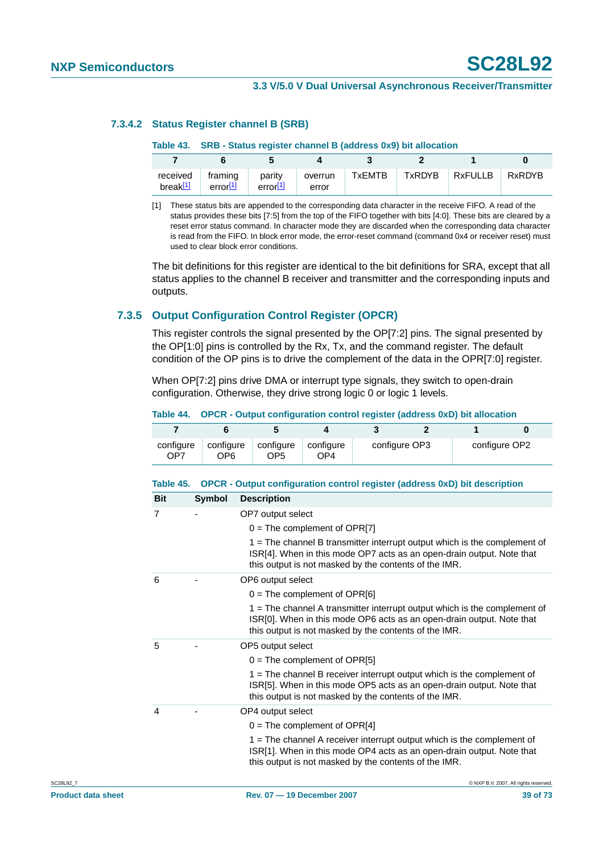#### **7.3.4.2 Status Register channel B (SRB)**

#### **Table 43. SRB - Status register channel B (address 0x9) bit allocation**

| received<br>break $[1]$ | framing<br>error <sup>[1]</sup> | parity<br>error <sup>[1]</sup> | overrun<br>error | <b>TxEMTB</b> | TxRDYB | $Rx$ FULLB | RxRDYB |
|-------------------------|---------------------------------|--------------------------------|------------------|---------------|--------|------------|--------|

<span id="page-38-0"></span>[1] These status bits are appended to the corresponding data character in the receive FIFO. A read of the status provides these bits [7:5] from the top of the FIFO together with bits [4:0]. These bits are cleared by a reset error status command. In character mode they are discarded when the corresponding data character is read from the FIFO. In block error mode, the error-reset command (command 0x4 or receiver reset) must used to clear block error conditions.

The bit definitions for this register are identical to the bit definitions for SRA, except that all status applies to the channel B receiver and transmitter and the corresponding inputs and outputs.

### **7.3.5 Output Configuration Control Register (OPCR)**

This register controls the signal presented by the OP[7:2] pins. The signal presented by the OP[1:0] pins is controlled by the Rx, Tx, and the command register. The default condition of the OP pins is to drive the complement of the data in the OPR[7:0] register.

When OP[7:2] pins drive DMA or interrupt type signals, they switch to open-drain configuration. Otherwise, they drive strong logic 0 or logic 1 levels.

**Table 44. OPCR - Output configuration control register (address 0xD) bit allocation**

|                                                                                         | Table ++. Of OR - Output comiquiation control register (address vAD) bit anocation |                              |                              |               |  |               |  |  |  |
|-----------------------------------------------------------------------------------------|------------------------------------------------------------------------------------|------------------------------|------------------------------|---------------|--|---------------|--|--|--|
|                                                                                         |                                                                                    |                              |                              |               |  |               |  |  |  |
| configure<br>OP <sub>7</sub>                                                            | configure<br>OP6                                                                   | configure<br>OP <sub>5</sub> | configure<br>OP <sub>4</sub> | configure OP3 |  | configure OP2 |  |  |  |
| OPCR - Output configuration control register (address 0xD) bit description<br>Table 45. |                                                                                    |                              |                              |               |  |               |  |  |  |

| <b>Bit</b> | Symbol     | <b>Description</b>                                                                                                                                  |
|------------|------------|-----------------------------------------------------------------------------------------------------------------------------------------------------|
| $\tau$     | $\sim 100$ | OP7 output select                                                                                                                                   |
|            |            | $0 =$ The complement of OPR[7]                                                                                                                      |
|            |            | $1 =$ The channel B transmitter interrupt output which is the complement of<br>ISDI41 When in this mode OD7 acts as an open-drain output. Note that |

|   | this output is not masked by the contents of the IMR.                                                                                                                                                         |
|---|---------------------------------------------------------------------------------------------------------------------------------------------------------------------------------------------------------------|
| 6 | OP6 output select                                                                                                                                                                                             |
|   | $0 =$ The complement of OPR[6]                                                                                                                                                                                |
|   | $1 =$ The channel A transmitter interrupt output which is the complement of<br>ISR[0]. When in this mode OP6 acts as an open-drain output. Note that<br>this output is not masked by the contents of the IMR. |
| 5 | OP5 output select                                                                                                                                                                                             |
|   | $0 =$ The complement of OPR[5]                                                                                                                                                                                |
|   | $1 =$ The channel B receiver interrupt output which is the complement of<br>ISR[5]. When in this mode OP5 acts as an open-drain output. Note that<br>this output is not masked by the contents of the IMR.    |
| 4 | OP4 output select                                                                                                                                                                                             |
|   | $0 =$ The complement of OPR[4]                                                                                                                                                                                |
|   | 1 = The channel A receiver interrupt output which is the complement of<br>ISR[1]. When in this mode OP4 acts as an open-drain output. Note that                                                               |

this output is not masked by the contents of the IMR.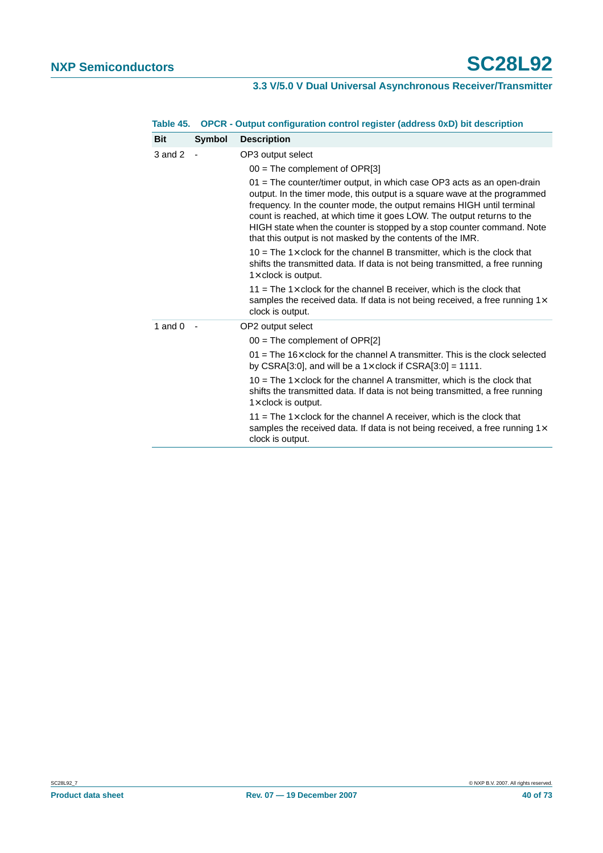| <b>Description</b>                                                                                                                                                                                                                                                                                                                                                                                                                              |
|-------------------------------------------------------------------------------------------------------------------------------------------------------------------------------------------------------------------------------------------------------------------------------------------------------------------------------------------------------------------------------------------------------------------------------------------------|
| OP3 output select                                                                                                                                                                                                                                                                                                                                                                                                                               |
| $00 =$ The complement of OPR[3]                                                                                                                                                                                                                                                                                                                                                                                                                 |
| 01 = The counter/timer output, in which case OP3 acts as an open-drain<br>output. In the timer mode, this output is a square wave at the programmed<br>frequency. In the counter mode, the output remains HIGH until terminal<br>count is reached, at which time it goes LOW. The output returns to the<br>HIGH state when the counter is stopped by a stop counter command. Note<br>that this output is not masked by the contents of the IMR. |
| 10 = The 1 $\times$ clock for the channel B transmitter, which is the clock that<br>shifts the transmitted data. If data is not being transmitted, a free running<br>$1\times$ clock is output.                                                                                                                                                                                                                                                 |
| 11 = The 1 $\times$ clock for the channel B receiver, which is the clock that<br>samples the received data. If data is not being received, a free running $1 \times$<br>clock is output.                                                                                                                                                                                                                                                        |
| OP2 output select                                                                                                                                                                                                                                                                                                                                                                                                                               |
| $00 =$ The complement of OPR[2]                                                                                                                                                                                                                                                                                                                                                                                                                 |
| $01$ = The 16 $\times$ clock for the channel A transmitter. This is the clock selected<br>by CSRA[3:0], and will be a $1 \times$ clock if CSRA[3:0] = 1111.                                                                                                                                                                                                                                                                                     |
| 10 = The 1 $\times$ clock for the channel A transmitter, which is the clock that<br>shifts the transmitted data. If data is not being transmitted, a free running<br>$1\times$ clock is output.                                                                                                                                                                                                                                                 |
| 11 = The 1 $\times$ clock for the channel A receiver, which is the clock that<br>samples the received data. If data is not being received, a free running $1 \times$<br>clock is output.                                                                                                                                                                                                                                                        |
|                                                                                                                                                                                                                                                                                                                                                                                                                                                 |

#### **Table 45. OPCR - Output configuration control register (address 0xD) bit description**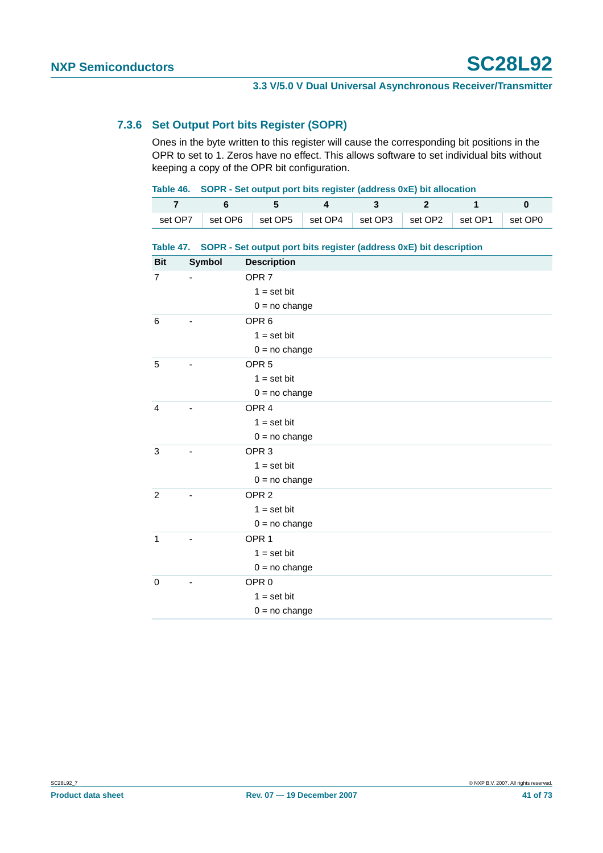#### **7.3.6 Set Output Port bits Register (SOPR)**

Ones in the byte written to this register will cause the corresponding bit positions in the OPR to set to 1. Zeros have no effect. This allows software to set individual bits without keeping a copy of the OPR bit configuration.

|  | Table 46. SOPR - Set output port bits register (address 0xE) bit allocation |  |
|--|-----------------------------------------------------------------------------|--|
|--|-----------------------------------------------------------------------------|--|

|  | $\begin{array}{ccccccccccc} 7 & & 6 & & 5 & & 4 & & 3 & & 2 & & 1 & & 0 \ \end{array}$ |  |  |  |
|--|----------------------------------------------------------------------------------------|--|--|--|
|  | set OP7 set OP6 set OP5 set OP4 set OP3 set OP2 set OP1 set OP0                        |  |  |  |

#### **Table 47. SOPR - Set output port bits register (address 0xE) bit description**

| <b>Bit</b>     | Symbol | <b>Description</b> |
|----------------|--------|--------------------|
| $\overline{7}$ |        | OPR <sub>7</sub>   |
|                |        | $1 = set bit$      |
|                |        | $0 = no change$    |
| 6              |        | OPR <sub>6</sub>   |
|                |        | $1 = set bit$      |
|                |        | $0 = no change$    |
| 5              |        | OPR <sub>5</sub>   |
|                |        | $1 = set bit$      |
|                |        | $0 = no change$    |
| $\overline{4}$ |        | OPR <sub>4</sub>   |
|                |        | $1 = set bit$      |
|                |        | $0 = no change$    |
| 3              |        | OPR <sub>3</sub>   |
|                |        | $1 = set bit$      |
|                |        | $0 = no change$    |
| $\overline{2}$ |        | OPR <sub>2</sub>   |
|                |        | $1 = set bit$      |
|                |        | $0 = no change$    |
| $\mathbf{1}$   |        | OPR <sub>1</sub>   |
|                |        | $1 = set bit$      |
|                |        | $0 = no change$    |
| $\mathbf 0$    |        | OPR <sub>0</sub>   |
|                |        | $1 = set bit$      |
|                |        | $0 = no change$    |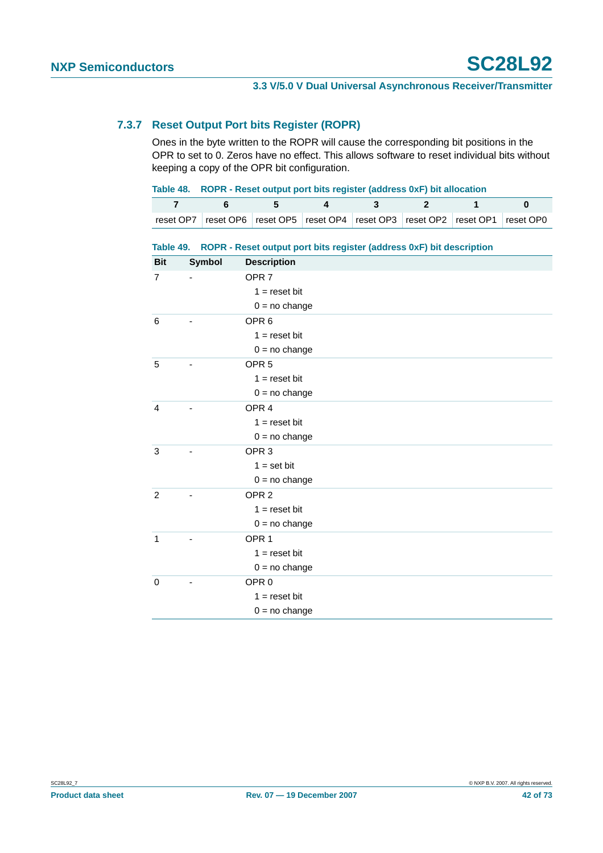#### **7.3.7 Reset Output Port bits Register (ROPR)**

Ones in the byte written to the ROPR will cause the corresponding bit positions in the OPR to set to 0. Zeros have no effect. This allows software to reset individual bits without keeping a copy of the OPR bit configuration.

|  | Table 48. ROPR - Reset output port bits register (address 0xF) bit allocation                 |      |  |  |  |  |  |
|--|-----------------------------------------------------------------------------------------------|------|--|--|--|--|--|
|  |                                                                                               | $-5$ |  |  |  |  |  |
|  | reset OP7   reset OP6   reset OP5   reset OP4   reset OP3   reset OP2   reset OP1   reset OP0 |      |  |  |  |  |  |

#### **Table 49. ROPR - Reset output port bits register (address 0xF) bit description**

| <b>Bit</b>     | Symbol | <b>Description</b> |
|----------------|--------|--------------------|
| $\overline{7}$ |        | OPR <sub>7</sub>   |
|                |        | $1 =$ reset bit    |
|                |        | $0 = no change$    |
| 6              |        | OPR <sub>6</sub>   |
|                |        | $1 =$ reset bit    |
|                |        | $0 = no change$    |
| 5              |        | OPR <sub>5</sub>   |
|                |        | $1 =$ reset bit    |
|                |        | $0 = no change$    |
| 4              |        | OPR <sub>4</sub>   |
|                |        | $1 =$ reset bit    |
|                |        | $0 = no change$    |
| 3              |        | OPR <sub>3</sub>   |
|                |        | $1 = set bit$      |
|                |        | $0 = no change$    |
| $\overline{2}$ |        | OPR <sub>2</sub>   |
|                |        | $1 =$ reset bit    |
|                |        | $0 = no change$    |
| $\mathbf{1}$   |        | OPR <sub>1</sub>   |
|                |        | $1 =$ reset bit    |
|                |        | $0 = no change$    |
| $\mathbf 0$    |        | OPR <sub>0</sub>   |
|                |        | $1 = reset bit$    |
|                |        | $0 = no change$    |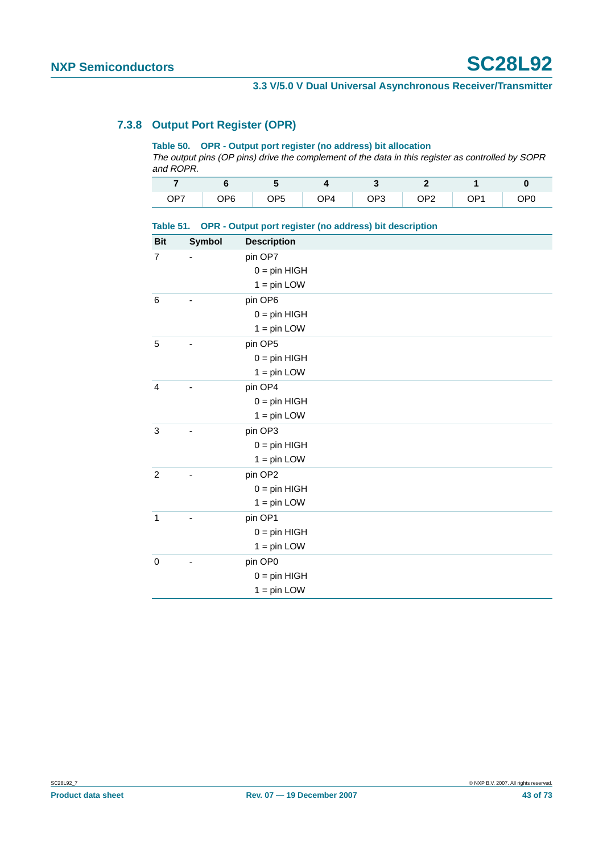# **7.3.8 Output Port Register (OPR)**

**Table 50. OPR - Output port register (no address) bit allocation**

The output pins (OP pins) drive the complement of the data in this register as controlled by SOPR and ROPR.

|  | OP7 OP6 OP5 OP4 OP3 OP2 OP1 OP0 |  |  |
|--|---------------------------------|--|--|

|  |  | Table 51. OPR - Output port register (no address) bit description |
|--|--|-------------------------------------------------------------------|
|  |  |                                                                   |

| <b>Bit</b>     | Symbol | <b>Description</b> |
|----------------|--------|--------------------|
| $\overline{7}$ | ٠      | pin OP7            |
|                |        | $0 = pin HIGH$     |
|                |        | $1 = pin$ LOW      |
| $\,6$          |        | pin OP6            |
|                |        | $0 = pin HIGH$     |
|                |        | $1 = pin$ LOW      |
| 5              |        | pin OP5            |
|                |        | $0 = pin HIGH$     |
|                |        | $1 = pin$ LOW      |
| 4              |        | pin OP4            |
|                |        | $0 = pin HIGH$     |
|                |        | $1 = pin$ LOW      |
| 3              |        | pin OP3            |
|                |        | $0 = pin HIGH$     |
|                |        | $1 = pin$ LOW      |
| $\overline{c}$ |        | pin OP2            |
|                |        | $0 = pin HIGH$     |
|                |        | $1 = pin$ LOW      |
| $\mathbf{1}$   |        | pin OP1            |
|                |        | $0 = pin HIGH$     |
|                |        | $1 = pin$ LOW      |
| $\pmb{0}$      |        | pin OP0            |
|                |        | $0 = pin HIGH$     |
|                |        | $1 = pin$ LOW      |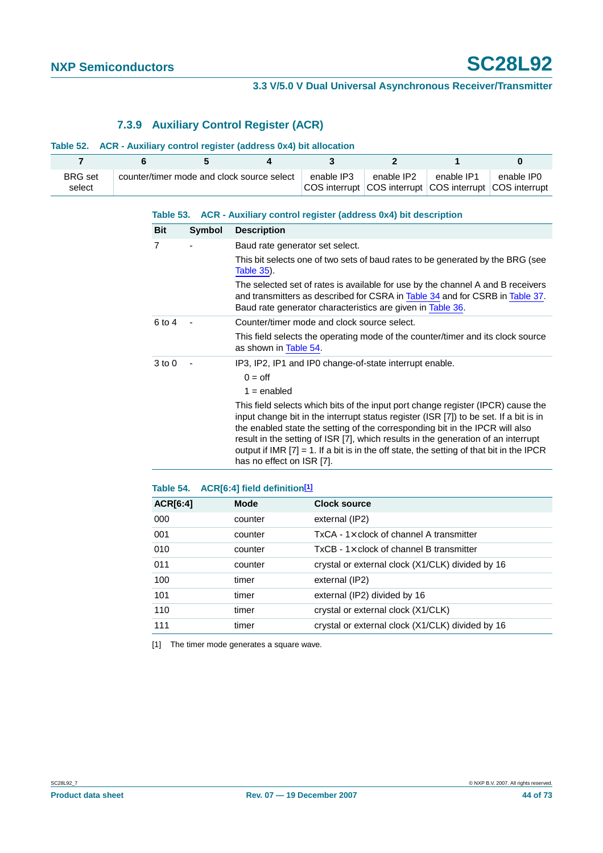# **7.3.9 Auxiliary Control Register (ACR)**

#### **Table 52. ACR - Auxiliary control register (address 0x4) bit allocation**

| <b>BRG</b> set<br>select | counter/timer mode and clock source select | enable IP3<br>COS interrupt COS interrupt COS interrupt COS interrupt | enable IP2 | enable IP1 | enable IP0 |
|--------------------------|--------------------------------------------|-----------------------------------------------------------------------|------------|------------|------------|

|                |        | Table 53. ACR - Auxiliary control register (address 0x4) bit description                                                                                                                                                                                                                                                                                                                                                                                                   |
|----------------|--------|----------------------------------------------------------------------------------------------------------------------------------------------------------------------------------------------------------------------------------------------------------------------------------------------------------------------------------------------------------------------------------------------------------------------------------------------------------------------------|
| <b>Bit</b>     | Symbol | <b>Description</b>                                                                                                                                                                                                                                                                                                                                                                                                                                                         |
| $\overline{7}$ |        | Baud rate generator set select.                                                                                                                                                                                                                                                                                                                                                                                                                                            |
|                |        | This bit selects one of two sets of baud rates to be generated by the BRG (see<br><b>Table 35).</b>                                                                                                                                                                                                                                                                                                                                                                        |
|                |        | The selected set of rates is available for use by the channel A and B receivers<br>and transmitters as described for CSRA in Table 34 and for CSRB in Table 37.<br>Baud rate generator characteristics are given in Table 36.                                                                                                                                                                                                                                              |
| 6 to 4         |        | Counter/timer mode and clock source select.                                                                                                                                                                                                                                                                                                                                                                                                                                |
|                |        | This field selects the operating mode of the counter/timer and its clock source<br>as shown in Table 54.                                                                                                                                                                                                                                                                                                                                                                   |
| $3$ to $0$     |        | IP3, IP2, IP1 and IP0 change-of-state interrupt enable.                                                                                                                                                                                                                                                                                                                                                                                                                    |
|                |        | $0 =$ off                                                                                                                                                                                                                                                                                                                                                                                                                                                                  |
|                |        | $1 =$ enabled                                                                                                                                                                                                                                                                                                                                                                                                                                                              |
|                |        | This field selects which bits of the input port change register (IPCR) cause the<br>input change bit in the interrupt status register (ISR [7]) to be set. If a bit is in<br>the enabled state the setting of the corresponding bit in the IPCR will also<br>result in the setting of ISR [7], which results in the generation of an interrupt<br>output if IMR $[7] = 1$ . If a bit is in the off state, the setting of that bit in the IPCR<br>has no effect on ISR [7]. |

<span id="page-43-0"></span>

| Table 54. | ACR[6:4] field definition <sup>[1]</sup> |                                                  |
|-----------|------------------------------------------|--------------------------------------------------|
| ACR[6:4]  | <b>Mode</b>                              | <b>Clock source</b>                              |
| 000       | counter                                  | external (IP2)                                   |
| 001       | counter                                  | $TxCA - 1 \times$ clock of channel A transmitter |
| 010       | counter                                  | $TxCB - 1 \times$ clock of channel B transmitter |
| 011       | counter                                  | crystal or external clock (X1/CLK) divided by 16 |
| 100       | timer                                    | external (IP2)                                   |
| 101       | timer                                    | external (IP2) divided by 16                     |
| 110       | timer                                    | crystal or external clock (X1/CLK)               |
| 111       | timer                                    | crystal or external clock (X1/CLK) divided by 16 |
|           |                                          |                                                  |

<span id="page-43-1"></span>[1] The timer mode generates a square wave.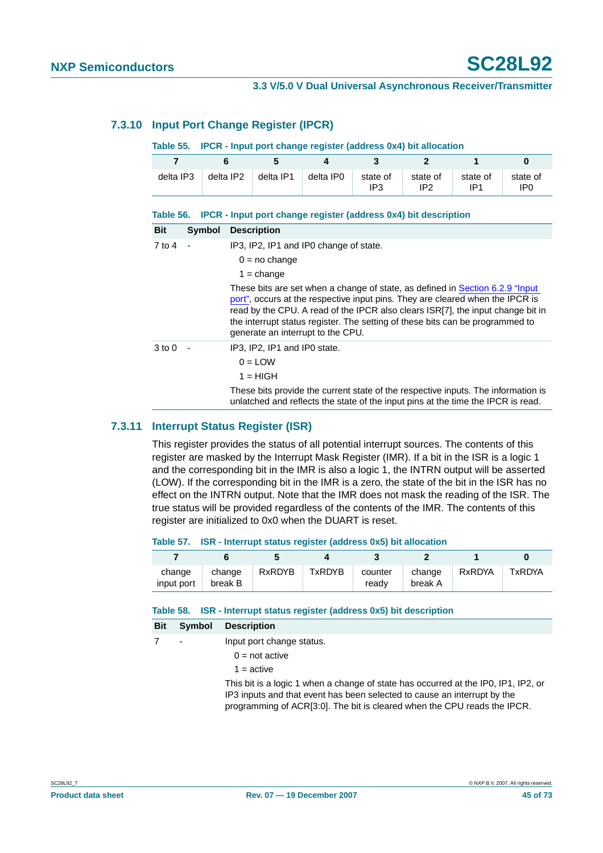### **7.3.10 Input Port Change Register (IPCR)**

#### **Table 55. IPCR - Input port change register (address 0x4) bit allocation**

| 7          | 6             | 5                                                       | 4                                                                                                                                                                                                                                                                                                                                                                                                                 | 3               | $\overline{2}$              |                 | 0                           |
|------------|---------------|---------------------------------------------------------|-------------------------------------------------------------------------------------------------------------------------------------------------------------------------------------------------------------------------------------------------------------------------------------------------------------------------------------------------------------------------------------------------------------------|-----------------|-----------------------------|-----------------|-----------------------------|
| delta IP3  | delta IP2     | delta IP1                                               | delta IP0                                                                                                                                                                                                                                                                                                                                                                                                         | state of<br>IP3 | state of<br>IP <sub>2</sub> | state of<br>IP1 | state of<br>IP <sub>0</sub> |
|            |               |                                                         | Table 56. IPCR - Input port change register (address 0x4) bit description                                                                                                                                                                                                                                                                                                                                         |                 |                             |                 |                             |
| <b>Bit</b> | <b>Symbol</b> | <b>Description</b>                                      |                                                                                                                                                                                                                                                                                                                                                                                                                   |                 |                             |                 |                             |
| 7 to 4     |               | $0 = no$ change<br>$1 = \text{change}$                  | IP3, IP2, IP1 and IP0 change of state.<br>These bits are set when a change of state, as defined in Section 6.2.9 "Input<br>port", occurs at the respective input pins. They are cleared when the IPCR is<br>read by the CPU. A read of the IPCR also clears ISR[7], the input change bit in<br>the interrupt status register. The setting of these bits can be programmed to<br>generate an interrupt to the CPU. |                 |                             |                 |                             |
| $3$ to $0$ |               | IP3, IP2, IP1 and IP0 state.<br>$0 =$ LOW<br>$1 = HIGH$ | These bits provide the current state of the respective inputs. The information is<br>unlatched and reflects the state of the input pins at the time the IPCR is read.                                                                                                                                                                                                                                             |                 |                             |                 |                             |

#### **7.3.11 Interrupt Status Register (ISR)**

This register provides the status of all potential interrupt sources. The contents of this register are masked by the Interrupt Mask Register (IMR). If a bit in the ISR is a logic 1 and the corresponding bit in the IMR is also a logic 1, the INTRN output will be asserted (LOW). If the corresponding bit in the IMR is a zero, the state of the bit in the ISR has no effect on the INTRN output. Note that the IMR does not mask the reading of the ISR. The true status will be provided regardless of the contents of the IMR. The contents of this register are initialized to 0x0 when the DUART is reset.

#### **Table 57. ISR - Interrupt status register (address 0x5) bit allocation**

| change<br>input port | change<br>break B | RxRDYB | TxRDYB | counter<br>readv | change<br>break A | RxRDYA | <b>TxRDYA</b> |
|----------------------|-------------------|--------|--------|------------------|-------------------|--------|---------------|

**Table 58. ISR - Interrupt status register (address 0x5) bit description**

| <b>Bit</b> | Symbol | <b>Description</b>                                                                                                                                             |
|------------|--------|----------------------------------------------------------------------------------------------------------------------------------------------------------------|
|            |        | Input port change status.                                                                                                                                      |
|            |        | $0 = not active$                                                                                                                                               |
|            |        | $1 =$ active                                                                                                                                                   |
|            |        | This bit is a logic 1 when a change of state has occurred at the IP0, IP1, IP2, or<br>IP3 inputs and that event has been selected to cause an interrupt by the |

programming of ACR[3:0]. The bit is cleared when the CPU reads the IPCR.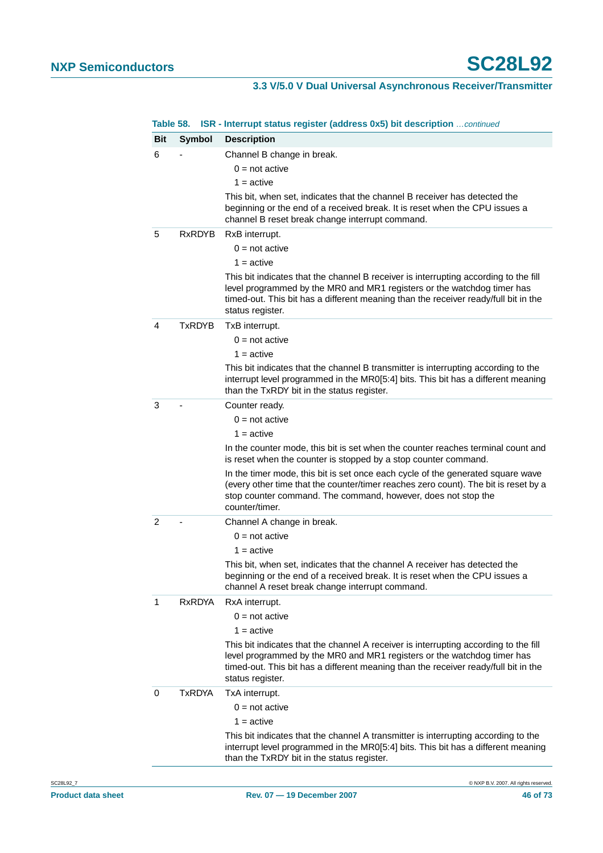| <b>Bit</b><br>6 | Symbol        | <b>Description</b><br>Channel B change in break.                                                                                                                                                                                                                           |
|-----------------|---------------|----------------------------------------------------------------------------------------------------------------------------------------------------------------------------------------------------------------------------------------------------------------------------|
|                 |               |                                                                                                                                                                                                                                                                            |
|                 |               |                                                                                                                                                                                                                                                                            |
|                 |               | $0 = not active$                                                                                                                                                                                                                                                           |
|                 |               | $1 =$ active                                                                                                                                                                                                                                                               |
|                 |               | This bit, when set, indicates that the channel B receiver has detected the<br>beginning or the end of a received break. It is reset when the CPU issues a<br>channel B reset break change interrupt command.                                                               |
| 5               | <b>RxRDYB</b> | RxB interrupt.                                                                                                                                                                                                                                                             |
|                 |               | $0 = not active$                                                                                                                                                                                                                                                           |
|                 |               | $1 =$ active                                                                                                                                                                                                                                                               |
|                 |               | This bit indicates that the channel B receiver is interrupting according to the fill<br>level programmed by the MR0 and MR1 registers or the watchdog timer has<br>timed-out. This bit has a different meaning than the receiver ready/full bit in the<br>status register. |
| 4               | TxRDYB        | TxB interrupt.                                                                                                                                                                                                                                                             |
|                 |               | $0 = not active$                                                                                                                                                                                                                                                           |
|                 |               | $1 =$ active                                                                                                                                                                                                                                                               |
|                 |               | This bit indicates that the channel B transmitter is interrupting according to the<br>interrupt level programmed in the MR0[5:4] bits. This bit has a different meaning<br>than the TxRDY bit in the status register.                                                      |
| 3               |               | Counter ready.                                                                                                                                                                                                                                                             |
|                 |               | $0 = not active$                                                                                                                                                                                                                                                           |
|                 |               | $1 =$ active                                                                                                                                                                                                                                                               |
|                 |               | In the counter mode, this bit is set when the counter reaches terminal count and<br>is reset when the counter is stopped by a stop counter command.                                                                                                                        |
|                 |               | In the timer mode, this bit is set once each cycle of the generated square wave<br>(every other time that the counter/timer reaches zero count). The bit is reset by a<br>stop counter command. The command, however, does not stop the<br>counter/timer.                  |
| 2               |               | Channel A change in break.                                                                                                                                                                                                                                                 |
|                 |               | $0 = not active$                                                                                                                                                                                                                                                           |
|                 |               | $1 =$ active                                                                                                                                                                                                                                                               |
|                 |               | This bit, when set, indicates that the channel A receiver has detected the<br>beginning or the end of a received break. It is reset when the CPU issues a<br>channel A reset break change interrupt command.                                                               |
| 1               | RxRDYA        | RxA interrupt.                                                                                                                                                                                                                                                             |
|                 |               | $0 = not active$                                                                                                                                                                                                                                                           |
|                 |               | $1 =$ active                                                                                                                                                                                                                                                               |
|                 |               | This bit indicates that the channel A receiver is interrupting according to the fill<br>level programmed by the MR0 and MR1 registers or the watchdog timer has<br>timed-out. This bit has a different meaning than the receiver ready/full bit in the<br>status register. |
| 0               | TxRDYA        | TxA interrupt.                                                                                                                                                                                                                                                             |
|                 |               | $0 = not active$                                                                                                                                                                                                                                                           |
|                 |               | $1 =$ active                                                                                                                                                                                                                                                               |
|                 |               | This bit indicates that the channel A transmitter is interrupting according to the                                                                                                                                                                                         |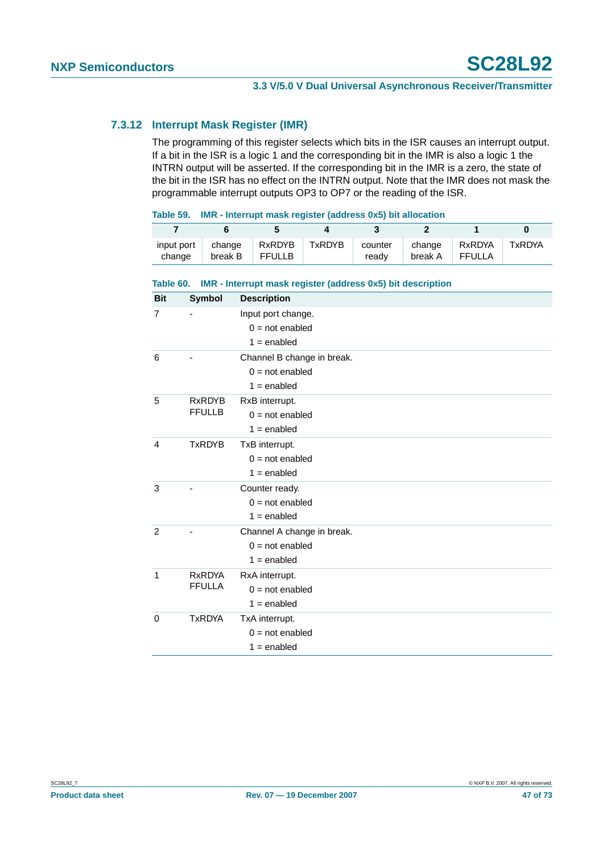### **7.3.12 Interrupt Mask Register (IMR)**

The programming of this register selects which bits in the ISR causes an interrupt output. If a bit in the ISR is a logic 1 and the corresponding bit in the IMR is also a logic 1 the INTRN output will be asserted. If the corresponding bit in the IMR is a zero, the state of the bit in the ISR has no effect on the INTRN output. Note that the IMR does not mask the programmable interrupt outputs OP3 to OP7 or the reading of the ISR.

| Table 59. | IMR - Interrupt mask register (address 0x5) bit allocation |  |  |
|-----------|------------------------------------------------------------|--|--|
|           |                                                            |  |  |

| input port<br>change | change<br>break B | RxRDYB<br>FFULLB | TxRDYB | readv | break A FFULLA | counter   change   RxRDYA   TxRDYA |  |
|----------------------|-------------------|------------------|--------|-------|----------------|------------------------------------|--|

| Table 60.      |               | IMR - Interrupt mask register (address 0x5) bit description |
|----------------|---------------|-------------------------------------------------------------|
| <b>Bit</b>     | <b>Symbol</b> | <b>Description</b>                                          |
| $\overline{7}$ |               | Input port change.                                          |
|                |               | $0 = not enabled$                                           |
|                |               | $1 =$ enabled                                               |
| 6              |               | Channel B change in break.                                  |
|                |               | $0 = not enabled$                                           |
|                |               | $1 =$ enabled                                               |
| 5              | <b>RxRDYB</b> | RxB interrupt.                                              |
|                | <b>FFULLB</b> | $0 = not enabled$                                           |
|                |               | $1 =$ enabled                                               |
| $\overline{4}$ | <b>TxRDYB</b> | TxB interrupt.                                              |
|                |               | $0 = not enabled$                                           |
|                |               | $1 =$ enabled                                               |
| 3              |               | Counter ready.                                              |
|                |               | $0 = not enabled$                                           |
|                |               | $1 =$ enabled                                               |
| 2              |               | Channel A change in break.                                  |
|                |               | $0 = not enabled$                                           |
|                |               | $1 =$ enabled                                               |
| 1              | <b>RxRDYA</b> | RxA interrupt.                                              |
|                | <b>FFULLA</b> | $0 = not enabled$                                           |
|                |               | $1 =$ enabled                                               |
| $\mathbf 0$    | <b>TxRDYA</b> | TxA interrupt.                                              |
|                |               | $0 = not enabled$                                           |
|                |               | $1 =$ enabled                                               |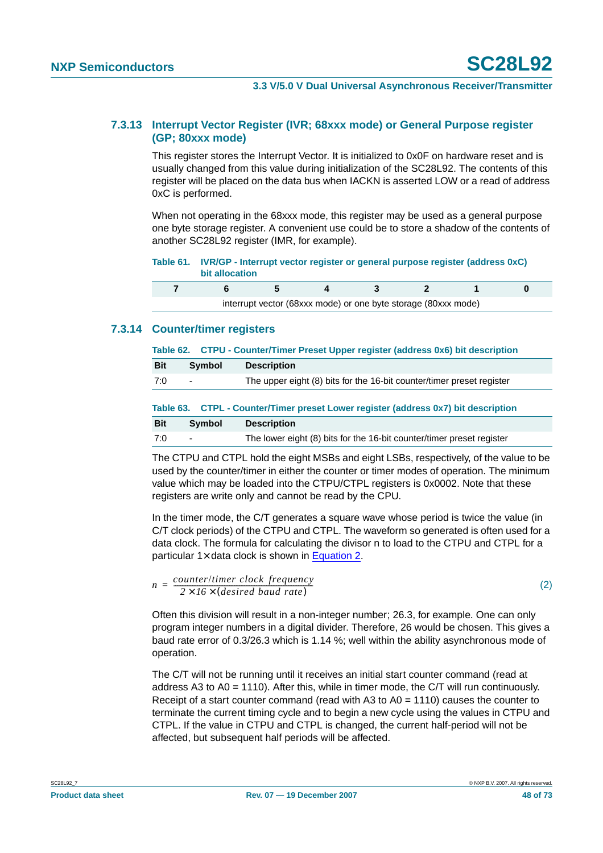#### **7.3.13 Interrupt Vector Register (IVR; 68xxx mode) or General Purpose register (GP; 80xxx mode)**

This register stores the Interrupt Vector. It is initialized to 0x0F on hardware reset and is usually changed from this value during initialization of the SC28L92. The contents of this register will be placed on the data bus when IACKN is asserted LOW or a read of address 0xC is performed.

When not operating in the 68xxx mode, this register may be used as a general purpose one byte storage register. A convenient use could be to store a shadow of the contents of another SC28L92 register (IMR, for example).

| Table 61. IVR/GP - Interrupt vector register or general purpose register (address 0xC) |
|----------------------------------------------------------------------------------------|
| bit allocation                                                                         |

|  | interrupt vector (68xxx mode) or one byte storage (80xxx mode) |  |  |  |
|--|----------------------------------------------------------------|--|--|--|

### **7.3.14 Counter/timer registers**

|  |  |  | Table 62. CTPU - Counter/Timer Preset Upper register (address 0x6) bit description |  |
|--|--|--|------------------------------------------------------------------------------------|--|
|--|--|--|------------------------------------------------------------------------------------|--|

| <b>Bit</b><br>Symbol<br><b>Description</b> |                                                                       |
|--------------------------------------------|-----------------------------------------------------------------------|
| 7:0<br>$\overline{\phantom{0}}$            | The upper eight (8) bits for the 16-bit counter/timer preset register |

|            |        | Table 63. CTPL - Counter/Timer preset Lower register (address 0x7) bit description |
|------------|--------|------------------------------------------------------------------------------------|
| <b>Bit</b> | Symbol | <b>Description</b>                                                                 |
| 7:0        | $\sim$ | The lower eight (8) bits for the 16-bit counter/timer preset register              |

The CTPU and CTPL hold the eight MSBs and eight LSBs, respectively, of the value to be used by the counter/timer in either the counter or timer modes of operation. The minimum value which may be loaded into the CTPU/CTPL registers is 0x0002. Note that these registers are write only and cannot be read by the CPU.

In the timer mode, the C/T generates a square wave whose period is twice the value (in C/T clock periods) of the CTPU and CTPL. The waveform so generated is often used for a data clock. The formula for calculating the divisor n to load to the CTPU and CTPL for a particular  $1 \times$  data clock is shown in [Equation](#page-47-0) 2.

```
n = \frac{counter/timer \ clock \ frequency}{2 \times 16 \times (desired \ band \ rate)}
```
(2)

Often this division will result in a non-integer number; 26.3, for example. One can only program integer numbers in a digital divider. Therefore, 26 would be chosen. This gives a baud rate error of 0.3/26.3 which is 1.14 %; well within the ability asynchronous mode of operation.

The C/T will not be running until it receives an initial start counter command (read at address A3 to A0 = 1110). After this, while in timer mode, the C/T will run continuously. Receipt of a start counter command (read with A3 to  $A0 = 1110$ ) causes the counter to terminate the current timing cycle and to begin a new cycle using the values in CTPU and CTPL. If the value in CTPU and CTPL is changed, the current half-period will not be affected, but subsequent half periods will be affected.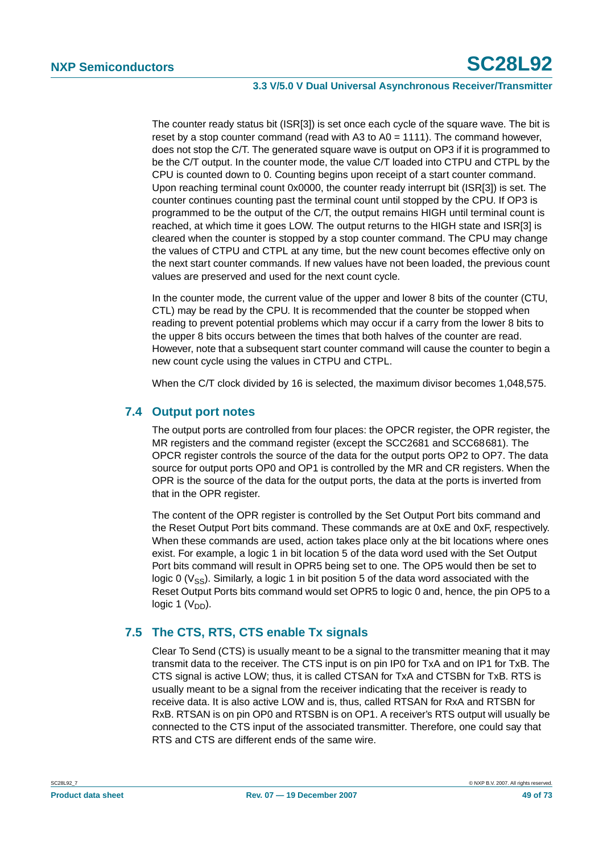The counter ready status bit (ISR[3]) is set once each cycle of the square wave. The bit is reset by a stop counter command (read with A3 to  $A0 = 1111$ ). The command however, does not stop the C/T. The generated square wave is output on OP3 if it is programmed to be the C/T output. In the counter mode, the value C/T loaded into CTPU and CTPL by the CPU is counted down to 0. Counting begins upon receipt of a start counter command. Upon reaching terminal count 0x0000, the counter ready interrupt bit (ISR[3]) is set. The counter continues counting past the terminal count until stopped by the CPU. If OP3 is programmed to be the output of the C/T, the output remains HIGH until terminal count is reached, at which time it goes LOW. The output returns to the HIGH state and ISR[3] is cleared when the counter is stopped by a stop counter command. The CPU may change the values of CTPU and CTPL at any time, but the new count becomes effective only on the next start counter commands. If new values have not been loaded, the previous count values are preserved and used for the next count cycle.

In the counter mode, the current value of the upper and lower 8 bits of the counter (CTU, CTL) may be read by the CPU. It is recommended that the counter be stopped when reading to prevent potential problems which may occur if a carry from the lower 8 bits to the upper 8 bits occurs between the times that both halves of the counter are read. However, note that a subsequent start counter command will cause the counter to begin a new count cycle using the values in CTPU and CTPL.

When the C/T clock divided by 16 is selected, the maximum divisor becomes 1,048,575.

# **7.4 Output port notes**

The output ports are controlled from four places: the OPCR register, the OPR register, the MR registers and the command register (except the SCC2681 and SCC68681). The OPCR register controls the source of the data for the output ports OP2 to OP7. The data source for output ports OP0 and OP1 is controlled by the MR and CR registers. When the OPR is the source of the data for the output ports, the data at the ports is inverted from that in the OPR register.

The content of the OPR register is controlled by the Set Output Port bits command and the Reset Output Port bits command. These commands are at 0xE and 0xF, respectively. When these commands are used, action takes place only at the bit locations where ones exist. For example, a logic 1 in bit location 5 of the data word used with the Set Output Port bits command will result in OPR5 being set to one. The OP5 would then be set to logic 0 ( $V_{\rm SS}$ ). Similarly, a logic 1 in bit position 5 of the data word associated with the Reset Output Ports bits command would set OPR5 to logic 0 and, hence, the pin OP5 to a logic 1  $(V_{DD})$ .

# **7.5 The CTS, RTS, CTS enable Tx signals**

Clear To Send (CTS) is usually meant to be a signal to the transmitter meaning that it may transmit data to the receiver. The CTS input is on pin IP0 for TxA and on IP1 for TxB. The CTS signal is active LOW; thus, it is called CTSAN for TxA and CTSBN for TxB. RTS is usually meant to be a signal from the receiver indicating that the receiver is ready to receive data. It is also active LOW and is, thus, called RTSAN for RxA and RTSBN for RxB. RTSAN is on pin OP0 and RTSBN is on OP1. A receiver's RTS output will usually be connected to the CTS input of the associated transmitter. Therefore, one could say that RTS and CTS are different ends of the same wire.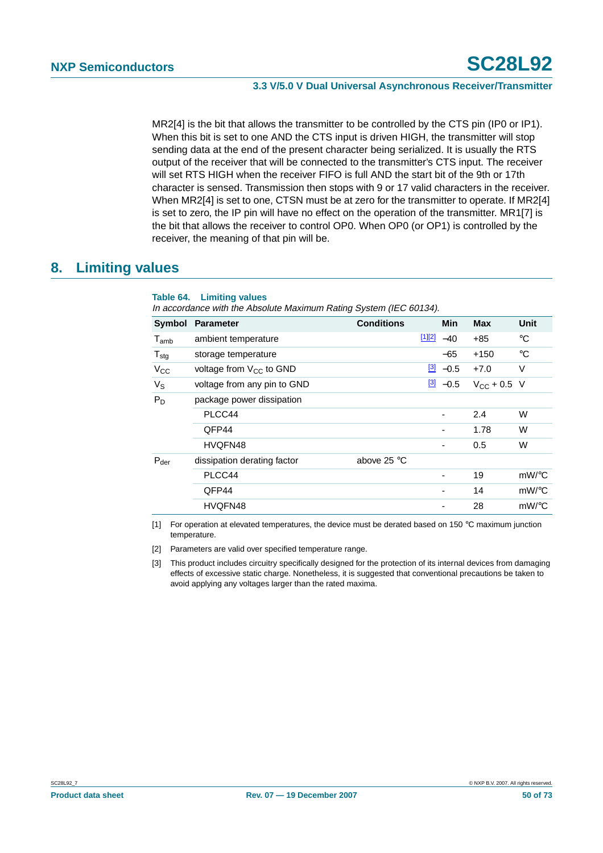MR2[4] is the bit that allows the transmitter to be controlled by the CTS pin (IP0 or IP1). When this bit is set to one AND the CTS input is driven HIGH, the transmitter will stop sending data at the end of the present character being serialized. It is usually the RTS output of the receiver that will be connected to the transmitter's CTS input. The receiver will set RTS HIGH when the receiver FIFO is full AND the start bit of the 9th or 17th character is sensed. Transmission then stops with 9 or 17 valid characters in the receiver. When MR2[4] is set to one, CTSN must be at zero for the transmitter to operate. If MR2[4] is set to zero, the IP pin will have no effect on the operation of the transmitter. MR1[7] is the bit that allows the receiver to control OP0. When OP0 (or OP1) is controlled by the receiver, the meaning of that pin will be.

# **8. Limiting values**

#### <span id="page-49-3"></span>**Table 64. Limiting values**

In accordance with the Absolute Maximum Rating System (IEC 60134).

| Symbol           | <b>Parameter</b>             | <b>Conditions</b> |        | <b>Min</b>               | <b>Max</b>           | Unit        |
|------------------|------------------------------|-------------------|--------|--------------------------|----------------------|-------------|
| $T_{amb}$        | ambient temperature          |                   | [1][2] | $-40$                    | $+85$                | $^{\circ}C$ |
| $T_{\text{stg}}$ | storage temperature          |                   |        | $-65$                    | $+150$               | $^{\circ}C$ |
| $V_{CC}$         | voltage from $V_{CC}$ to GND |                   |        | $\frac{[3]}{2}$ -0.5     | $+7.0$               | V           |
| $V_S$            | voltage from any pin to GND  |                   |        | $\frac{3}{2}$ -0.5       | $V_{\rm CC}$ + 0.5 V |             |
| $P_D$            | package power dissipation    |                   |        |                          |                      |             |
|                  | PLCC44                       |                   |        | $\overline{\phantom{0}}$ | 2.4                  | W           |
|                  | QFP44                        |                   |        | -                        | 1.78                 | W           |
|                  | HVQFN48                      |                   |        | -                        | 0.5                  | W           |
| $P_{der}$        | dissipation derating factor  | above 25 °C       |        |                          |                      |             |
|                  | PLCC44                       |                   |        | -                        | 19                   | mW/°C       |
|                  | QFP44                        |                   |        | -                        | 14                   | $mW$ /°C    |
|                  | HVQFN48                      |                   |        |                          | 28                   | $mW$ /°C    |

<span id="page-49-0"></span>[1] For operation at elevated temperatures, the device must be derated based on 150 °C maximum junction temperature.

<span id="page-49-1"></span>[2] Parameters are valid over specified temperature range.

<span id="page-49-2"></span>[3] This product includes circuitry specifically designed for the protection of its internal devices from damaging effects of excessive static charge. Nonetheless, it is suggested that conventional precautions be taken to avoid applying any voltages larger than the rated maxima.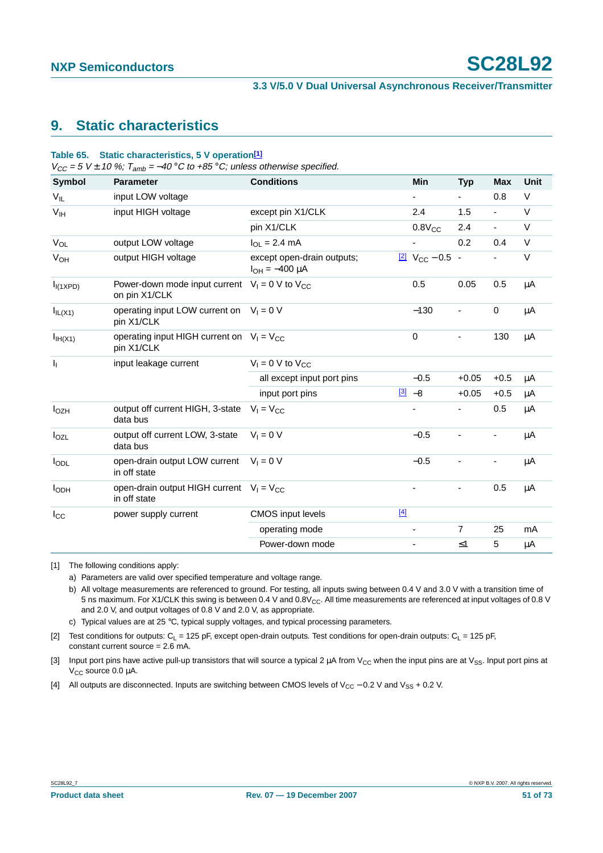# **9. Static characteristics**

#### **Table 65. Static characteristics, 5 V operation[\[1\]](#page-50-0)**

 $V_{CC}$  = 5 V ± 10 %;  $T_{amb}$  = -40 °C to +85 °C; unless otherwise specified.

| Symbol                | <b>Parameter</b>                                              | <b>Conditions</b>                                   | <b>Min</b>                              | <b>Typ</b>               | <b>Max</b>               | <b>Unit</b> |
|-----------------------|---------------------------------------------------------------|-----------------------------------------------------|-----------------------------------------|--------------------------|--------------------------|-------------|
| $V_{IL}$              | input LOW voltage                                             |                                                     |                                         |                          | 0.8                      | V           |
| V <sub>IH</sub>       | input HIGH voltage                                            | except pin X1/CLK                                   | 2.4                                     | 1.5                      | $\blacksquare$           | V           |
|                       |                                                               | pin X1/CLK                                          | $0.8V_{CC}$                             | 2.4                      | $\blacksquare$           | $\vee$      |
| $V_{OL}$              | output LOW voltage                                            | $I_{OL} = 2.4$ mA                                   |                                         | 0.2                      | 0.4                      | $\vee$      |
| <b>V<sub>OH</sub></b> | output HIGH voltage                                           | except open-drain outputs;<br>$I_{OH} = -400 \mu A$ | $\frac{[2]}{2}$ V <sub>CC</sub> - 0.5 - |                          |                          | $\vee$      |
| I <sub>I</sub> (1XPD) | Power-down mode input current<br>on pin X1/CLK                | $V_1 = 0$ V to $V_{CC}$                             | 0.5                                     | 0.05                     | 0.5                      | μA          |
| $I_{IL(X1)}$          | operating input LOW current on $V_1 = 0$ V<br>pin X1/CLK      |                                                     | $-130$                                  |                          | 0                        | μA          |
| I <sub>IH</sub> (X1)  | operating input HIGH current on $V_1 = V_{CC}$<br>pin X1/CLK  |                                                     | $\mathbf 0$                             | -                        | 130                      | μA          |
| $\mathbf{l}_1$        | input leakage current                                         | $V_1 = 0$ V to $V_{CC}$                             |                                         |                          |                          |             |
|                       |                                                               | all except input port pins                          | $-0.5$                                  | $+0.05$                  | $+0.5$                   | μA          |
|                       |                                                               | input port pins                                     | $\frac{[3]}{2}$ -8                      | $+0.05$                  | $+0.5$                   | μA          |
| $I_{OZH}$             | output off current HIGH, 3-state<br>data bus                  | $V_1 = V_{CC}$                                      | $\qquad \qquad \blacksquare$            | $\overline{\phantom{0}}$ | 0.5                      | μA          |
| $I_{OZL}$             | output off current LOW, 3-state<br>data bus                   | $V_1 = 0 V$                                         | $-0.5$                                  |                          | $\overline{\phantom{a}}$ | μA          |
| $I_{ODL}$             | open-drain output LOW current $V_1 = 0$ V<br>in off state     |                                                     | $-0.5$                                  |                          |                          | μA          |
| <b>I</b> ODH          | open-drain output HIGH current $V_1 = V_{CC}$<br>in off state |                                                     |                                         |                          | 0.5                      | μA          |
| $I_{\rm CC}$          | power supply current                                          | <b>CMOS</b> input levels                            | $[4]$                                   |                          |                          |             |
|                       |                                                               | operating mode                                      |                                         | $\overline{7}$           | 25                       | mA          |
|                       |                                                               | Power-down mode                                     |                                         | $\leq 1$                 | 5                        | μA          |
|                       |                                                               |                                                     |                                         |                          |                          |             |

<span id="page-50-0"></span>[1] The following conditions apply:

a) Parameters are valid over specified temperature and voltage range.

b) All voltage measurements are referenced to ground. For testing, all inputs swing between 0.4 V and 3.0 V with a transition time of 5 ns maximum. For X1/CLK this swing is between 0.4 V and 0.8V<sub>CC</sub>. All time measurements are referenced at input voltages of 0.8 V and 2.0 V, and output voltages of 0.8 V and 2.0 V, as appropriate.

c) Typical values are at 25  $\degree$ C, typical supply voltages, and typical processing parameters.

<span id="page-50-1"></span>[2] Test conditions for outputs:  $C_L = 125$  pF, except open-drain outputs. Test conditions for open-drain outputs:  $C_L = 125$  pF, constant current source = 2.6 mA.

<span id="page-50-2"></span>[3] Input port pins have active pull-up transistors that will source a typical 2  $\mu$ A from V<sub>CC</sub> when the input pins are at V<sub>SS</sub>. Input port pins at  $V_{CC}$  source 0.0  $\mu$ A.

<span id="page-50-3"></span>[4] All outputs are disconnected. Inputs are switching between CMOS levels of V<sub>CC</sub> − 0.2 V and V<sub>SS</sub> + 0.2 V.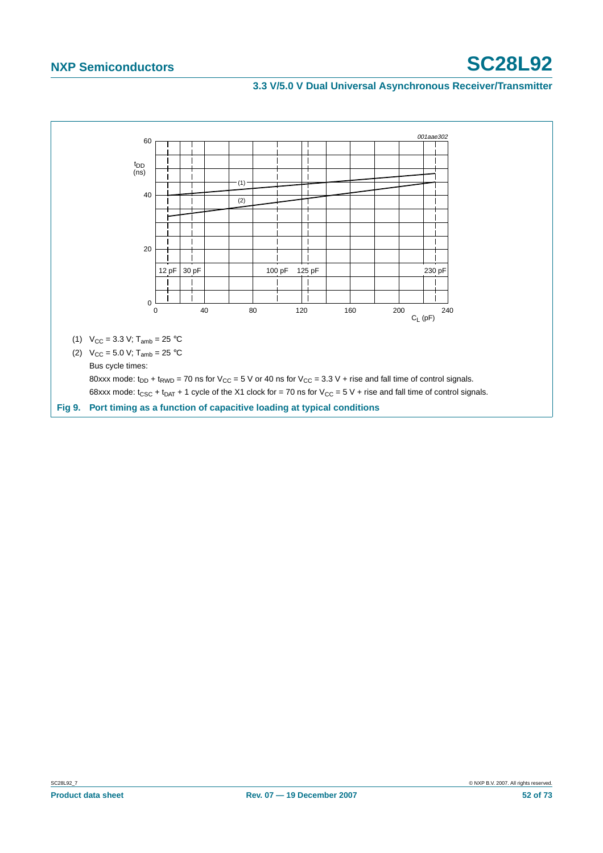<span id="page-51-0"></span>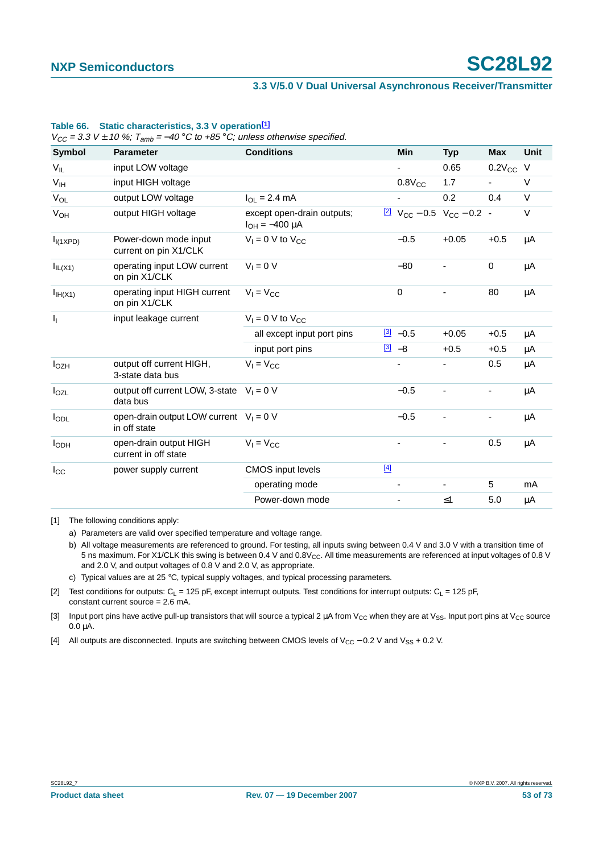#### **3.3 V/5.0 V Dual Universal Asynchronous Receiver/Transmitter**

| Symbol                | <b>Parameter</b>                                          | <b>Conditions</b>                                   |       | <b>Min</b>         | <b>Typ</b>                                                    | <b>Max</b>    | <b>Unit</b> |
|-----------------------|-----------------------------------------------------------|-----------------------------------------------------|-------|--------------------|---------------------------------------------------------------|---------------|-------------|
| $V_{IL}$              | input LOW voltage                                         |                                                     |       |                    | 0.65                                                          | $0.2V_{CC}$ V |             |
| V <sub>IH</sub>       | input HIGH voltage                                        |                                                     |       | $0.8V_{CC}$        | 1.7                                                           |               | $\vee$      |
| $V_{OL}$              | output LOW voltage                                        | $I_{OL} = 2.4 \text{ mA}$                           |       |                    | 0.2                                                           | 0.4           | $\vee$      |
| $V_{OH}$              | output HIGH voltage                                       | except open-drain outputs;<br>$I_{OH} = -400 \mu A$ |       |                    | $\frac{[2]}{2}$ V <sub>CC</sub> - 0.5 V <sub>CC</sub> - 0.2 - |               | V           |
| I <sub>I</sub> (1XPD) | Power-down mode input<br>current on pin X1/CLK            | $V_1 = 0$ V to $V_{CC}$                             |       | $-0.5$             | $+0.05$                                                       | $+0.5$        | μA          |
| $I_{IL(X1)}$          | operating input LOW current<br>on pin X1/CLK              | $V_1 = 0 V$                                         |       | $-80$              | ä,                                                            | $\mathbf 0$   | μA          |
| I <sub>IH</sub> (X1)  | operating input HIGH current<br>on pin X1/CLK             | $V_1 = V_{CC}$                                      |       | $\pmb{0}$          |                                                               | 80            | μA          |
| Т,                    | input leakage current                                     | $V_1 = 0$ V to $V_{CC}$                             |       |                    |                                                               |               |             |
|                       |                                                           | all except input port pins                          |       | $\frac{3}{2}$ -0.5 | $+0.05$                                                       | $+0.5$        | μA          |
|                       |                                                           | input port pins                                     |       | $[3] -8$           | $+0.5$                                                        | $+0.5$        | μA          |
| $I_{OZH}$             | output off current HIGH,<br>3-state data bus              | $V_1 = V_{CC}$                                      |       |                    |                                                               | 0.5           | μA          |
| $I_{OZL}$             | output off current LOW, 3-state $V_1 = 0$ V<br>data bus   |                                                     |       | $-0.5$             | ٠                                                             | ۰             | μA          |
| $I_{ODL}$             | open-drain output LOW current $V_1 = 0$ V<br>in off state |                                                     |       | $-0.5$             |                                                               |               | μA          |
| I <sub>ODH</sub>      | open-drain output HIGH<br>current in off state            | $V_1 = V_{CC}$                                      |       |                    |                                                               | 0.5           | μA          |
| $I_{\rm CC}$          | power supply current                                      | <b>CMOS</b> input levels                            | $[4]$ |                    |                                                               |               |             |
|                       |                                                           | operating mode                                      |       |                    | -                                                             | 5             | mA          |
|                       |                                                           | Power-down mode                                     |       |                    | $\leq 1$                                                      | 5.0           | μA          |

#### **Table 66. Static characteristics, 3.3 V operatio[n\[1\]](#page-52-0)**

<span id="page-52-0"></span>[1] The following conditions apply:

b) All voltage measurements are referenced to ground. For testing, all inputs swing between 0.4 V and 3.0 V with a transition time of 5 ns maximum. For X1/CLK this swing is between 0.4 V and  $0.8V_{CC}$ . All time measurements are referenced at input voltages of 0.8 V and 2.0 V, and output voltages of 0.8 V and 2.0 V, as appropriate.

c) Typical values are at 25 °C, typical supply voltages, and typical processing parameters.

<span id="page-52-1"></span>[2] Test conditions for outputs:  $C_L$  = 125 pF, except interrupt outputs. Test conditions for interrupt outputs:  $C_L$  = 125 pF, constant current source = 2.6 mA.

<span id="page-52-2"></span>[3] Input port pins have active pull-up transistors that will source a typical 2  $\mu$ A from V<sub>CC</sub> when they are at V<sub>SS</sub>. Input port pins at V<sub>CC</sub> source  $0.0 \mu \dot{A}$ .

<span id="page-52-3"></span>[4] All outputs are disconnected. Inputs are switching between CMOS levels of V<sub>CC</sub> − 0.2 V and V<sub>SS</sub> + 0.2 V.

a) Parameters are valid over specified temperature and voltage range.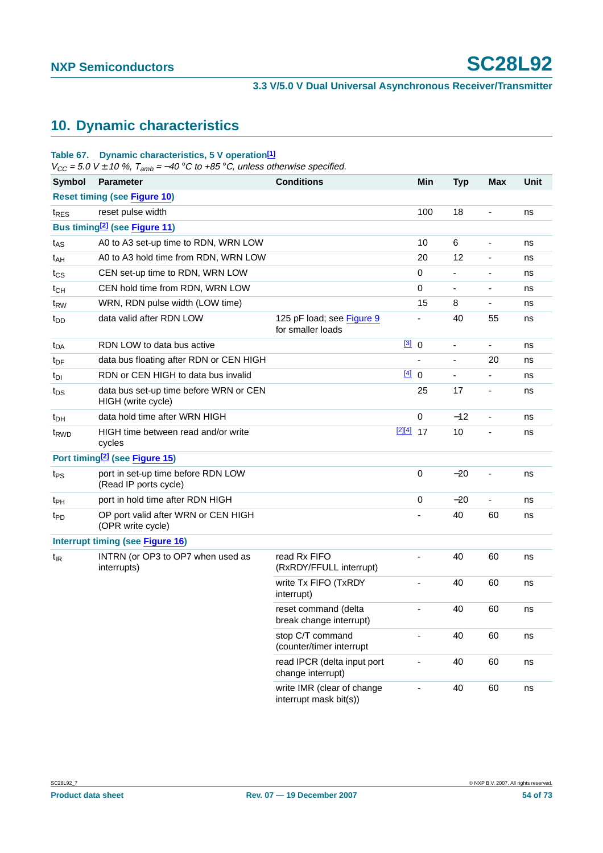# **10. Dynamic characteristics**

#### **Table 67. Dynamic characteristics, 5 V operation[\[1\]](#page-54-0)**

 $V_{CC}$  = 5.0 V  $\pm$  10 %,  $T_{amb}$  = -40 °C to +85 °C, unless otherwise specified.

| <b>Symbol</b>    | <b>Parameter</b>                                             | <b>Conditions</b>                                    |             | Min         | <b>Typ</b>                   | <b>Max</b>                   | Unit |
|------------------|--------------------------------------------------------------|------------------------------------------------------|-------------|-------------|------------------------------|------------------------------|------|
|                  | <b>Reset timing (see Figure 10)</b>                          |                                                      |             |             |                              |                              |      |
| t <sub>RES</sub> | reset pulse width                                            |                                                      |             | 100         | 18                           | $\overline{\phantom{a}}$     | ns   |
|                  | Bus timing <sup>[2]</sup> (see Figure 11)                    |                                                      |             |             |                              |                              |      |
| $t_{AS}$         | A0 to A3 set-up time to RDN, WRN LOW                         |                                                      |             | 10          | 6                            | $\overline{\phantom{a}}$     | ns   |
| t <sub>AH</sub>  | A0 to A3 hold time from RDN, WRN LOW                         |                                                      |             | 20          | 12                           | $\overline{\phantom{a}}$     | ns   |
| $t_{\text{CS}}$  | CEN set-up time to RDN, WRN LOW                              |                                                      |             | 0           | $\overline{\phantom{0}}$     | $\overline{\phantom{a}}$     | ns   |
| $t_{CH}$         | CEN hold time from RDN, WRN LOW                              |                                                      |             | 0           |                              | $\overline{\phantom{a}}$     | ns   |
| t <sub>RW</sub>  | WRN, RDN pulse width (LOW time)                              |                                                      |             | 15          | 8                            | $\overline{\phantom{a}}$     | ns   |
| t <sub>DD</sub>  | data valid after RDN LOW                                     | 125 pF load; see Figure 9<br>for smaller loads       |             |             | 40                           | 55                           | ns   |
| $t_{DA}$         | RDN LOW to data bus active                                   |                                                      | [3] 0       |             | $\qquad \qquad \blacksquare$ | ÷,                           | ns   |
| $t_{DF}$         | data bus floating after RDN or CEN HIGH                      |                                                      |             |             |                              | 20                           | ns   |
| t <sub>DI</sub>  | RDN or CEN HIGH to data bus invalid                          |                                                      | [4] 0       |             | $\blacksquare$               | ÷,                           | ns   |
| $t_{DS}$         | data bus set-up time before WRN or CEN<br>HIGH (write cycle) |                                                      |             | 25          | 17                           | $\overline{\phantom{a}}$     | ns   |
| $t_{DH}$         | data hold time after WRN HIGH                                |                                                      |             | $\mathbf 0$ | $-12$                        | ÷,                           | ns   |
| t <sub>RWD</sub> | HIGH time between read and/or write<br>cycles                |                                                      | $[2][4]$ 17 |             | 10                           | $\qquad \qquad \blacksquare$ | ns   |
|                  | Port timing <sup>[2]</sup> (see Figure 15)                   |                                                      |             |             |                              |                              |      |
| t <sub>PS</sub>  | port in set-up time before RDN LOW<br>(Read IP ports cycle)  |                                                      |             | 0           | $-20$                        | $\blacksquare$               | ns   |
| t <sub>PH</sub>  | port in hold time after RDN HIGH                             |                                                      |             | 0           | $-20$                        | ä,                           | ns   |
| t <sub>PD</sub>  | OP port valid after WRN or CEN HIGH<br>(OPR write cycle)     |                                                      |             |             | 40                           | 60                           | ns   |
|                  | <b>Interrupt timing (see Figure 16)</b>                      |                                                      |             |             |                              |                              |      |
| $t_{IR}$         | INTRN (or OP3 to OP7 when used as<br>interrupts)             | read Rx FIFO<br>(RxRDY/FFULL interrupt)              |             |             | 40                           | 60                           | ns   |
|                  |                                                              | write Tx FIFO (TxRDY<br>interrupt)                   |             |             | 40                           | 60                           | ns   |
|                  |                                                              | reset command (delta<br>break change interrupt)      |             |             | 40                           | 60                           | ns   |
|                  |                                                              | stop C/T command<br>(counter/timer interrupt         |             |             | 40                           | 60                           | ns   |
|                  |                                                              | read IPCR (delta input port<br>change interrupt)     |             |             | 40                           | 60                           | ns   |
|                  |                                                              | write IMR (clear of change<br>interrupt mask bit(s)) |             | ä,          | 40                           | 60                           | ns   |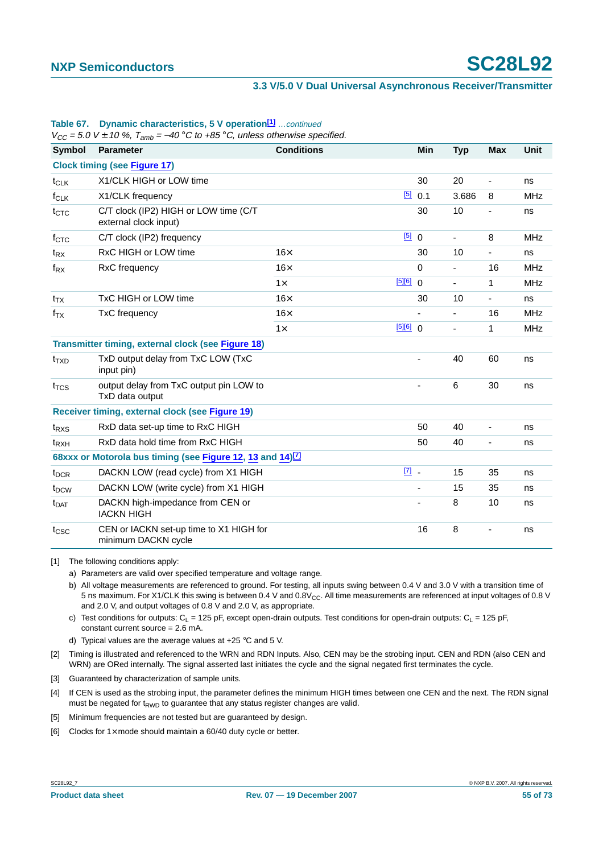|                         | $V_{CC}$ = 5.0 V $\pm$ 10 %, 1 <sub>amb</sub> = –40 °C to +85 °C, unless otherwise specified. |                   |             |             |                          |                |             |
|-------------------------|-----------------------------------------------------------------------------------------------|-------------------|-------------|-------------|--------------------------|----------------|-------------|
| <b>Symbol</b>           | Parameter                                                                                     | <b>Conditions</b> |             | Min         | <b>Typ</b>               | <b>Max</b>     | <b>Unit</b> |
|                         | <b>Clock timing (see Figure 17)</b>                                                           |                   |             |             |                          |                |             |
| $t_{CLK}$               | X1/CLK HIGH or LOW time                                                                       |                   |             | 30          | 20                       | $\blacksquare$ | ns          |
| $f_{CLK}$               | X1/CLK frequency                                                                              |                   | [5]         | 0.1         | 3.686                    | 8              | <b>MHz</b>  |
| $t_{CTC}$               | C/T clock (IP2) HIGH or LOW time (C/T<br>external clock input)                                |                   |             | 30          | 10                       | -              | ns          |
| $f_{\text{CTC}}$        | C/T clock (IP2) frequency                                                                     |                   | [5]         | $\mathbf 0$ | ÷,                       | 8              | <b>MHz</b>  |
| $t_{\mathsf{RX}}$       | RxC HIGH or LOW time                                                                          | $16\times$        |             | 30          | 10                       | $\frac{1}{2}$  | ns          |
| $f_{\mathsf{RX}}$       | RxC frequency                                                                                 | $16\times$        |             | $\mathbf 0$ | $\overline{\phantom{a}}$ | 16             | <b>MHz</b>  |
|                         |                                                                                               | $1\times$         | [5][6]      | $\Omega$    | $\overline{\phantom{a}}$ | 1              | <b>MHz</b>  |
| $t_{\mathsf{TX}}$       | TxC HIGH or LOW time                                                                          | $16\times$        |             | 30          | 10                       |                | ns          |
| $f_{TX}$                | TxC frequency                                                                                 | $16\times$        |             | ٠           | $\blacksquare$           | 16             | <b>MHz</b>  |
|                         |                                                                                               | $1\times$         | [5][6] 0    |             | $\overline{\phantom{a}}$ | 1              | <b>MHz</b>  |
|                         | <b>Transmitter timing, external clock (see Figure 18)</b>                                     |                   |             |             |                          |                |             |
| $t_{TXD}$               | TxD output delay from TxC LOW (TxC<br>input pin)                                              |                   |             |             | 40                       | 60             | ns          |
| $t_{\text{TCS}}$        | output delay from TxC output pin LOW to<br>TxD data output                                    |                   |             |             | 6                        | 30             | ns          |
|                         | Receiver timing, external clock (see Figure 19)                                               |                   |             |             |                          |                |             |
| $t_{RXS}$               | RxD data set-up time to RxC HIGH                                                              |                   |             | 50          | 40                       | ٠              | ns          |
| $t_{RXH}$               | RxD data hold time from RxC HIGH                                                              |                   |             | 50          | 40                       | ÷,             | ns          |
|                         | 68xxx or Motorola bus timing (see Figure 12, 13 and 14) <sup>[7]</sup>                        |                   |             |             |                          |                |             |
| t <sub>DCR</sub>        | DACKN LOW (read cycle) from X1 HIGH                                                           |                   | $\boxed{7}$ |             | 15                       | 35             | ns          |
| t <sub>DCW</sub>        | DACKN LOW (write cycle) from X1 HIGH                                                          |                   |             | ÷,          | 15                       | 35             | ns          |
| <b>t</b> <sub>DAT</sub> | DACKN high-impedance from CEN or<br><b>IACKN HIGH</b>                                         |                   |             |             | 8                        | 10             | ns          |
| t <sub>csc</sub>        | CEN or IACKN set-up time to X1 HIGH for<br>minimum DACKN cycle                                |                   |             | 16          | 8                        |                | ns          |

#### **Table 67.** Dynamic characteristics, 5 V operation<sup>[1]</sup> ... continued

 $V_{CC}$  = 5.0 V  $\pm$  10 %,  $T_{amb}$  = -40 °C to +85 °C, unless otherwise specified.

<span id="page-54-0"></span>[1] The following conditions apply:

a) Parameters are valid over specified temperature and voltage range.

b) All voltage measurements are referenced to ground. For testing, all inputs swing between 0.4 V and 3.0 V with a transition time of 5 ns maximum. For X1/CLK this swing is between 0.4 V and  $0.8V_{CC}$ . All time measurements are referenced at input voltages of 0.8 V and 2.0 V, and output voltages of 0.8 V and 2.0 V, as appropriate.

c) Test conditions for outputs:  $C_L = 125$  pF, except open-drain outputs. Test conditions for open-drain outputs:  $C_1 = 125$  pF, constant current source = 2.6 mA.

d) Typical values are the average values at  $+25$  °C and 5 V.

<span id="page-54-1"></span>[2] Timing is illustrated and referenced to the WRN and RDN Inputs. Also, CEN may be the strobing input. CEN and RDN (also CEN and WRN) are ORed internally. The signal asserted last initiates the cycle and the signal negated first terminates the cycle.

<span id="page-54-2"></span>[3] Guaranteed by characterization of sample units.

<span id="page-54-3"></span>[4] If CEN is used as the strobing input, the parameter defines the minimum HIGH times between one CEN and the next. The RDN signal must be negated for  $t_{RWD}$  to guarantee that any status register changes are valid.

<span id="page-54-4"></span>[5] Minimum frequencies are not tested but are quaranteed by design.

<span id="page-54-5"></span>[6] Clocks for  $1 \times$  mode should maintain a 60/40 duty cycle or better.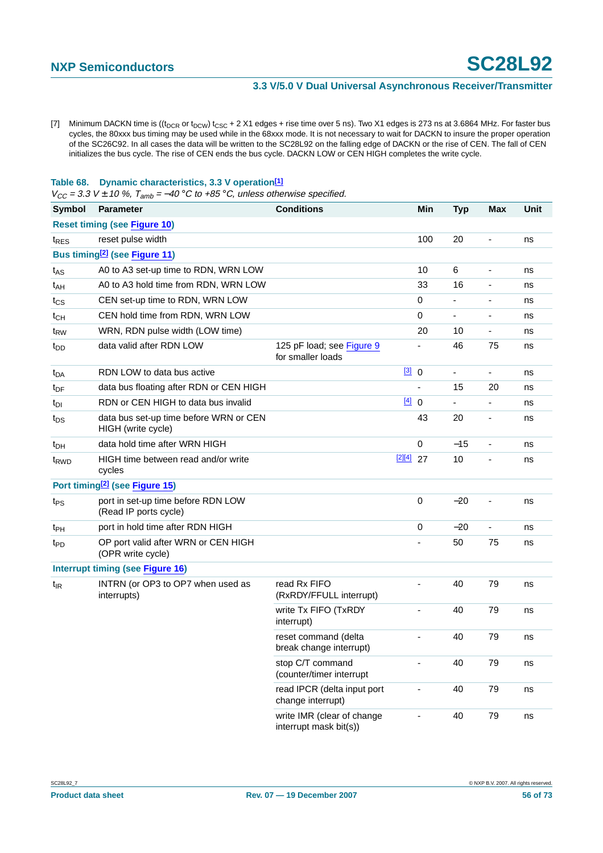<span id="page-55-0"></span>[7] Minimum DACKN time is  $((t_{DCR}$  or  $t_{DCW})$   $t_{CSC}$  + 2 X1 edges + rise time over 5 ns). Two X1 edges is 273 ns at 3.6864 MHz. For faster bus cycles, the 80xxx bus timing may be used while in the 68xxx mode. It is not necessary to wait for DACKN to insure the proper operation of the SC26C92. In all cases the data will be written to the SC28L92 on the falling edge of DACKN or the rise of CEN. The fall of CEN initializes the bus cycle. The rise of CEN ends the bus cycle. DACKN LOW or CEN HIGH completes the write cycle.

#### **Table 68. Dynamic characteristics, 3.3 V operatio[n\[1\]](#page-56-0)**

 $V_{CC}$  = 3.3 V ± 10 %,  $T_{amb}$  = -40 °C to +85 °C, unless otherwise specified.

| <b>Symbol</b>                       | <b>Parameter</b>                                             | <b>Conditions</b>                                    |             | Min                          | <b>Typ</b>               | <b>Max</b>               | Unit |
|-------------------------------------|--------------------------------------------------------------|------------------------------------------------------|-------------|------------------------------|--------------------------|--------------------------|------|
| <b>Reset timing (see Figure 10)</b> |                                                              |                                                      |             |                              |                          |                          |      |
| t <sub>RES</sub>                    | reset pulse width                                            |                                                      |             | 100                          | 20                       | ä,                       | ns   |
|                                     | Bus timing <sup>[2]</sup> (see Figure 11)                    |                                                      |             |                              |                          |                          |      |
| t <sub>AS</sub>                     | A0 to A3 set-up time to RDN, WRN LOW                         |                                                      |             | 10                           | 6                        | $\blacksquare$           | ns   |
| t <sub>AH</sub>                     | A0 to A3 hold time from RDN, WRN LOW                         |                                                      |             | 33                           | 16                       | $\overline{\phantom{a}}$ | ns   |
| $t_{\text{CS}}$                     | CEN set-up time to RDN, WRN LOW                              |                                                      |             | 0                            |                          | $\blacksquare$           | ns   |
| $t_{CH}$                            | CEN hold time from RDN, WRN LOW                              |                                                      |             | 0                            | ä,                       | $\overline{\phantom{a}}$ | ns   |
| t <sub>RW</sub>                     | WRN, RDN pulse width (LOW time)                              |                                                      |             | 20                           | 10                       | $\overline{\phantom{a}}$ | ns   |
| t <sub>DD</sub>                     | data valid after RDN LOW                                     | 125 pF load; see Figure 9<br>for smaller loads       |             |                              | 46                       | 75                       | ns   |
| $t_{DA}$                            | RDN LOW to data bus active                                   |                                                      | [3] 0       |                              | $\overline{\phantom{a}}$ | $\overline{\phantom{a}}$ | ns   |
| $t_{DF}$                            | data bus floating after RDN or CEN HIGH                      |                                                      |             | $\qquad \qquad \blacksquare$ | 15                       | 20                       | ns   |
| t <sub>DI</sub>                     | RDN or CEN HIGH to data bus invalid                          |                                                      | [4] 0       |                              |                          | $\overline{\phantom{0}}$ | ns   |
| $t_{DS}$                            | data bus set-up time before WRN or CEN<br>HIGH (write cycle) |                                                      |             | 43                           | 20                       | $\overline{\phantom{a}}$ | ns   |
| t <sub>DH</sub>                     | data hold time after WRN HIGH                                |                                                      |             | 0                            | $-15$                    | ٠                        | ns   |
| t <sub>RWD</sub>                    | HIGH time between read and/or write<br>cycles                |                                                      | $[2][4]$ 27 |                              | 10                       | $\overline{\phantom{a}}$ | ns   |
|                                     | Port timing <sup>[2]</sup> (see Figure 15)                   |                                                      |             |                              |                          |                          |      |
| $t_{PS}$                            | port in set-up time before RDN LOW<br>(Read IP ports cycle)  |                                                      |             | $\pmb{0}$                    | $-20$                    | ٠                        | ns   |
| t <sub>PH</sub>                     | port in hold time after RDN HIGH                             |                                                      |             | 0                            | $-20$                    | $\overline{\phantom{a}}$ | ns   |
| t <sub>PD</sub>                     | OP port valid after WRN or CEN HIGH<br>(OPR write cycle)     |                                                      |             |                              | 50                       | 75                       | ns   |
|                                     | <b>Interrupt timing (see Figure 16)</b>                      |                                                      |             |                              |                          |                          |      |
| $t_{IR}$                            | INTRN (or OP3 to OP7 when used as<br>interrupts)             | read Rx FIFO<br>(RxRDY/FFULL interrupt)              |             |                              | 40                       | 79                       | ns   |
|                                     |                                                              | write Tx FIFO (TxRDY<br>interrupt)                   |             |                              | 40                       | 79                       | ns   |
|                                     |                                                              | reset command (delta<br>break change interrupt)      |             | ٠                            | 40                       | 79                       | ns   |
|                                     |                                                              | stop C/T command<br>(counter/timer interrupt         |             |                              | 40                       | 79                       | ns   |
|                                     |                                                              | read IPCR (delta input port<br>change interrupt)     |             |                              | 40                       | 79                       | ns   |
|                                     |                                                              | write IMR (clear of change<br>interrupt mask bit(s)) |             | ٠                            | 40                       | 79                       | ns   |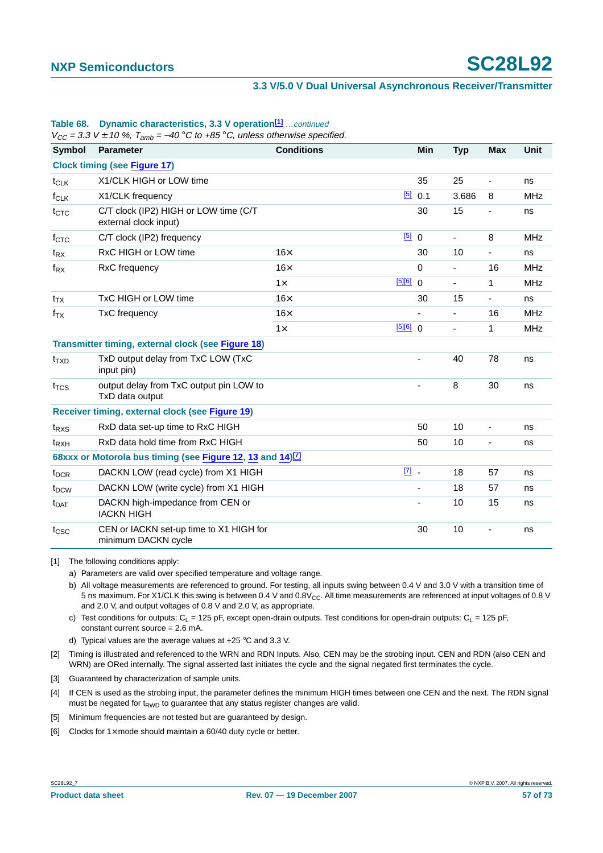| $V_{CC}$ = 3.3 V $\pm$ 10 %, 1 <sub>amb</sub> = –40 °C to +85 °C, unless otherwise specified. |                                                                        |                   |                          |                              |                          |                          |             |
|-----------------------------------------------------------------------------------------------|------------------------------------------------------------------------|-------------------|--------------------------|------------------------------|--------------------------|--------------------------|-------------|
| <b>Symbol</b>                                                                                 | Parameter                                                              | <b>Conditions</b> |                          | Min                          | <b>Typ</b>               | <b>Max</b>               | <b>Unit</b> |
|                                                                                               | <b>Clock timing (see Figure 17)</b>                                    |                   |                          |                              |                          |                          |             |
| $t_{CLK}$                                                                                     | X1/CLK HIGH or LOW time                                                |                   |                          | 35                           | 25                       | $\blacksquare$           | ns          |
| $f_{CLK}$                                                                                     | X1/CLK frequency                                                       |                   | $[5]$                    | 0.1                          | 3.686                    | 8                        | <b>MHz</b>  |
| $t_{CTC}$                                                                                     | C/T clock (IP2) HIGH or LOW time (C/T<br>external clock input)         |                   |                          | 30                           | 15                       | -                        | ns          |
| $f_{\text{CTC}}$                                                                              | C/T clock (IP2) frequency                                              |                   | [5]                      | $\mathbf 0$                  | ÷,                       | 8                        | <b>MHz</b>  |
| $t_{\mathsf{RX}}$                                                                             | RxC HIGH or LOW time                                                   | $16\times$        |                          | 30                           | 10                       | $\frac{1}{2}$            | ns          |
| $f_{\mathsf{RX}}$                                                                             | RxC frequency                                                          | $16\times$        |                          | $\mathbf 0$                  | $\overline{\phantom{a}}$ | 16                       | <b>MHz</b>  |
|                                                                                               |                                                                        | $1\times$         | [5][6]                   | $\mathbf 0$                  | $\overline{\phantom{a}}$ | 1                        | <b>MHz</b>  |
| $t_{TX}$                                                                                      | TxC HIGH or LOW time                                                   | $16\times$        |                          | 30                           | 15                       |                          | ns          |
| $f_{TX}$                                                                                      | <b>TxC</b> frequency                                                   | $16\times$        |                          | ä,                           | $\overline{\phantom{a}}$ | 16                       | <b>MHz</b>  |
|                                                                                               |                                                                        | $1\times$         | [5][6] 0                 |                              | $\overline{\phantom{a}}$ | 1                        | <b>MHz</b>  |
|                                                                                               | Transmitter timing, external clock (see Figure 18)                     |                   |                          |                              |                          |                          |             |
| $t_{TXD}$                                                                                     | TxD output delay from TxC LOW (TxC<br>input pin)                       |                   |                          |                              | 40                       | 78                       | ns          |
| $t_{\text{TCS}}$                                                                              | output delay from TxC output pin LOW to<br>TxD data output             |                   | $\overline{\phantom{0}}$ | 8                            | 30                       | ns                       |             |
|                                                                                               | Receiver timing, external clock (see Figure 19)                        |                   |                          |                              |                          |                          |             |
| $t_{RXS}$                                                                                     | RxD data set-up time to RxC HIGH                                       |                   |                          | 50                           | 10                       | $\overline{\phantom{0}}$ | ns          |
| $t_{RXH}$                                                                                     | RxD data hold time from RxC HIGH                                       |                   | 50                       | 10                           | ٠                        | ns                       |             |
|                                                                                               | 68xxx or Motorola bus timing (see Figure 12, 13 and 14) <sup>[7]</sup> |                   |                          |                              |                          |                          |             |
| t <sub>DCR</sub>                                                                              | DACKN LOW (read cycle) from X1 HIGH                                    |                   | $\boxed{7}$              |                              | 18                       | 57                       | ns          |
| t <sub>DCW</sub>                                                                              | DACKN LOW (write cycle) from X1 HIGH                                   |                   |                          | $\qquad \qquad \blacksquare$ | 18                       | 57                       | ns          |
| <b>t</b> <sub>DAT</sub>                                                                       | DACKN high-impedance from CEN or<br><b>IACKN HIGH</b>                  |                   |                          | 10                           | 15                       | ns                       |             |
| t <sub>csc</sub>                                                                              | CEN or IACKN set-up time to X1 HIGH for<br>minimum DACKN cycle         |                   | 30                       | 10                           |                          | ns                       |             |

### **Table 68. Dynamic characteristics, 3.3 V operation<sup>[1]</sup> ...continued**

 $V_{CC}$  = 3.3 V  $\pm$  10 %,  $T_{amb}$  = -40 °C to +85 °C, unless otherwise specified.

<span id="page-56-0"></span>[1] The following conditions apply:

a) Parameters are valid over specified temperature and voltage range.

b) All voltage measurements are referenced to ground. For testing, all inputs swing between 0.4 V and 3.0 V with a transition time of 5 ns maximum. For X1/CLK this swing is between 0.4 V and  $0.8V_{CC}$ . All time measurements are referenced at input voltages of 0.8 V and 2.0 V, and output voltages of 0.8 V and 2.0 V, as appropriate.

c) Test conditions for outputs:  $C_L = 125$  pF, except open-drain outputs. Test conditions for open-drain outputs:  $C_1 = 125$  pF, constant current source = 2.6 mA.

d) Typical values are the average values at +25 °C and 3.3 V.

<span id="page-56-1"></span>[2] Timing is illustrated and referenced to the WRN and RDN Inputs. Also, CEN may be the strobing input. CEN and RDN (also CEN and WRN) are ORed internally. The signal asserted last initiates the cycle and the signal negated first terminates the cycle.

<span id="page-56-2"></span>[3] Guaranteed by characterization of sample units.

<span id="page-56-3"></span>[4] If CEN is used as the strobing input, the parameter defines the minimum HIGH times between one CEN and the next. The RDN signal must be negated for  $t_{RWD}$  to guarantee that any status register changes are valid.

<span id="page-56-4"></span>[5] Minimum frequencies are not tested but are quaranteed by design.

<span id="page-56-5"></span>[6] Clocks for  $1 \times$  mode should maintain a 60/40 duty cycle or better.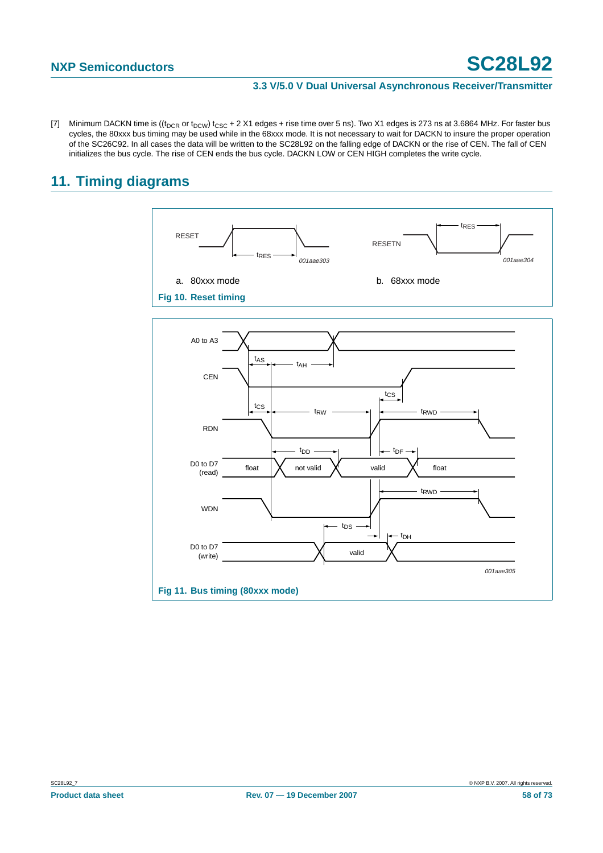<span id="page-57-2"></span>[7] Minimum DACKN time is  $((t_{DCR}$  or  $t_{DCW})$   $t_{CSC}$  + 2 X1 edges + rise time over 5 ns). Two X1 edges is 273 ns at 3.6864 MHz. For faster bus cycles, the 80xxx bus timing may be used while in the 68xxx mode. It is not necessary to wait for DACKN to insure the proper operation of the SC26C92. In all cases the data will be written to the SC28L92 on the falling edge of DACKN or the rise of CEN. The fall of CEN initializes the bus cycle. The rise of CEN ends the bus cycle. DACKN LOW or CEN HIGH completes the write cycle.

# **11. Timing diagrams**

<span id="page-57-1"></span><span id="page-57-0"></span>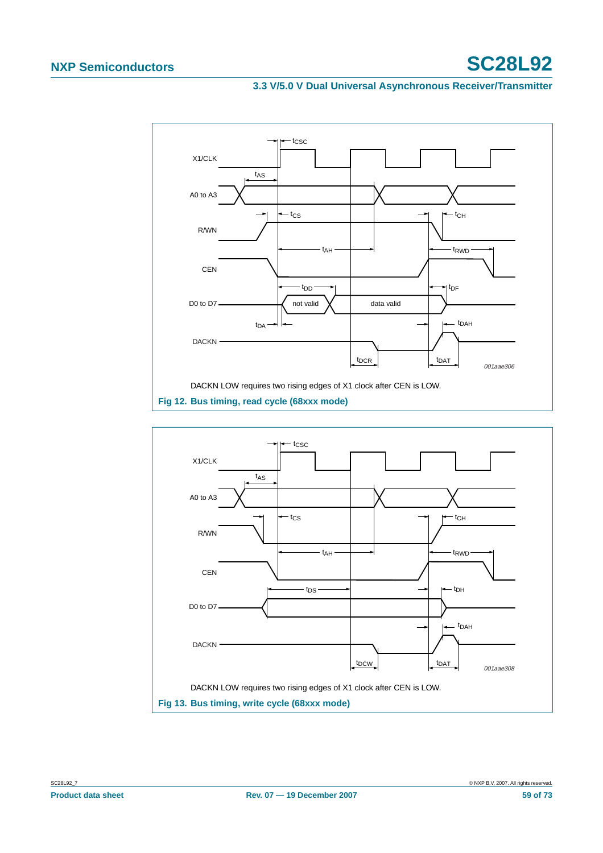

<span id="page-58-1"></span><span id="page-58-0"></span>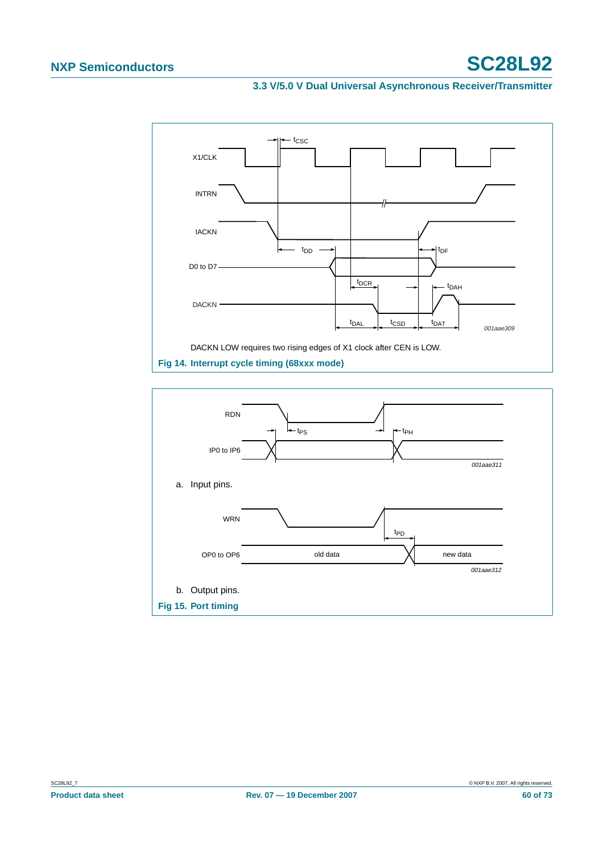

<span id="page-59-1"></span><span id="page-59-0"></span>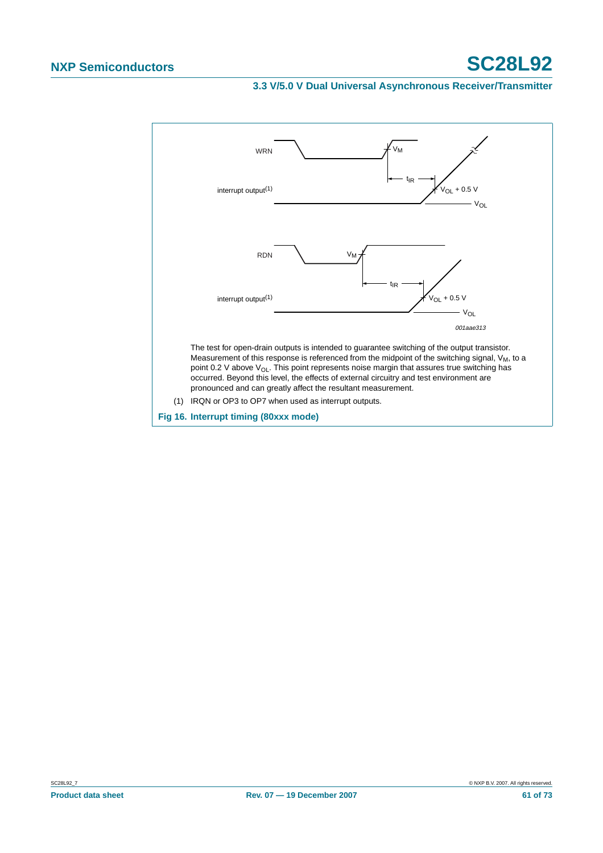<span id="page-60-0"></span>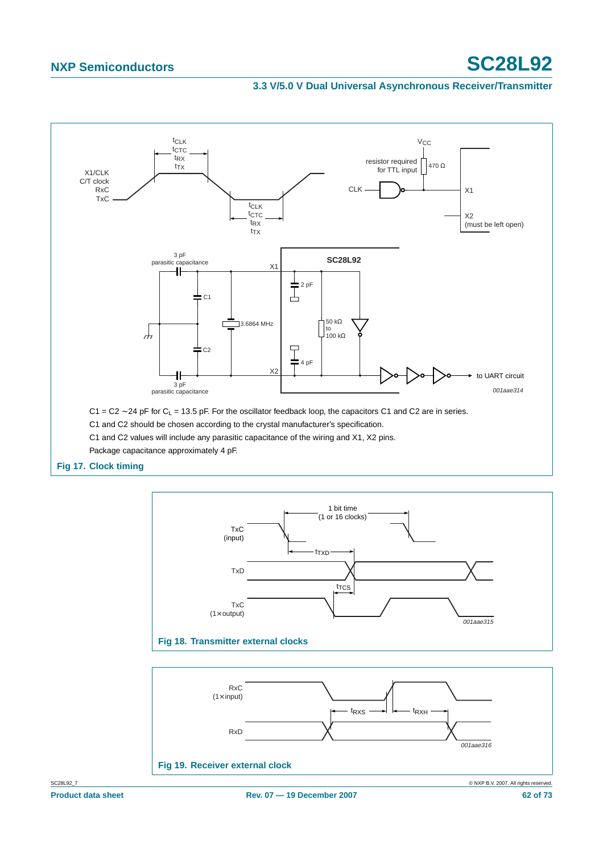

<span id="page-61-1"></span><span id="page-61-0"></span>

<span id="page-61-2"></span>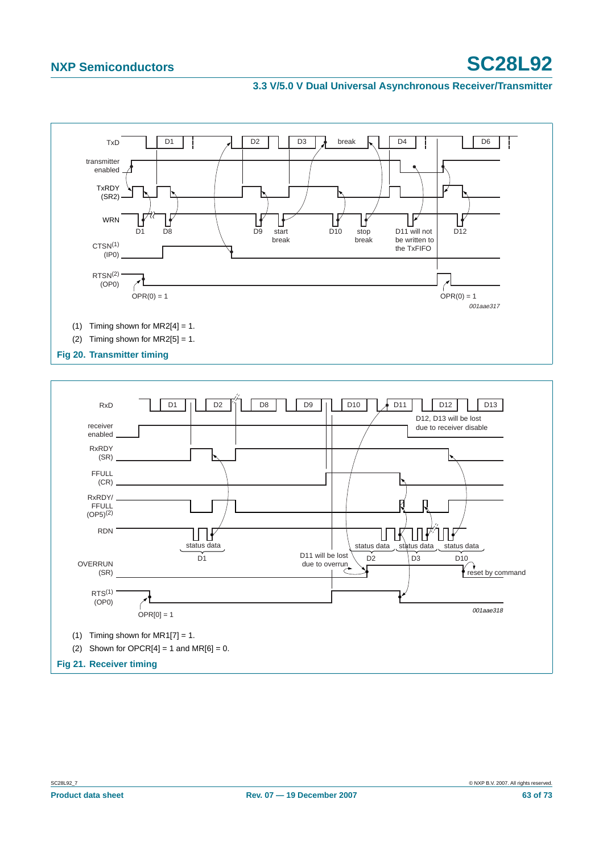

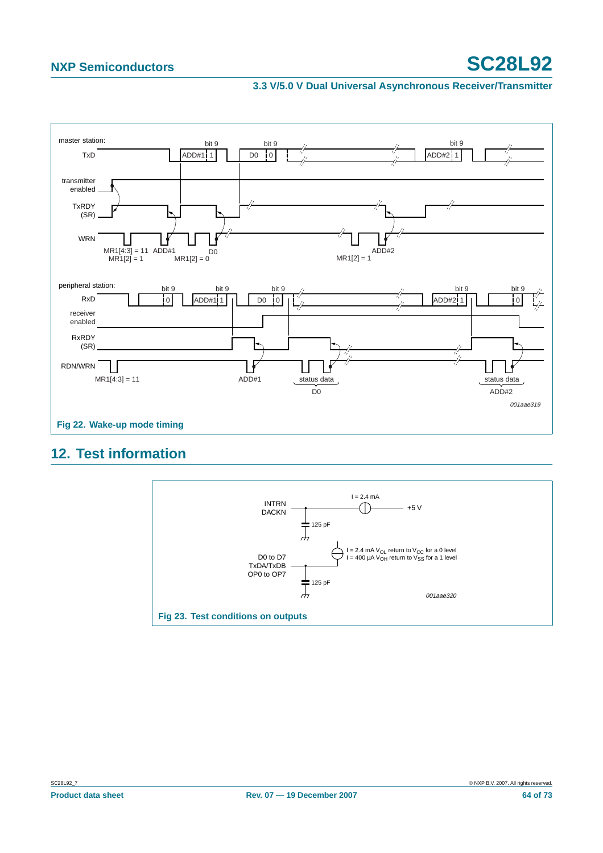#### **3.3 V/5.0 V Dual Universal Asynchronous Receiver/Transmitter**



# **12. Test information**

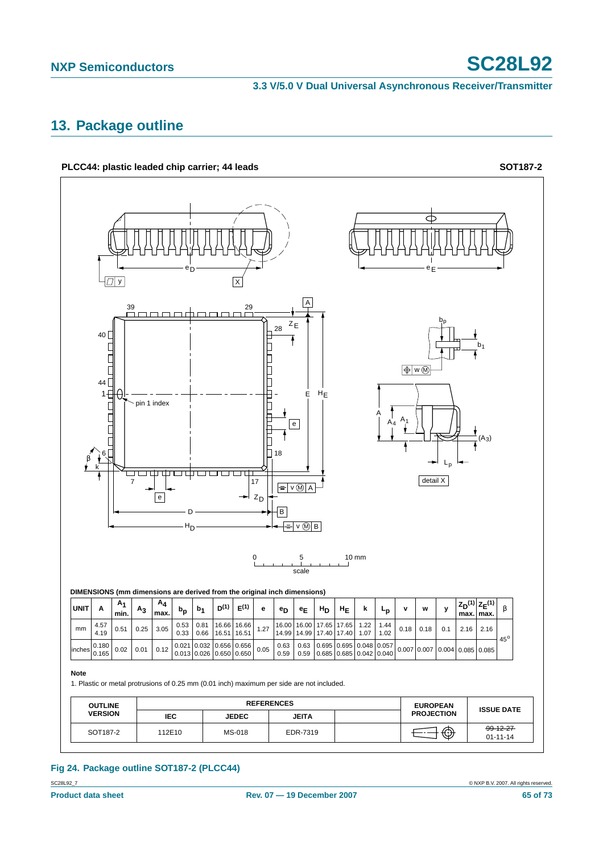# **13. Package outline**



# **Fig 24. Package outline SOT187-2 (PLCC44)**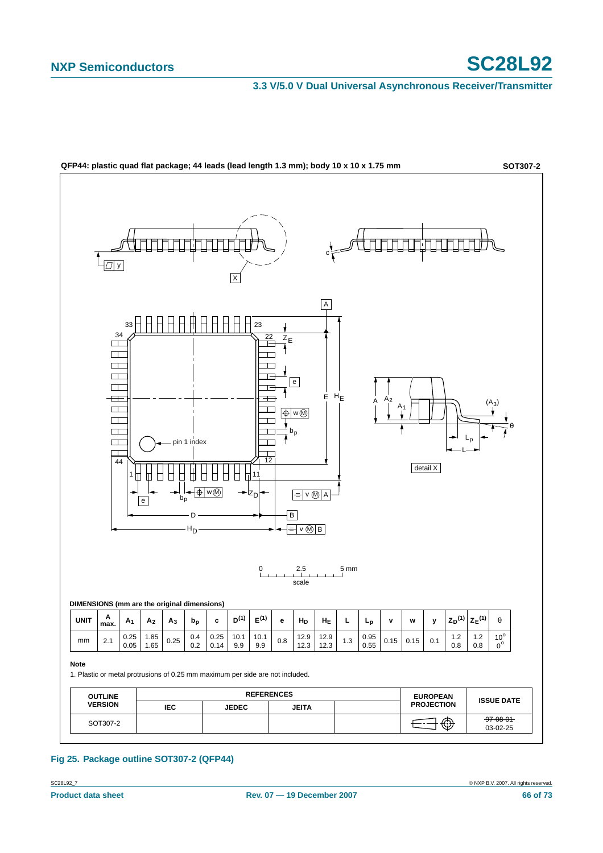

**Fig 25. Package outline SOT307-2 (QFP44)**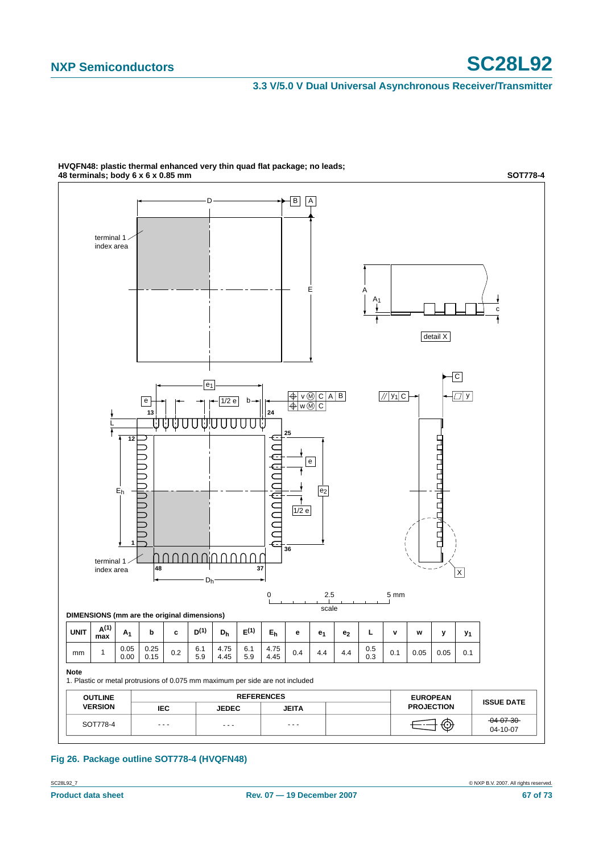#### **3.3 V/5.0 V Dual Universal Asynchronous Receiver/Transmitter**



**HVQFN48: plastic thermal enhanced very thin quad flat package; no leads; 48 terminals; body 6 x 6 x 0.85 mm**

### **Fig 26. Package outline SOT778-4 (HVQFN48)**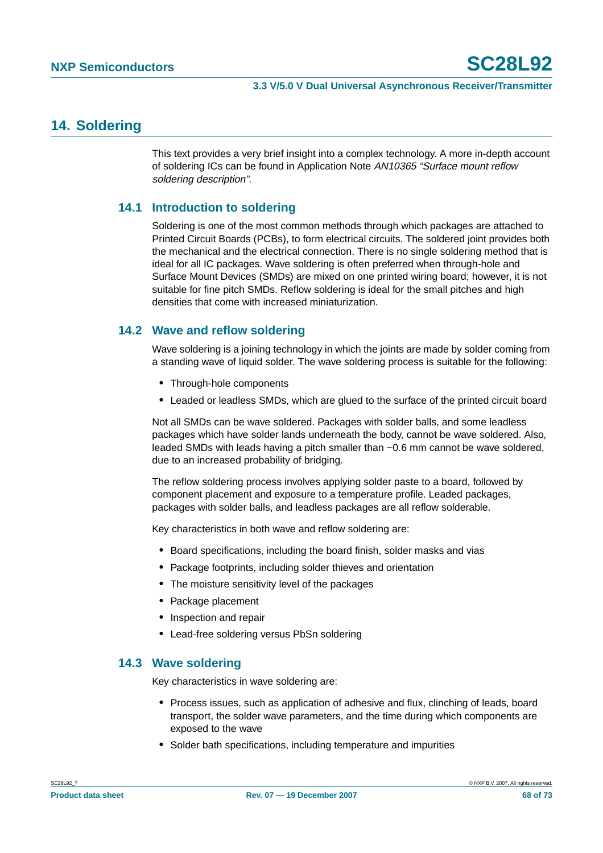# **14. Soldering**

This text provides a very brief insight into a complex technology. A more in-depth account of soldering ICs can be found in Application Note AN10365 "Surface mount reflow soldering description".

### **14.1 Introduction to soldering**

Soldering is one of the most common methods through which packages are attached to Printed Circuit Boards (PCBs), to form electrical circuits. The soldered joint provides both the mechanical and the electrical connection. There is no single soldering method that is ideal for all IC packages. Wave soldering is often preferred when through-hole and Surface Mount Devices (SMDs) are mixed on one printed wiring board; however, it is not suitable for fine pitch SMDs. Reflow soldering is ideal for the small pitches and high densities that come with increased miniaturization.

### **14.2 Wave and reflow soldering**

Wave soldering is a joining technology in which the joints are made by solder coming from a standing wave of liquid solder. The wave soldering process is suitable for the following:

- **•** Through-hole components
- **•** Leaded or leadless SMDs, which are glued to the surface of the printed circuit board

Not all SMDs can be wave soldered. Packages with solder balls, and some leadless packages which have solder lands underneath the body, cannot be wave soldered. Also, leaded SMDs with leads having a pitch smaller than ~0.6 mm cannot be wave soldered, due to an increased probability of bridging.

The reflow soldering process involves applying solder paste to a board, followed by component placement and exposure to a temperature profile. Leaded packages, packages with solder balls, and leadless packages are all reflow solderable.

Key characteristics in both wave and reflow soldering are:

- **•** Board specifications, including the board finish, solder masks and vias
- **•** Package footprints, including solder thieves and orientation
- **•** The moisture sensitivity level of the packages
- **•** Package placement
- **•** Inspection and repair
- **•** Lead-free soldering versus PbSn soldering

### **14.3 Wave soldering**

Key characteristics in wave soldering are:

- **•** Process issues, such as application of adhesive and flux, clinching of leads, board transport, the solder wave parameters, and the time during which components are exposed to the wave
- **•** Solder bath specifications, including temperature and impurities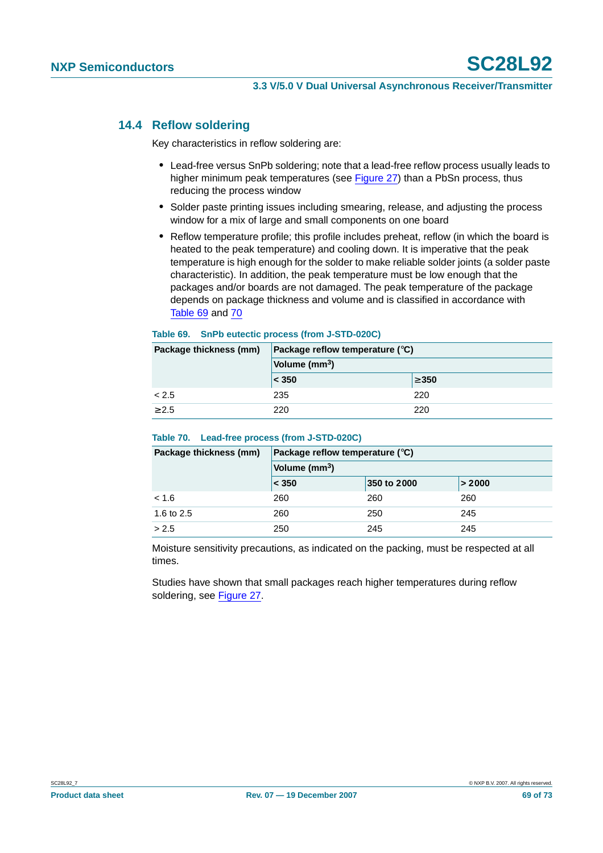### **14.4 Reflow soldering**

Key characteristics in reflow soldering are:

- **•** Lead-free versus SnPb soldering; note that a lead-free reflow process usually leads to higher minimum peak temperatures (see Figure 27) than a PbSn process, thus reducing the process window
- **•** Solder paste printing issues including smearing, release, and adjusting the process window for a mix of large and small components on one board
- **•** Reflow temperature profile; this profile includes preheat, reflow (in which the board is heated to the peak temperature) and cooling down. It is imperative that the peak temperature is high enough for the solder to make reliable solder joints (a solder paste characteristic). In addition, the peak temperature must be low enough that the packages and/or boards are not damaged. The peak temperature of the package depends on package thickness and volume and is classified in accordance with Table 69 and 70

#### **Table 69. SnPb eutectic process (from J-STD-020C)**

| Package thickness (mm) | Package reflow temperature ( $\degree$ C) |            |  |
|------------------------|-------------------------------------------|------------|--|
|                        | Volume (mm <sup>3</sup> )                 |            |  |
|                        | $ <$ 350                                  | $\geq 350$ |  |
| < 2.5                  | 235                                       | 220        |  |
| > 2.5                  | 220                                       | 220        |  |

#### **Table 70. Lead-free process (from J-STD-020C)**

| Package thickness (mm) | Package reflow temperature $(^\circ \text{C})$<br>Volume (mm <sup>3</sup> ) |             |        |  |
|------------------------|-----------------------------------------------------------------------------|-------------|--------|--|
|                        |                                                                             |             |        |  |
|                        | $ <$ 350                                                                    | 350 to 2000 | > 2000 |  |
| < 1.6                  | 260                                                                         | 260         | 260    |  |
| 1.6 to 2.5             | 260                                                                         | 250         | 245    |  |
| > 2.5                  | 250                                                                         | 245         | 245    |  |

Moisture sensitivity precautions, as indicated on the packing, must be respected at all times.

Studies have shown that small packages reach higher temperatures during reflow soldering, see Figure 27.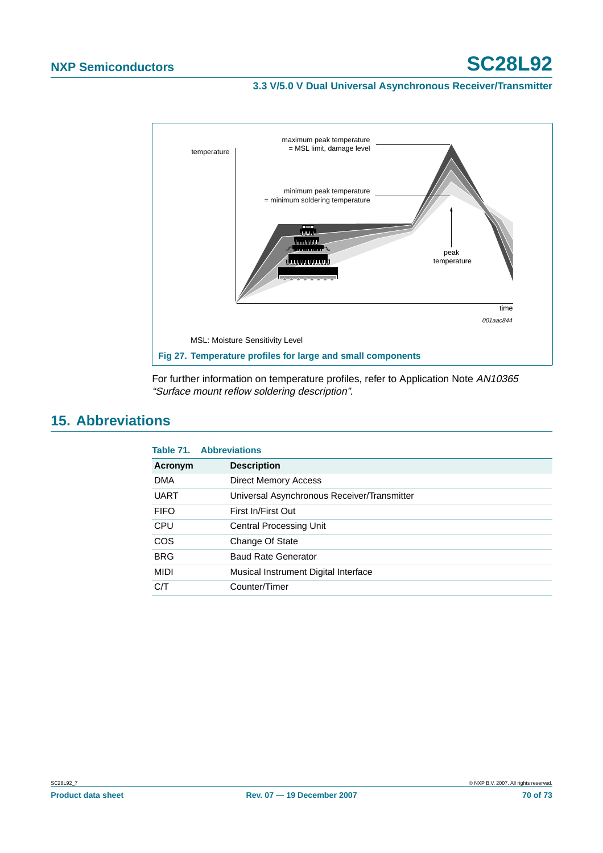#### **3.3 V/5.0 V Dual Universal Asynchronous Receiver/Transmitter**



For further information on temperature profiles, refer to Application Note AN10365 "Surface mount reflow soldering description".

# **15. Abbreviations**

|             | <b>Table 71. Abbreviations</b>              |
|-------------|---------------------------------------------|
| Acronym     | <b>Description</b>                          |
| <b>DMA</b>  | <b>Direct Memory Access</b>                 |
| <b>UART</b> | Universal Asynchronous Receiver/Transmitter |
| <b>FIFO</b> | First In/First Out                          |
| <b>CPU</b>  | <b>Central Processing Unit</b>              |
| <b>COS</b>  | Change Of State                             |
| <b>BRG</b>  | <b>Baud Rate Generator</b>                  |
| <b>MIDI</b> | Musical Instrument Digital Interface        |
| C/T         | Counter/Timer                               |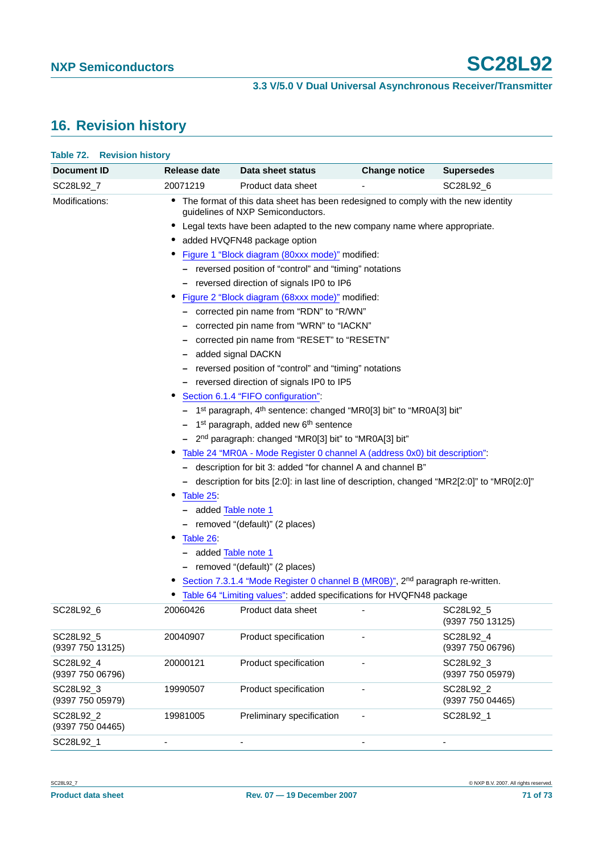# **16. Revision history**

| Document ID                   | Release date                                  | Data sheet status                                                                                                                                                                                                                                                                                                                                                                                                                                                                                                                                                                                                                                                                                                                                                                                                                                                                                                                                                                                                                          | <b>Change notice</b> | <b>Supersedes</b>                                 |
|-------------------------------|-----------------------------------------------|--------------------------------------------------------------------------------------------------------------------------------------------------------------------------------------------------------------------------------------------------------------------------------------------------------------------------------------------------------------------------------------------------------------------------------------------------------------------------------------------------------------------------------------------------------------------------------------------------------------------------------------------------------------------------------------------------------------------------------------------------------------------------------------------------------------------------------------------------------------------------------------------------------------------------------------------------------------------------------------------------------------------------------------------|----------------------|---------------------------------------------------|
| SC28L92_7                     | 20071219                                      | Product data sheet                                                                                                                                                                                                                                                                                                                                                                                                                                                                                                                                                                                                                                                                                                                                                                                                                                                                                                                                                                                                                         |                      | SC28L92_6                                         |
| Modifications:                |                                               | • The format of this data sheet has been redesigned to comply with the new identity<br>guidelines of NXP Semiconductors.<br>Legal texts have been adapted to the new company name where appropriate.<br>• added HVQFN48 package option<br>Figure 1 "Block diagram (80xxx mode)" modified:<br>- reversed position of "control" and "timing" notations<br>- reversed direction of signals IP0 to IP6                                                                                                                                                                                                                                                                                                                                                                                                                                                                                                                                                                                                                                         |                      |                                                   |
|                               | Table 25<br>- added Table note 1<br>Table 26: | Figure 2 "Block diagram (68xxx mode)" modified:<br>- corrected pin name from "RDN" to "R/WN"<br>corrected pin name from "WRN" to "IACKN"<br>corrected pin name from "RESET" to "RESETN"<br>added signal DACKN<br>reversed position of "control" and "timing" notations<br>- reversed direction of signals IP0 to IP5<br>Section 6.1.4 "FIFO configuration":<br>- 1 <sup>st</sup> paragraph, 4 <sup>th</sup> sentence: changed "MR0[3] bit" to "MR0A[3] bit"<br>1 <sup>st</sup> paragraph, added new 6 <sup>th</sup> sentence<br>- 2 <sup>nd</sup> paragraph: changed "MR0[3] bit" to "MR0A[3] bit"<br>Table 24 "MR0A - Mode Register 0 channel A (address 0x0) bit description".<br>- description for bit 3: added "for channel A and channel B"<br>- description for bits [2:0]: in last line of description, changed "MR2[2:0]" to "MR0[2:0]"<br>- removed "(default)" (2 places)<br>added Table note 1<br>- removed "(default)" (2 places)<br>Section 7.3.1.4 "Mode Register 0 channel B (MR0B)", 2 <sup>nd</sup> paragraph re-written. |                      |                                                   |
| SC28L92_6                     | 20060426                                      | Table 64 "Limiting values": added specifications for HVQFN48 package<br>Product data sheet                                                                                                                                                                                                                                                                                                                                                                                                                                                                                                                                                                                                                                                                                                                                                                                                                                                                                                                                                 |                      | SC28L92_5                                         |
| SC28L92_5<br>(9397 750 13125) | 20040907                                      | Product specification                                                                                                                                                                                                                                                                                                                                                                                                                                                                                                                                                                                                                                                                                                                                                                                                                                                                                                                                                                                                                      |                      | (9397 750 13125)<br>SC28L92_4<br>(9397 750 06796) |
| SC28L92_4<br>(9397 750 06796) | 20000121                                      | Product specification                                                                                                                                                                                                                                                                                                                                                                                                                                                                                                                                                                                                                                                                                                                                                                                                                                                                                                                                                                                                                      |                      | SC28L92_3<br>(9397 750 05979)                     |
| SC28L92_3<br>(9397 750 05979) | 19990507                                      | Product specification                                                                                                                                                                                                                                                                                                                                                                                                                                                                                                                                                                                                                                                                                                                                                                                                                                                                                                                                                                                                                      |                      | SC28L92_2<br>(9397 750 04465)                     |
| SC28L92_2<br>(9397 750 04465) | 19981005                                      | Preliminary specification                                                                                                                                                                                                                                                                                                                                                                                                                                                                                                                                                                                                                                                                                                                                                                                                                                                                                                                                                                                                                  |                      | SC28L92_1                                         |
| SC28L92_1                     |                                               |                                                                                                                                                                                                                                                                                                                                                                                                                                                                                                                                                                                                                                                                                                                                                                                                                                                                                                                                                                                                                                            |                      |                                                   |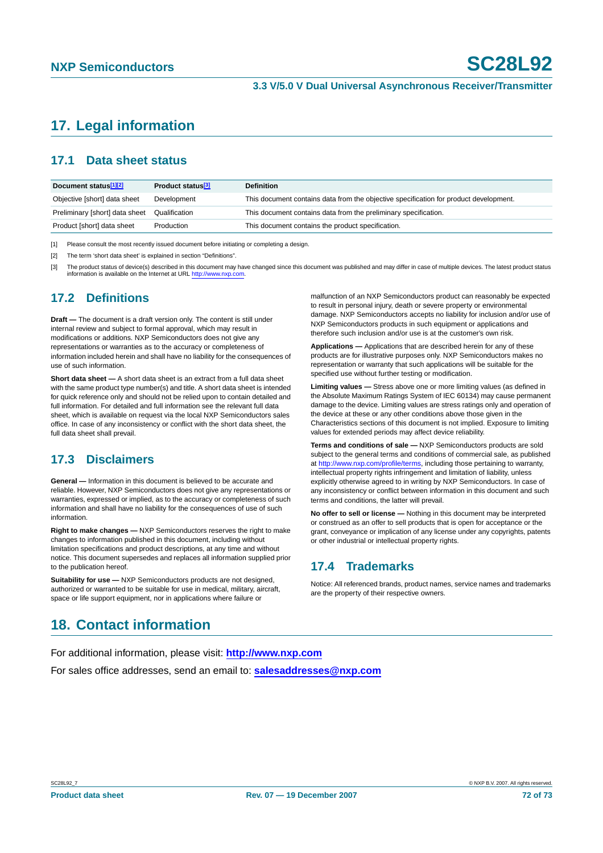# **17. Legal information**

## **17.1 Data sheet status**

| Document status <sup>[1][2]</sup> | Product status <sup>[3]</sup> | <b>Definition</b>                                                                     |
|-----------------------------------|-------------------------------|---------------------------------------------------------------------------------------|
| Objective [short] data sheet      | Development                   | This document contains data from the objective specification for product development. |
| Preliminary [short] data sheet    | Qualification                 | This document contains data from the preliminary specification.                       |
| Product [short] data sheet        | Production                    | This document contains the product specification.                                     |

[1] Please consult the most recently issued document before initiating or completing a design.

[2] The term 'short data sheet' is explained in section "Definitions".

The product status of device(s) described in this document may have changed since this document was published and may differ in case of multiple devices. The latest product status information is available on the Internet at URL <http://www.nxp.com>.

### **17.2 Definitions**

**Draft —** The document is a draft version only. The content is still under internal review and subject to formal approval, which may result in modifications or additions. NXP Semiconductors does not give any representations or warranties as to the accuracy or completeness of information included herein and shall have no liability for the consequences of use of such information.

**Short data sheet —** A short data sheet is an extract from a full data sheet with the same product type number(s) and title. A short data sheet is intended for quick reference only and should not be relied upon to contain detailed and full information. For detailed and full information see the relevant full data sheet, which is available on request via the local NXP Semiconductors sales office. In case of any inconsistency or conflict with the short data sheet, the full data sheet shall prevail.

### **17.3 Disclaimers**

**General —** Information in this document is believed to be accurate and reliable. However, NXP Semiconductors does not give any representations or warranties, expressed or implied, as to the accuracy or completeness of such information and shall have no liability for the consequences of use of such information.

**Right to make changes —** NXP Semiconductors reserves the right to make changes to information published in this document, including without limitation specifications and product descriptions, at any time and without notice. This document supersedes and replaces all information supplied prior to the publication hereof.

**Suitability for use —** NXP Semiconductors products are not designed, authorized or warranted to be suitable for use in medical, military, aircraft, space or life support equipment, nor in applications where failure or

malfunction of an NXP Semiconductors product can reasonably be expected to result in personal injury, death or severe property or environmental damage. NXP Semiconductors accepts no liability for inclusion and/or use of NXP Semiconductors products in such equipment or applications and therefore such inclusion and/or use is at the customer's own risk.

**Applications —** Applications that are described herein for any of these products are for illustrative purposes only. NXP Semiconductors makes no representation or warranty that such applications will be suitable for the specified use without further testing or modification.

**Limiting values —** Stress above one or more limiting values (as defined in the Absolute Maximum Ratings System of IEC 60134) may cause permanent damage to the device. Limiting values are stress ratings only and operation of the device at these or any other conditions above those given in the Characteristics sections of this document is not implied. Exposure to limiting values for extended periods may affect device reliability.

**Terms and conditions of sale —** NXP Semiconductors products are sold subject to the general terms and conditions of commercial sale, as published at <http://www.nxp.com/profile/terms>, including those pertaining to warranty, intellectual property rights infringement and limitation of liability, unless explicitly otherwise agreed to in writing by NXP Semiconductors. In case of any inconsistency or conflict between information in this document and such terms and conditions, the latter will prevail.

**No offer to sell or license —** Nothing in this document may be interpreted or construed as an offer to sell products that is open for acceptance or the grant, conveyance or implication of any license under any copyrights, patents or other industrial or intellectual property rights.

### **17.4 Trademarks**

Notice: All referenced brands, product names, service names and trademarks are the property of their respective owners.

# **18. Contact information**

For additional information, please visit: **http://www.nxp.com**

For sales office addresses, send an email to: **salesaddresses@nxp.com**